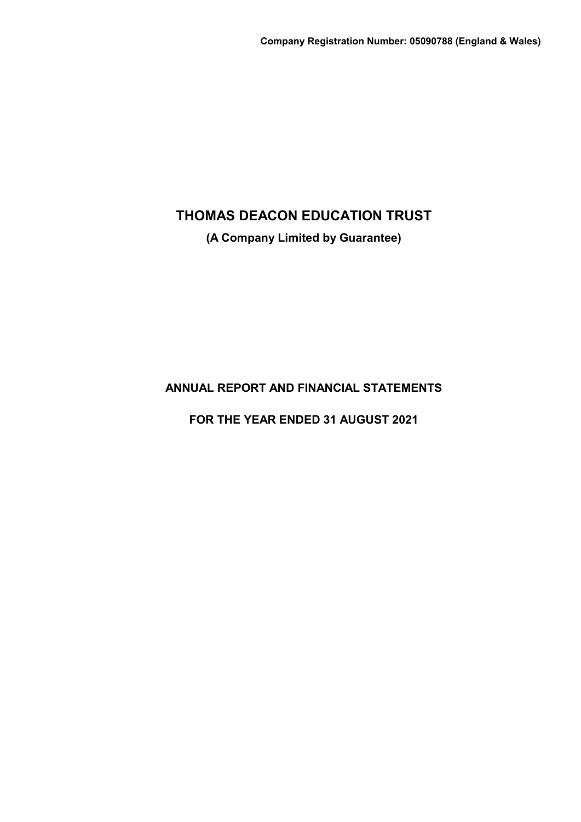**(A Company Limited by Guarantee)**

**ANNUAL REPORT AND FINANCIAL STATEMENTS**

**FOR THE YEAR ENDED 31 AUGUST 2021**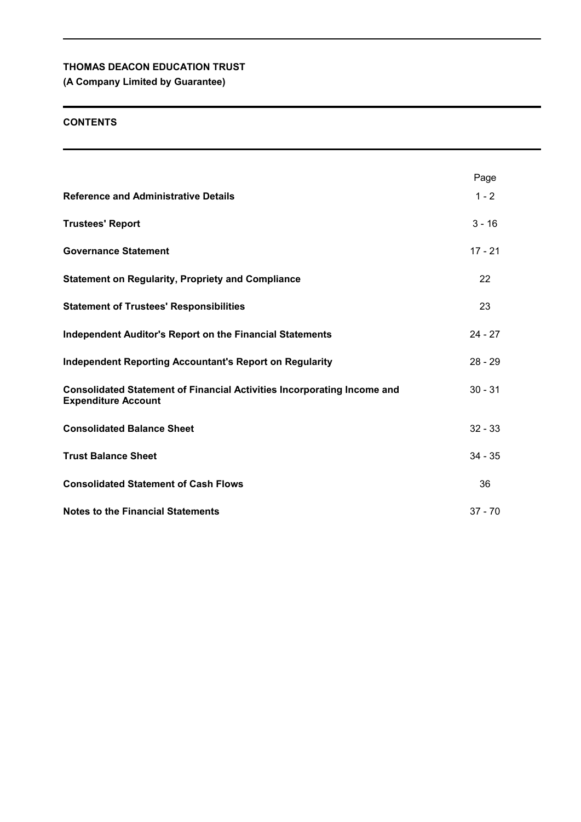# **(A Company Limited by Guarantee)**

## **CONTENTS**

|                                                                                                              | Page      |
|--------------------------------------------------------------------------------------------------------------|-----------|
| <b>Reference and Administrative Details</b>                                                                  | $1 - 2$   |
| <b>Trustees' Report</b>                                                                                      | $3 - 16$  |
| <b>Governance Statement</b>                                                                                  | $17 - 21$ |
| <b>Statement on Regularity, Propriety and Compliance</b>                                                     | 22        |
| <b>Statement of Trustees' Responsibilities</b>                                                               | 23        |
| <b>Independent Auditor's Report on the Financial Statements</b>                                              | $24 - 27$ |
| <b>Independent Reporting Accountant's Report on Regularity</b>                                               | $28 - 29$ |
| <b>Consolidated Statement of Financial Activities Incorporating Income and</b><br><b>Expenditure Account</b> | $30 - 31$ |
| <b>Consolidated Balance Sheet</b>                                                                            | $32 - 33$ |
| <b>Trust Balance Sheet</b>                                                                                   | $34 - 35$ |
| <b>Consolidated Statement of Cash Flows</b>                                                                  | 36        |
| <b>Notes to the Financial Statements</b>                                                                     | $37 - 70$ |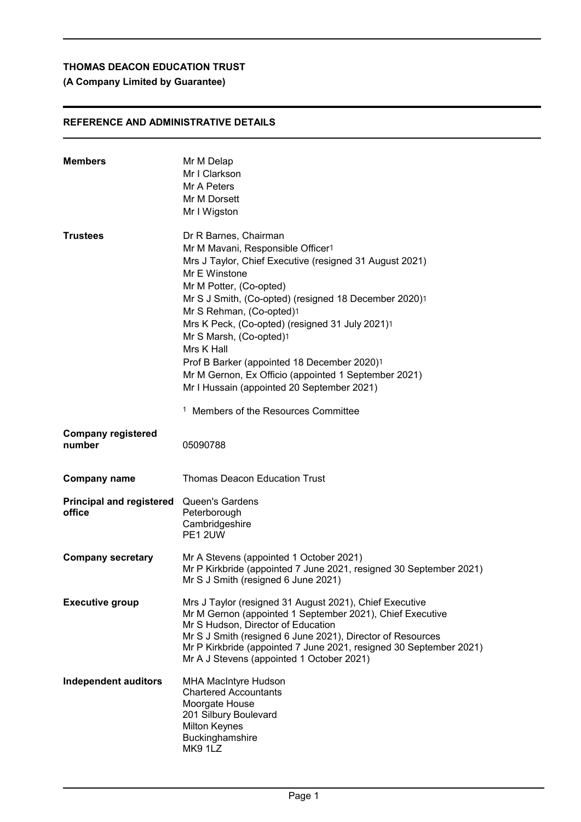# **(A Company Limited by Guarantee)**

# **REFERENCE AND ADMINISTRATIVE DETAILS**

| <b>Members</b>                            | Mr M Delap<br>Mr I Clarkson<br>Mr A Peters<br>Mr M Dorsett<br>Mr I Wigston                                                                                                                                                                                                                                                                                                                                                                                                                                                                                 |
|-------------------------------------------|------------------------------------------------------------------------------------------------------------------------------------------------------------------------------------------------------------------------------------------------------------------------------------------------------------------------------------------------------------------------------------------------------------------------------------------------------------------------------------------------------------------------------------------------------------|
| <b>Trustees</b>                           | Dr R Barnes, Chairman<br>Mr M Mavani, Responsible Officer1<br>Mrs J Taylor, Chief Executive (resigned 31 August 2021)<br>Mr E Winstone<br>Mr M Potter, (Co-opted)<br>Mr S J Smith, (Co-opted) (resigned 18 December 2020)1<br>Mr S Rehman, (Co-opted)1<br>Mrs K Peck, (Co-opted) (resigned 31 July 2021)1<br>Mr S Marsh, (Co-opted)1<br>Mrs K Hall<br>Prof B Barker (appointed 18 December 2020)1<br>Mr M Gernon, Ex Officio (appointed 1 September 2021)<br>Mr I Hussain (appointed 20 September 2021)<br><sup>1</sup> Members of the Resources Committee |
| <b>Company registered</b><br>number       | 05090788                                                                                                                                                                                                                                                                                                                                                                                                                                                                                                                                                   |
| <b>Company name</b>                       | <b>Thomas Deacon Education Trust</b>                                                                                                                                                                                                                                                                                                                                                                                                                                                                                                                       |
| <b>Principal and registered</b><br>office | Queen's Gardens<br>Peterborough<br>Cambridgeshire<br>PE1 2UW                                                                                                                                                                                                                                                                                                                                                                                                                                                                                               |
| <b>Company secretary</b>                  | Mr A Stevens (appointed 1 October 2021)<br>Mr P Kirkbride (appointed 7 June 2021, resigned 30 September 2021)<br>Mr S J Smith (resigned 6 June 2021)                                                                                                                                                                                                                                                                                                                                                                                                       |
| <b>Executive group</b>                    | Mrs J Taylor (resigned 31 August 2021), Chief Executive<br>Mr M Gernon (appointed 1 September 2021), Chief Executive<br>Mr S Hudson, Director of Education<br>Mr S J Smith (resigned 6 June 2021), Director of Resources<br>Mr P Kirkbride (appointed 7 June 2021, resigned 30 September 2021)<br>Mr A J Stevens (appointed 1 October 2021)                                                                                                                                                                                                                |
| <b>Independent auditors</b>               | <b>MHA MacIntyre Hudson</b><br><b>Chartered Accountants</b><br>Moorgate House<br>201 Silbury Boulevard<br><b>Milton Keynes</b><br>Buckinghamshire<br>MK91LZ                                                                                                                                                                                                                                                                                                                                                                                                |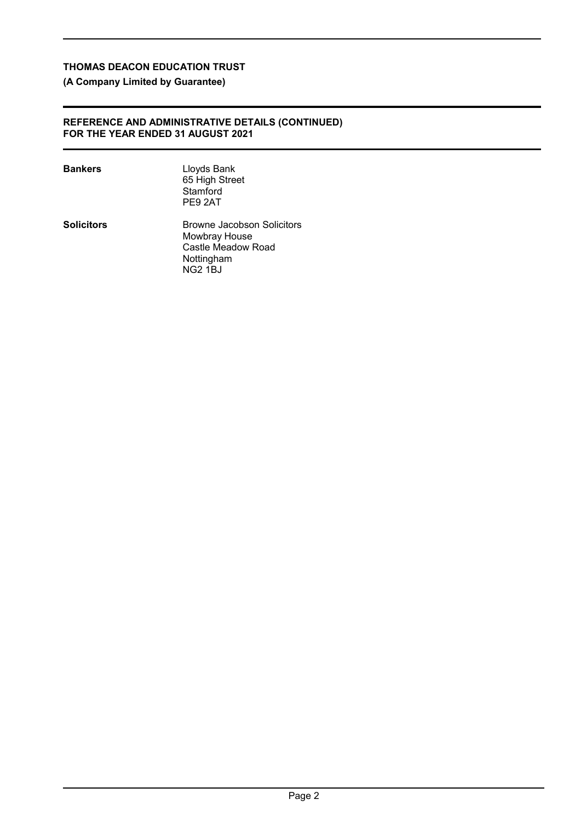# **(A Company Limited by Guarantee)**

### **REFERENCE AND ADMINISTRATIVE DETAILS (CONTINUED) FOR THE YEAR ENDED 31 AUGUST 2021**

| Bankers    | Lloyds Bank<br>65 High Street<br>Stamford<br>PE9 2AT                                              |
|------------|---------------------------------------------------------------------------------------------------|
| Solicitors | Browne Jacobson Solicitors<br>Mowbray House<br>Castle Meadow Road<br>Nottingham<br><b>NG2 1BJ</b> |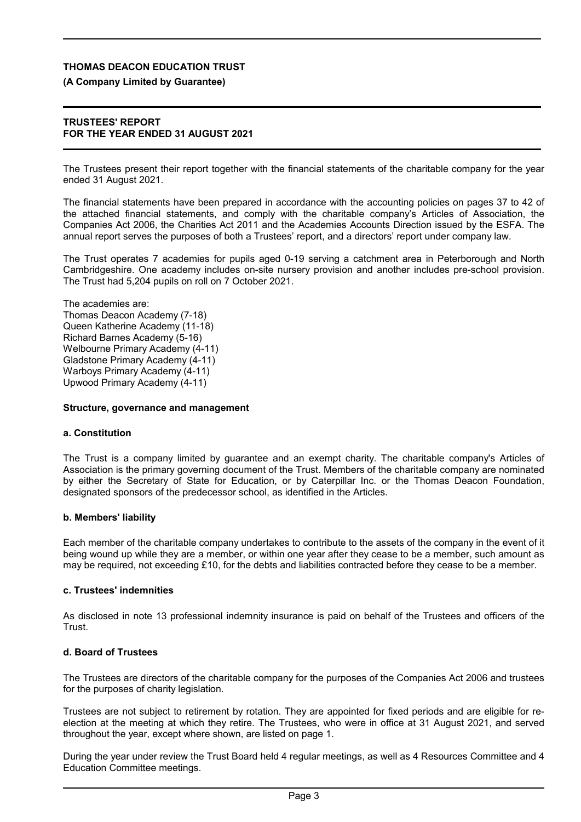## **(A Company Limited by Guarantee)**

### **TRUSTEES' REPORT FOR THE YEAR ENDED 31 AUGUST 2021**

The Trustees present their report together with the financial statements of the charitable company for the year ended 31 August 2021.

The financial statements have been prepared in accordance with the accounting policies on pages 37 to 42 of the attached financial statements, and comply with the charitable company's Articles of Association, the Companies Act 2006, the Charities Act 2011 and the Academies Accounts Direction issued by the ESFA. The annual report serves the purposes of both a Trustees' report, and a directors' report under company law.

The Trust operates 7 academies for pupils aged 0-19 serving a catchment area in Peterborough and North Cambridgeshire. One academy includes on-site nursery provision and another includes pre-school provision. The Trust had 5,204 pupils on roll on 7 October 2021.

The academies are: Thomas Deacon Academy (7-18) Queen Katherine Academy (11-18) Richard Barnes Academy (5-16) Welbourne Primary Academy (4-11) Gladstone Primary Academy (4-11) Warboys Primary Academy (4-11) Upwood Primary Academy (4-11)

#### **Structure, governance and management**

### **a. Constitution**

The Trust is a company limited by guarantee and an exempt charity. The charitable company's Articles of Association is the primary governing document of the Trust. Members of the charitable company are nominated by either the Secretary of State for Education, or by Caterpillar Inc. or the Thomas Deacon Foundation, designated sponsors of the predecessor school, as identified in the Articles.

### **b. Members' liability**

Each member of the charitable company undertakes to contribute to the assets of the company in the event of it being wound up while they are a member, or within one year after they cease to be a member, such amount as may be required, not exceeding £10, for the debts and liabilities contracted before they cease to be a member.

#### **c. Trustees' indemnities**

As disclosed in note 13 professional indemnity insurance is paid on behalf of the Trustees and officers of the Trust.

### **d. Board of Trustees**

The Trustees are directors of the charitable company for the purposes of the Companies Act 2006 and trustees for the purposes of charity legislation.

Trustees are not subject to retirement by rotation. They are appointed for fixed periods and are eligible for reelection at the meeting at which they retire. The Trustees, who were in office at 31 August 2021, and served throughout the year, except where shown, are listed on page 1.

During the year under review the Trust Board held 4 regular meetings, as well as 4 Resources Committee and 4 Education Committee meetings.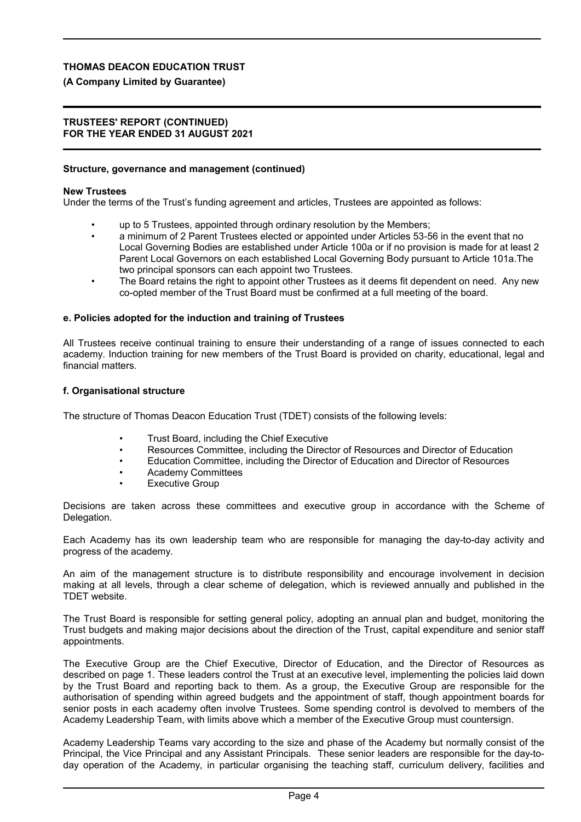## **(A Company Limited by Guarantee)**

#### **TRUSTEES' REPORT (CONTINUED) FOR THE YEAR ENDED 31 AUGUST 2021**

### **Structure, governance and management (continued)**

#### **New Trustees**

Under the terms of the Trust's funding agreement and articles, Trustees are appointed as follows:

- up to 5 Trustees, appointed through ordinary resolution by the Members;
- a minimum of 2 Parent Trustees elected or appointed under Articles 53-56 in the event that no Local Governing Bodies are established under Article 100a or if no provision is made for at least 2 Parent Local Governors on each established Local Governing Body pursuant to Article 101a.The two principal sponsors can each appoint two Trustees.
- The Board retains the right to appoint other Trustees as it deems fit dependent on need. Any new co-opted member of the Trust Board must be confirmed at a full meeting of the board.

#### **e. Policies adopted for the induction and training of Trustees**

All Trustees receive continual training to ensure their understanding of a range of issues connected to each academy. Induction training for new members of the Trust Board is provided on charity, educational, legal and financial matters.

#### **f. Organisational structure**

The structure of Thomas Deacon Education Trust (TDET) consists of the following levels:

- Trust Board, including the Chief Executive
- Resources Committee, including the Director of Resources and Director of Education
- Education Committee, including the Director of Education and Director of Resources
- Academy Committees
- **Executive Group**

Decisions are taken across these committees and executive group in accordance with the Scheme of Delegation.

Each Academy has its own leadership team who are responsible for managing the day-to-day activity and progress of the academy.

An aim of the management structure is to distribute responsibility and encourage involvement in decision making at all levels, through a clear scheme of delegation, which is reviewed annually and published in the TDET website.

The Trust Board is responsible for setting general policy, adopting an annual plan and budget, monitoring the Trust budgets and making major decisions about the direction of the Trust, capital expenditure and senior staff appointments.

The Executive Group are the Chief Executive, Director of Education, and the Director of Resources as described on page 1. These leaders control the Trust at an executive level, implementing the policies laid down by the Trust Board and reporting back to them. As a group, the Executive Group are responsible for the authorisation of spending within agreed budgets and the appointment of staff, though appointment boards for senior posts in each academy often involve Trustees. Some spending control is devolved to members of the Academy Leadership Team, with limits above which a member of the Executive Group must countersign.

Academy Leadership Teams vary according to the size and phase of the Academy but normally consist of the Principal, the Vice Principal and any Assistant Principals. These senior leaders are responsible for the day-today operation of the Academy, in particular organising the teaching staff, curriculum delivery, facilities and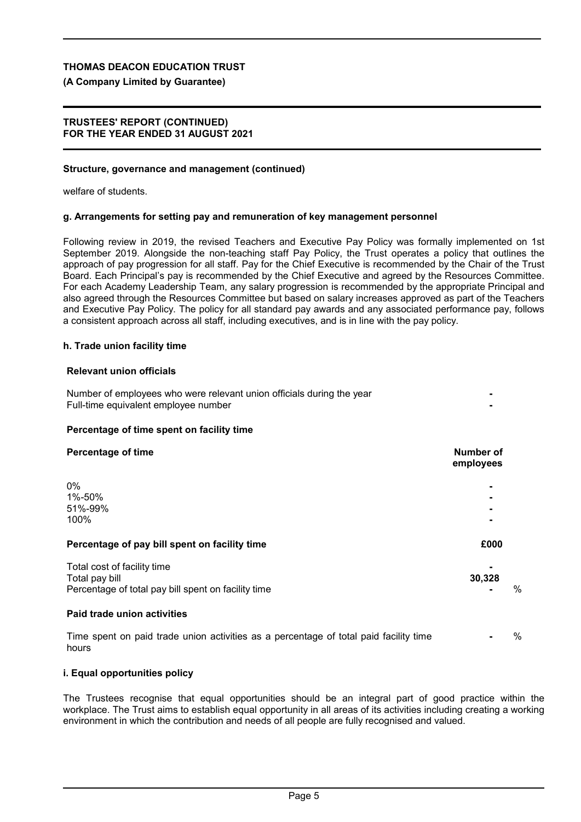# **(A Company Limited by Guarantee)**

## **TRUSTEES' REPORT (CONTINUED) FOR THE YEAR ENDED 31 AUGUST 2021**

# **Structure, governance and management (continued)**

welfare of students.

# **g. Arrangements for setting pay and remuneration of key management personnel**

Following review in 2019, the revised Teachers and Executive Pay Policy was formally implemented on 1st September 2019. Alongside the non-teaching staff Pay Policy, the Trust operates a policy that outlines the approach of pay progression for all staff. Pay for the Chief Executive is recommended by the Chair of the Trust Board. Each Principal's pay is recommended by the Chief Executive and agreed by the Resources Committee. For each Academy Leadership Team, any salary progression is recommended by the appropriate Principal and also agreed through the Resources Committee but based on salary increases approved as part of the Teachers and Executive Pay Policy. The policy for all standard pay awards and any associated performance pay, follows a consistent approach across all staff, including executives, and is in line with the pay policy.

# **h. Trade union facility time**

# **Relevant union officials**

| Number of employees who were relevant union officials during the year |  |
|-----------------------------------------------------------------------|--|
| Full-time equivalent employee number                                  |  |

## **Percentage of time spent on facility time**

| <b>Percentage of time</b>                                                                            | Number of<br>employees |   |
|------------------------------------------------------------------------------------------------------|------------------------|---|
| 0%<br>1%-50%<br>51%-99%<br>100%                                                                      |                        |   |
| Percentage of pay bill spent on facility time                                                        | £000                   |   |
| Total cost of facility time<br>Total pay bill<br>Percentage of total pay bill spent on facility time | 30,328                 | % |
| Paid trade union activities                                                                          |                        |   |
| Time spent on paid trade union activities as a percentage of total paid facility time                |                        | % |

hours

### **i. Equal opportunities policy**

The Trustees recognise that equal opportunities should be an integral part of good practice within the workplace. The Trust aims to establish equal opportunity in all areas of its activities including creating a working environment in which the contribution and needs of all people are fully recognised and valued.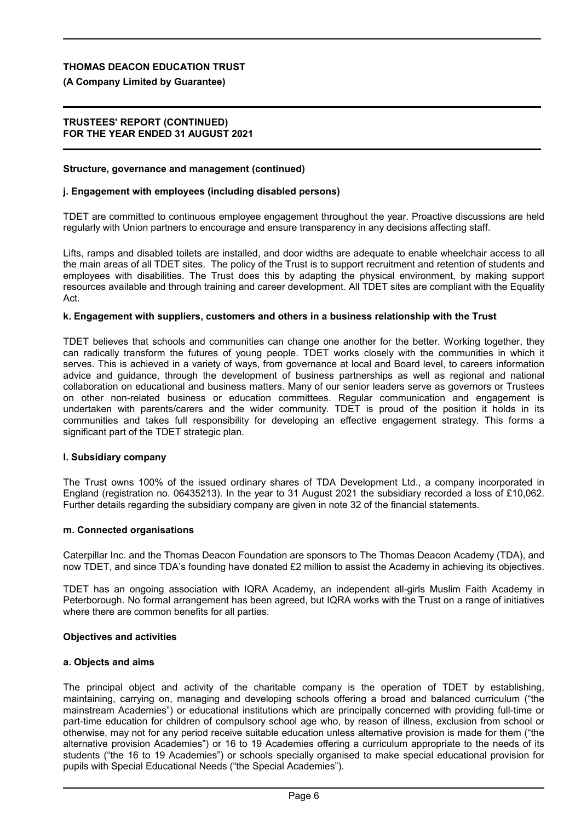## **(A Company Limited by Guarantee)**

### **TRUSTEES' REPORT (CONTINUED) FOR THE YEAR ENDED 31 AUGUST 2021**

### **Structure, governance and management (continued)**

#### **j. Engagement with employees (including disabled persons)**

TDET are committed to continuous employee engagement throughout the year. Proactive discussions are held regularly with Union partners to encourage and ensure transparency in any decisions affecting staff.

Lifts, ramps and disabled toilets are installed, and door widths are adequate to enable wheelchair access to all the main areas of all TDET sites. The policy of the Trust is to support recruitment and retention of students and employees with disabilities. The Trust does this by adapting the physical environment, by making support resources available and through training and career development. All TDET sites are compliant with the Equality Act.

#### **k. Engagement with suppliers, customers and others in a business relationship with the Trust**

TDET believes that schools and communities can change one another for the better. Working together, they can radically transform the futures of young people. TDET works closely with the communities in which it serves. This is achieved in a variety of ways, from governance at local and Board level, to careers information advice and guidance, through the development of business partnerships as well as regional and national collaboration on educational and business matters. Many of our senior leaders serve as governors or Trustees on other non-related business or education committees. Regular communication and engagement is undertaken with parents/carers and the wider community. TDET is proud of the position it holds in its communities and takes full responsibility for developing an effective engagement strategy. This forms a significant part of the TDET strategic plan.

#### **l. Subsidiary company**

The Trust owns 100% of the issued ordinary shares of TDA Development Ltd., a company incorporated in England (registration no. 06435213). In the year to 31 August 2021 the subsidiary recorded a loss of £10,062. Further details regarding the subsidiary company are given in note 32 of the financial statements.

#### **m. Connected organisations**

Caterpillar Inc. and the Thomas Deacon Foundation are sponsors to The Thomas Deacon Academy (TDA), and now TDET, and since TDA's founding have donated £2 million to assist the Academy in achieving its objectives.

TDET has an ongoing association with IQRA Academy, an independent all-girls Muslim Faith Academy in Peterborough. No formal arrangement has been agreed, but IQRA works with the Trust on a range of initiatives where there are common benefits for all parties.

#### **Objectives and activities**

#### **a. Objects and aims**

The principal object and activity of the charitable company is the operation of TDET by establishing, maintaining, carrying on, managing and developing schools offering a broad and balanced curriculum ("the mainstream Academies") or educational institutions which are principally concerned with providing full-time or part-time education for children of compulsory school age who, by reason of illness, exclusion from school or otherwise, may not for any period receive suitable education unless alternative provision is made for them ("the alternative provision Academies") or 16 to 19 Academies offering a curriculum appropriate to the needs of its students ("the 16 to 19 Academies") or schools specially organised to make special educational provision for pupils with Special Educational Needs ("the Special Academies").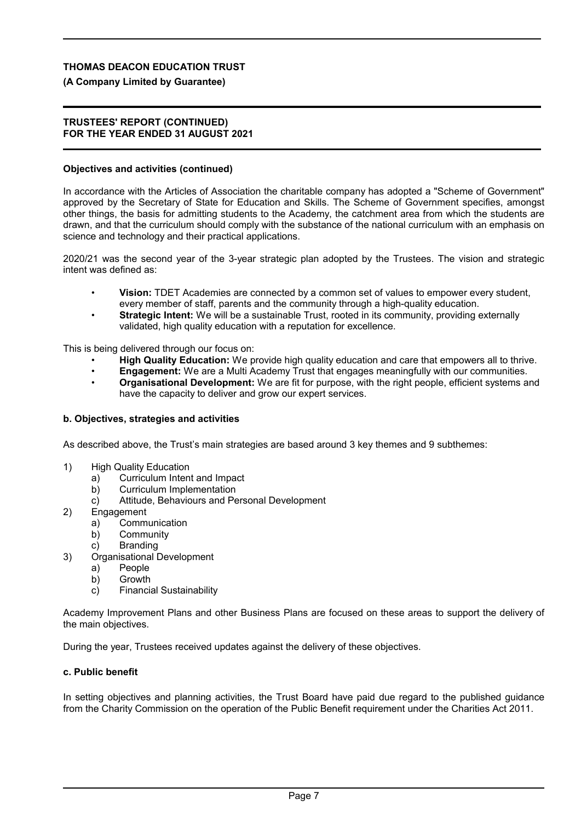## **(A Company Limited by Guarantee)**

#### **TRUSTEES' REPORT (CONTINUED) FOR THE YEAR ENDED 31 AUGUST 2021**

### **Objectives and activities (continued)**

In accordance with the Articles of Association the charitable company has adopted a "Scheme of Government" approved by the Secretary of State for Education and Skills. The Scheme of Government specifies, amongst other things, the basis for admitting students to the Academy, the catchment area from which the students are drawn, and that the curriculum should comply with the substance of the national curriculum with an emphasis on science and technology and their practical applications.

2020/21 was the second year of the 3-year strategic plan adopted by the Trustees. The vision and strategic intent was defined as:

- **Vision:** TDET Academies are connected by a common set of values to empower every student, every member of staff, parents and the community through a high-quality education.
- **Strategic Intent:** We will be a sustainable Trust, rooted in its community, providing externally validated, high quality education with a reputation for excellence.

This is being delivered through our focus on:

- **High Quality Education:** We provide high quality education and care that empowers all to thrive.
- **Engagement:** We are a Multi Academy Trust that engages meaningfully with our communities.
- **Organisational Development:** We are fit for purpose, with the right people, efficient systems and have the capacity to deliver and grow our expert services.

### **b. Objectives, strategies and activities**

As described above, the Trust's main strategies are based around 3 key themes and 9 subthemes:

- 1) High Quality Education
	- a) Curriculum Intent and Impact
	- b) Curriculum Implementation
	- c) Attitude, Behaviours and Personal Development
- 2) Engagement
	- a) Communication
	- b) Community
	- c) Branding
- 3) Organisational Development
	- a) People
	- b) Growth
	- c) Financial Sustainability

Academy Improvement Plans and other Business Plans are focused on these areas to support the delivery of the main objectives.

During the year, Trustees received updates against the delivery of these objectives.

### **c. Public benefit**

In setting objectives and planning activities, the Trust Board have paid due regard to the published guidance from the Charity Commission on the operation of the Public Benefit requirement under the Charities Act 2011.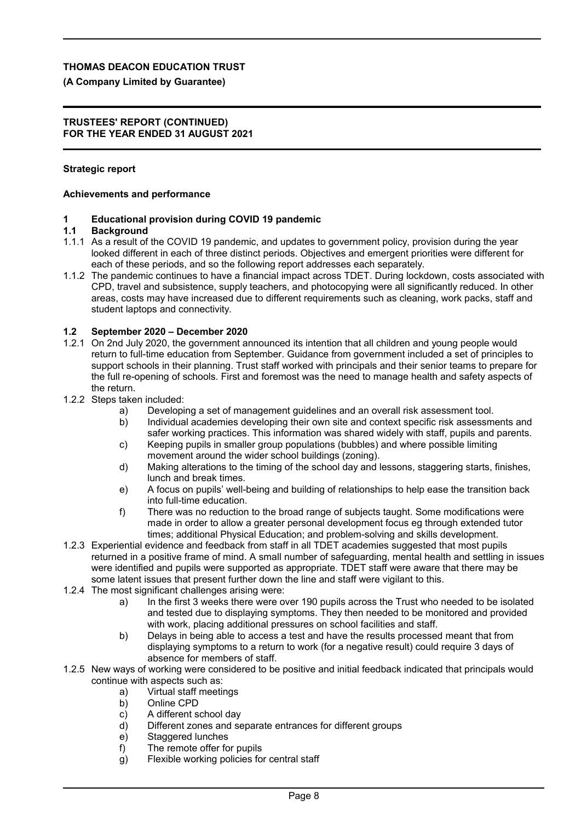## **(A Company Limited by Guarantee)**

#### **TRUSTEES' REPORT (CONTINUED) FOR THE YEAR ENDED 31 AUGUST 2021**

## **Strategic report**

## **Achievements and performance**

# **1 Educational provision during COVID 19 pandemic**

## **Background**

- 1.1.1 As a result of the COVID 19 pandemic, and updates to government policy, provision during the year looked different in each of three distinct periods. Objectives and emergent priorities were different for each of these periods, and so the following report addresses each separately.
- 1.1.2 The pandemic continues to have a financial impact across TDET. During lockdown, costs associated with CPD, travel and subsistence, supply teachers, and photocopying were all significantly reduced. In other areas, costs may have increased due to different requirements such as cleaning, work packs, staff and student laptops and connectivity.

## **1.2 September 2020 – December 2020**

- 1.2.1 On 2nd July 2020, the government announced its intention that all children and young people would return to full-time education from September. Guidance from government included a set of principles to support schools in their planning. Trust staff worked with principals and their senior teams to prepare for the full re-opening of schools. First and foremost was the need to manage health and safety aspects of the return.
- 1.2.2 Steps taken included:
	- a) Developing a set of management guidelines and an overall risk assessment tool.
	- b) Individual academies developing their own site and context specific risk assessments and safer working practices. This information was shared widely with staff, pupils and parents.
	- c) Keeping pupils in smaller group populations (bubbles) and where possible limiting movement around the wider school buildings (zoning).
	- d) Making alterations to the timing of the school day and lessons, staggering starts, finishes, lunch and break times.
	- e) A focus on pupils' well-being and building of relationships to help ease the transition back into full-time education.
	- f) There was no reduction to the broad range of subjects taught. Some modifications were made in order to allow a greater personal development focus eg through extended tutor times; additional Physical Education; and problem-solving and skills development.
- 1.2.3 Experiential evidence and feedback from staff in all TDET academies suggested that most pupils returned in a positive frame of mind. A small number of safeguarding, mental health and settling in issues were identified and pupils were supported as appropriate. TDET staff were aware that there may be some latent issues that present further down the line and staff were vigilant to this.
- 1.2.4 The most significant challenges arising were:
	- a) In the first 3 weeks there were over 190 pupils across the Trust who needed to be isolated and tested due to displaying symptoms. They then needed to be monitored and provided with work, placing additional pressures on school facilities and staff.
	- b) Delays in being able to access a test and have the results processed meant that from displaying symptoms to a return to work (for a negative result) could require 3 days of absence for members of staff.
- 1.2.5 New ways of working were considered to be positive and initial feedback indicated that principals would continue with aspects such as:
	- a) Virtual staff meetings
	- b) Online CPD
	- c) A different school day
	- d) Different zones and separate entrances for different groups
	- e) Staggered lunches
	- f) The remote offer for pupils
	- g) Flexible working policies for central staff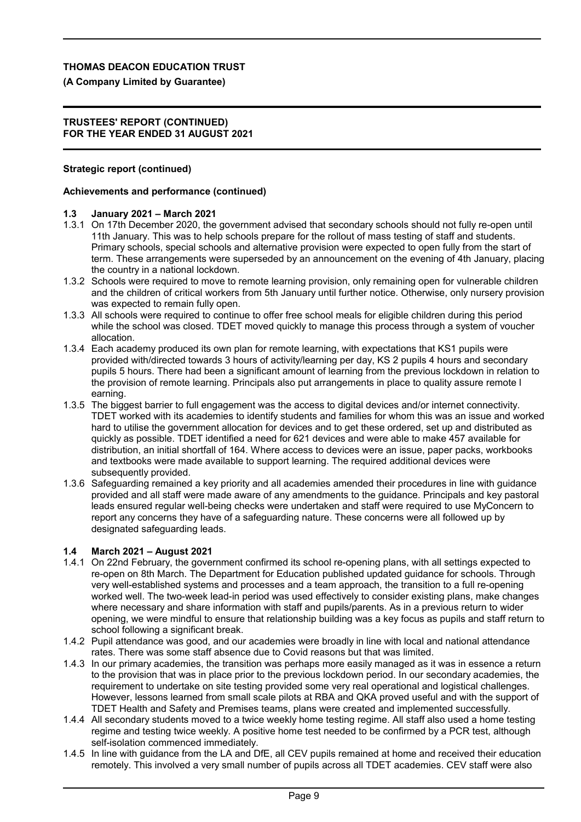## **(A Company Limited by Guarantee)**

#### **TRUSTEES' REPORT (CONTINUED) FOR THE YEAR ENDED 31 AUGUST 2021**

## **Strategic report (continued)**

## **Achievements and performance (continued)**

## **1.3 January 2021 – March 2021**

- 1.3.1 On 17th December 2020, the government advised that secondary schools should not fully re-open until 11th January. This was to help schools prepare for the rollout of mass testing of staff and students. Primary schools, special schools and alternative provision were expected to open fully from the start of term. These arrangements were superseded by an announcement on the evening of 4th January, placing the country in a national lockdown.
- 1.3.2 Schools were required to move to remote learning provision, only remaining open for vulnerable children and the children of critical workers from 5th January until further notice. Otherwise, only nursery provision was expected to remain fully open.
- 1.3.3 All schools were required to continue to offer free school meals for eligible children during this period while the school was closed. TDET moved quickly to manage this process through a system of voucher allocation.
- 1.3.4 Each academy produced its own plan for remote learning, with expectations that KS1 pupils were provided with/directed towards 3 hours of activity/learning per day, KS 2 pupils 4 hours and secondary pupils 5 hours. There had been a significant amount of learning from the previous lockdown in relation to the provision of remote learning. Principals also put arrangements in place to quality assure remote l earning.
- 1.3.5 The biggest barrier to full engagement was the access to digital devices and/or internet connectivity. TDET worked with its academies to identify students and families for whom this was an issue and worked hard to utilise the government allocation for devices and to get these ordered, set up and distributed as quickly as possible. TDET identified a need for 621 devices and were able to make 457 available for distribution, an initial shortfall of 164. Where access to devices were an issue, paper packs, workbooks and textbooks were made available to support learning. The required additional devices were subsequently provided.
- 1.3.6 Safeguarding remained a key priority and all academies amended their procedures in line with guidance provided and all staff were made aware of any amendments to the guidance. Principals and key pastoral leads ensured regular well-being checks were undertaken and staff were required to use MyConcern to report any concerns they have of a safeguarding nature. These concerns were all followed up by designated safeguarding leads.

## **1.4 March 2021 – August 2021**

- 1.4.1 On 22nd February, the government confirmed its school re-opening plans, with all settings expected to re-open on 8th March. The Department for Education published updated guidance for schools. Through very well-established systems and processes and a team approach, the transition to a full re-opening worked well. The two-week lead-in period was used effectively to consider existing plans, make changes where necessary and share information with staff and pupils/parents. As in a previous return to wider opening, we were mindful to ensure that relationship building was a key focus as pupils and staff return to school following a significant break.
- 1.4.2 Pupil attendance was good, and our academies were broadly in line with local and national attendance rates. There was some staff absence due to Covid reasons but that was limited.
- 1.4.3 In our primary academies, the transition was perhaps more easily managed as it was in essence a return to the provision that was in place prior to the previous lockdown period. In our secondary academies, the requirement to undertake on site testing provided some very real operational and logistical challenges. However, lessons learned from small scale pilots at RBA and QKA proved useful and with the support of TDET Health and Safety and Premises teams, plans were created and implemented successfully.
- 1.4.4 All secondary students moved to a twice weekly home testing regime. All staff also used a home testing regime and testing twice weekly. A positive home test needed to be confirmed by a PCR test, although self-isolation commenced immediately.
- 1.4.5 In line with guidance from the LA and DfE, all CEV pupils remained at home and received their education remotely. This involved a very small number of pupils across all TDET academies. CEV staff were also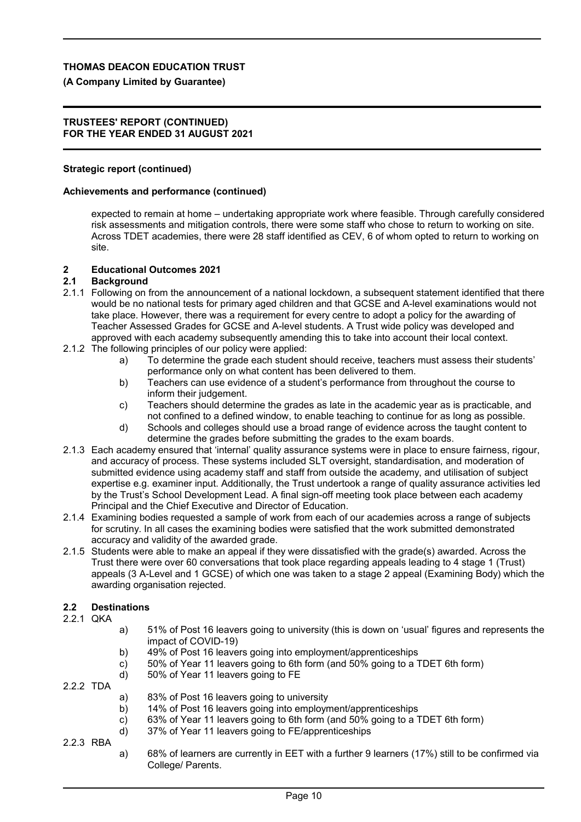## **(A Company Limited by Guarantee)**

#### **TRUSTEES' REPORT (CONTINUED) FOR THE YEAR ENDED 31 AUGUST 2021**

## **Strategic report (continued)**

### **Achievements and performance (continued)**

expected to remain at home – undertaking appropriate work where feasible. Through carefully considered risk assessments and mitigation controls, there were some staff who chose to return to working on site. Across TDET academies, there were 28 staff identified as CEV, 6 of whom opted to return to working on site.

### **2 Educational Outcomes 2021**

### **2.1 Background**

- 2.1.1 Following on from the announcement of a national lockdown, a subsequent statement identified that there would be no national tests for primary aged children and that GCSE and A-level examinations would not take place. However, there was a requirement for every centre to adopt a policy for the awarding of Teacher Assessed Grades for GCSE and A-level students. A Trust wide policy was developed and approved with each academy subsequently amending this to take into account their local context.
- 2.1.2 The following principles of our policy were applied:
	- a) To determine the grade each student should receive, teachers must assess their students' performance only on what content has been delivered to them.
	- b) Teachers can use evidence of a student's performance from throughout the course to inform their judgement.
	- c) Teachers should determine the grades as late in the academic year as is practicable, and not confined to a defined window, to enable teaching to continue for as long as possible.
	- d) Schools and colleges should use a broad range of evidence across the taught content to determine the grades before submitting the grades to the exam boards.
- 2.1.3 Each academy ensured that 'internal' quality assurance systems were in place to ensure fairness, rigour, and accuracy of process. These systems included SLT oversight, standardisation, and moderation of submitted evidence using academy staff and staff from outside the academy, and utilisation of subject expertise e.g. examiner input. Additionally, the Trust undertook a range of quality assurance activities led by the Trust's School Development Lead. A final sign-off meeting took place between each academy Principal and the Chief Executive and Director of Education.
- 2.1.4 Examining bodies requested a sample of work from each of our academies across a range of subjects for scrutiny. In all cases the examining bodies were satisfied that the work submitted demonstrated accuracy and validity of the awarded grade.
- 2.1.5 Students were able to make an appeal if they were dissatisfied with the grade(s) awarded. Across the Trust there were over 60 conversations that took place regarding appeals leading to 4 stage 1 (Trust) appeals (3 A-Level and 1 GCSE) of which one was taken to a stage 2 appeal (Examining Body) which the awarding organisation rejected.

## **2.2 Destinations**

- 2.2.1 QKA
- a) 51% of Post 16 leavers going to university (this is down on 'usual' figures and represents the impact of COVID-19)
- b) 49% of Post 16 leavers going into employment/apprenticeships
- c) 50% of Year 11 leavers going to 6th form (and 50% going to a TDET 6th form)
- d) 50% of Year 11 leavers going to FE
- 2.2.2 TDA
- a) 83% of Post 16 leavers going to university
- b) 14% of Post 16 leavers going into employment/apprenticeships
- c) 63% of Year 11 leavers going to 6th form (and 50% going to a TDET 6th form)
- d) 37% of Year 11 leavers going to FE/apprenticeships
- 2.2.3 RBA
- a) 68% of learners are currently in EET with a further 9 learners (17%) still to be confirmed via College/ Parents.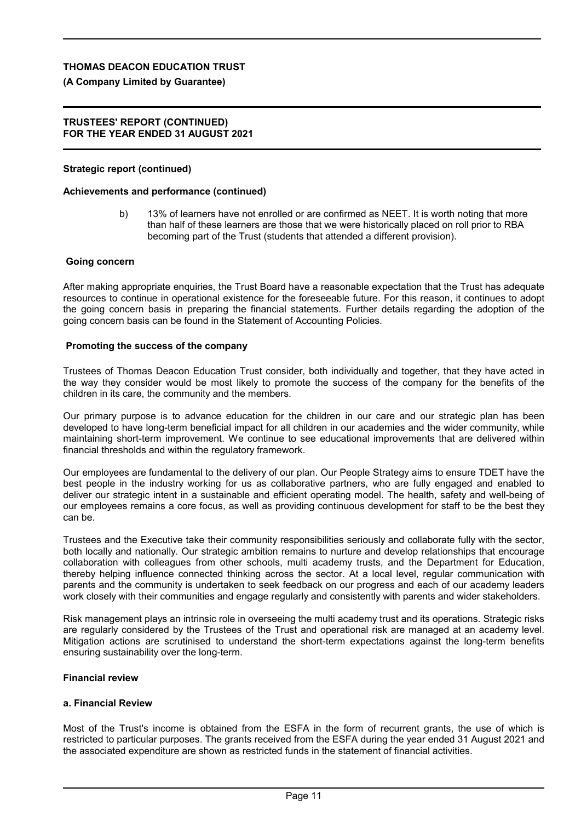# **(A Company Limited by Guarantee)**

## **TRUSTEES' REPORT (CONTINUED) FOR THE YEAR ENDED 31 AUGUST 2021**

# **Strategic report (continued)**

# **Achievements and performance (continued)**

b) 13% of learners have not enrolled or are confirmed as NEET. It is worth noting that more than half of these learners are those that we were historically placed on roll prior to RBA becoming part of the Trust (students that attended a different provision).

# **Going concern**

After making appropriate enquiries, the Trust Board have a reasonable expectation that the Trust has adequate resources to continue in operational existence for the foreseeable future. For this reason, it continues to adopt the going concern basis in preparing the financial statements. Further details regarding the adoption of the going concern basis can be found in the Statement of Accounting Policies.

# **Promoting the success of the company**

Trustees of Thomas Deacon Education Trust consider, both individually and together, that they have acted in the way they consider would be most likely to promote the success of the company for the benefits of the children in its care, the community and the members.

Our primary purpose is to advance education for the children in our care and our strategic plan has been developed to have long-term beneficial impact for all children in our academies and the wider community, while maintaining short-term improvement. We continue to see educational improvements that are delivered within financial thresholds and within the regulatory framework.

Our employees are fundamental to the delivery of our plan. Our People Strategy aims to ensure TDET have the best people in the industry working for us as collaborative partners, who are fully engaged and enabled to deliver our strategic intent in a sustainable and efficient operating model. The health, safety and well-being of our employees remains a core focus, as well as providing continuous development for staff to be the best they can be.

Trustees and the Executive take their community responsibilities seriously and collaborate fully with the sector, both locally and nationally. Our strategic ambition remains to nurture and develop relationships that encourage collaboration with colleagues from other schools, multi academy trusts, and the Department for Education, thereby helping influence connected thinking across the sector. At a local level, regular communication with parents and the community is undertaken to seek feedback on our progress and each of our academy leaders work closely with their communities and engage regularly and consistently with parents and wider stakeholders.

Risk management plays an intrinsic role in overseeing the multi academy trust and its operations. Strategic risks are regularly considered by the Trustees of the Trust and operational risk are managed at an academy level. Mitigation actions are scrutinised to understand the short-term expectations against the long-term benefits ensuring sustainability over the long-term.

# **Financial review**

# **a. Financial Review**

Most of the Trust's income is obtained from the ESFA in the form of recurrent grants, the use of which is restricted to particular purposes. The grants received from the ESFA during the year ended 31 August 2021 and the associated expenditure are shown as restricted funds in the statement of financial activities.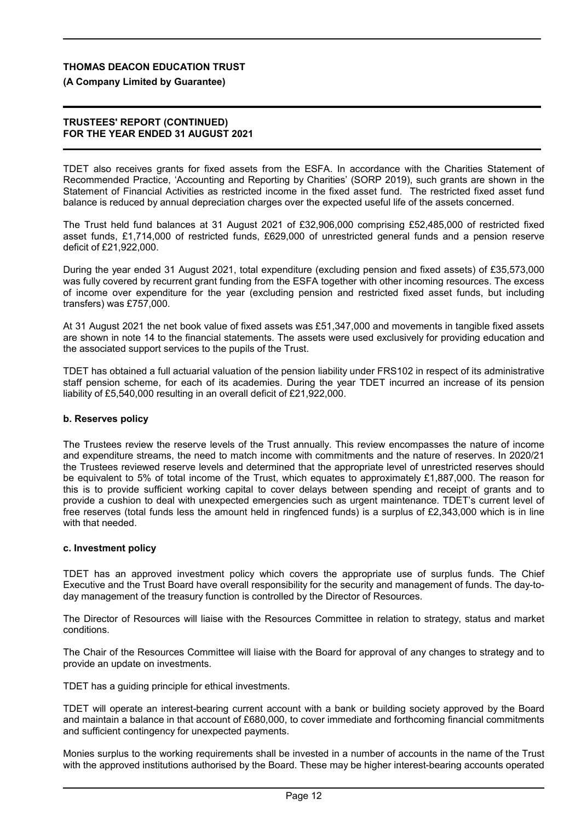## **(A Company Limited by Guarantee)**

#### **TRUSTEES' REPORT (CONTINUED) FOR THE YEAR ENDED 31 AUGUST 2021**

TDET also receives grants for fixed assets from the ESFA. In accordance with the Charities Statement of Recommended Practice, 'Accounting and Reporting by Charities' (SORP 2019), such grants are shown in the Statement of Financial Activities as restricted income in the fixed asset fund. The restricted fixed asset fund balance is reduced by annual depreciation charges over the expected useful life of the assets concerned.

The Trust held fund balances at 31 August 2021 of £32,906,000 comprising £52,485,000 of restricted fixed asset funds, £1,714,000 of restricted funds, £629,000 of unrestricted general funds and a pension reserve deficit of £21,922,000.

During the year ended 31 August 2021, total expenditure (excluding pension and fixed assets) of £35,573,000 was fully covered by recurrent grant funding from the ESFA together with other incoming resources. The excess of income over expenditure for the year (excluding pension and restricted fixed asset funds, but including transfers) was £757,000.

At 31 August 2021 the net book value of fixed assets was £51,347,000 and movements in tangible fixed assets are shown in note 14 to the financial statements. The assets were used exclusively for providing education and the associated support services to the pupils of the Trust.

TDET has obtained a full actuarial valuation of the pension liability under FRS102 in respect of its administrative staff pension scheme, for each of its academies. During the year TDET incurred an increase of its pension liability of £5,540,000 resulting in an overall deficit of £21,922,000.

### **b. Reserves policy**

The Trustees review the reserve levels of the Trust annually. This review encompasses the nature of income and expenditure streams, the need to match income with commitments and the nature of reserves. In 2020/21 the Trustees reviewed reserve levels and determined that the appropriate level of unrestricted reserves should be equivalent to 5% of total income of the Trust, which equates to approximately £1,887,000. The reason for this is to provide sufficient working capital to cover delays between spending and receipt of grants and to provide a cushion to deal with unexpected emergencies such as urgent maintenance. TDET's current level of free reserves (total funds less the amount held in ringfenced funds) is a surplus of £2,343,000 which is in line with that needed.

### **c. Investment policy**

TDET has an approved investment policy which covers the appropriate use of surplus funds. The Chief Executive and the Trust Board have overall responsibility for the security and management of funds. The day-today management of the treasury function is controlled by the Director of Resources.

The Director of Resources will liaise with the Resources Committee in relation to strategy, status and market conditions.

The Chair of the Resources Committee will liaise with the Board for approval of any changes to strategy and to provide an update on investments.

TDET has a guiding principle for ethical investments.

TDET will operate an interest-bearing current account with a bank or building society approved by the Board and maintain a balance in that account of £680,000, to cover immediate and forthcoming financial commitments and sufficient contingency for unexpected payments.

Monies surplus to the working requirements shall be invested in a number of accounts in the name of the Trust with the approved institutions authorised by the Board. These may be higher interest-bearing accounts operated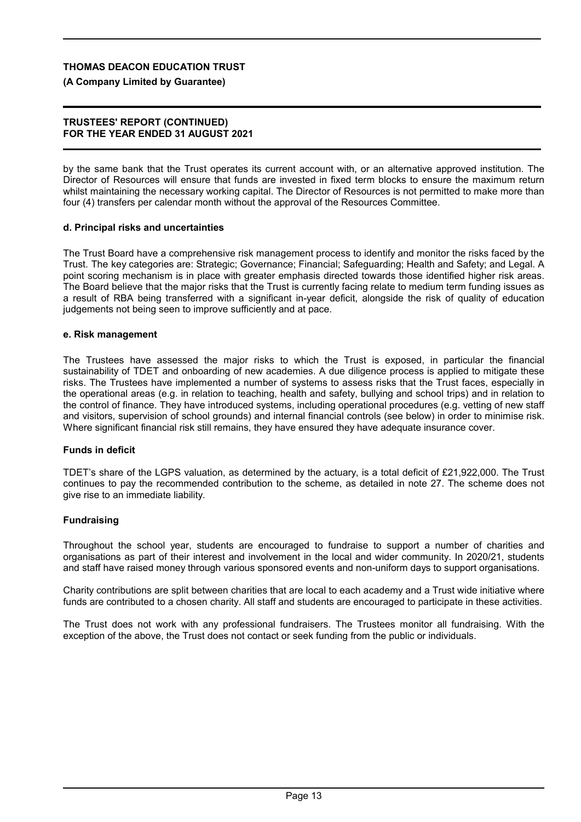#### **(A Company Limited by Guarantee)**

#### **TRUSTEES' REPORT (CONTINUED) FOR THE YEAR ENDED 31 AUGUST 2021**

by the same bank that the Trust operates its current account with, or an alternative approved institution. The Director of Resources will ensure that funds are invested in fixed term blocks to ensure the maximum return whilst maintaining the necessary working capital. The Director of Resources is not permitted to make more than four (4) transfers per calendar month without the approval of the Resources Committee.

#### **d. Principal risks and uncertainties**

The Trust Board have a comprehensive risk management process to identify and monitor the risks faced by the Trust. The key categories are: Strategic; Governance; Financial; Safeguarding; Health and Safety; and Legal. A point scoring mechanism is in place with greater emphasis directed towards those identified higher risk areas. The Board believe that the major risks that the Trust is currently facing relate to medium term funding issues as a result of RBA being transferred with a significant in-year deficit, alongside the risk of quality of education judgements not being seen to improve sufficiently and at pace.

#### **e. Risk management**

The Trustees have assessed the major risks to which the Trust is exposed, in particular the financial sustainability of TDET and onboarding of new academies. A due diligence process is applied to mitigate these risks. The Trustees have implemented a number of systems to assess risks that the Trust faces, especially in the operational areas (e.g. in relation to teaching, health and safety, bullying and school trips) and in relation to the control of finance. They have introduced systems, including operational procedures (e.g. vetting of new staff and visitors, supervision of school grounds) and internal financial controls (see below) in order to minimise risk. Where significant financial risk still remains, they have ensured they have adequate insurance cover.

#### **Funds in deficit**

TDET's share of the LGPS valuation, as determined by the actuary, is a total deficit of £21,922,000. The Trust continues to pay the recommended contribution to the scheme, as detailed in note 27. The scheme does not give rise to an immediate liability.

### **Fundraising**

Throughout the school year, students are encouraged to fundraise to support a number of charities and organisations as part of their interest and involvement in the local and wider community. In 2020/21, students and staff have raised money through various sponsored events and non-uniform days to support organisations.

Charity contributions are split between charities that are local to each academy and a Trust wide initiative where funds are contributed to a chosen charity. All staff and students are encouraged to participate in these activities.

The Trust does not work with any professional fundraisers. The Trustees monitor all fundraising. With the exception of the above, the Trust does not contact or seek funding from the public or individuals.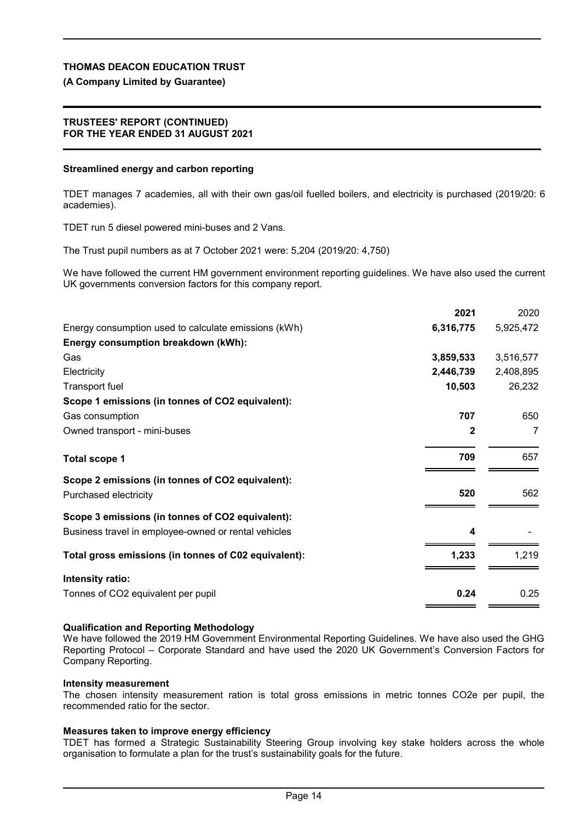# **(A Company Limited by Guarantee)**

## **TRUSTEES' REPORT (CONTINUED) FOR THE YEAR ENDED 31 AUGUST 2021**

# **Streamlined energy and carbon reporting**

TDET manages 7 academies, all with their own gas/oil fuelled boilers, and electricity is purchased (2019/20: 6 academies).

TDET run 5 diesel powered mini-buses and 2 Vans.

The Trust pupil numbers as at 7 October 2021 were: 5,204 (2019/20: 4,750)

We have followed the current HM government environment reporting guidelines. We have also used the current UK governments conversion factors for this company report.

|                                                      | 2021      | 2020           |
|------------------------------------------------------|-----------|----------------|
| Energy consumption used to calculate emissions (kWh) | 6,316,775 | 5,925,472      |
| Energy consumption breakdown (kWh):                  |           |                |
| Gas                                                  | 3,859,533 | 3,516,577      |
| Electricity                                          | 2,446,739 | 2,408,895      |
| <b>Transport fuel</b>                                | 10,503    | 26,232         |
| Scope 1 emissions (in tonnes of CO2 equivalent):     |           |                |
| Gas consumption                                      | 707       | 650            |
| Owned transport - mini-buses                         | 2         | $\overline{7}$ |
| <b>Total scope 1</b>                                 | 709       | 657            |
| Scope 2 emissions (in tonnes of CO2 equivalent):     | 520       | 562            |
| Purchased electricity                                |           |                |
| Scope 3 emissions (in tonnes of CO2 equivalent):     |           |                |
| Business travel in employee-owned or rental vehicles | 4         |                |
| Total gross emissions (in tonnes of C02 equivalent): | 1,233     | 1,219          |
| Intensity ratio:                                     |           |                |
| Tonnes of CO2 equivalent per pupil                   | 0.24      | 0.25           |
|                                                      |           |                |

# **Qualification and Reporting Methodology**

We have followed the 2019 HM Government Environmental Reporting Guidelines. We have also used the GHG Reporting Protocol – Corporate Standard and have used the 2020 UK Government's Conversion Factors for Company Reporting.

## **Intensity measurement**

The chosen intensity measurement ration is total gross emissions in metric tonnes CO2e per pupil, the recommended ratio for the sector.

# **Measures taken to improve energy efficiency**

TDET has formed a Strategic Sustainability Steering Group involving key stake holders across the whole organisation to formulate a plan for the trust's sustainability goals for the future.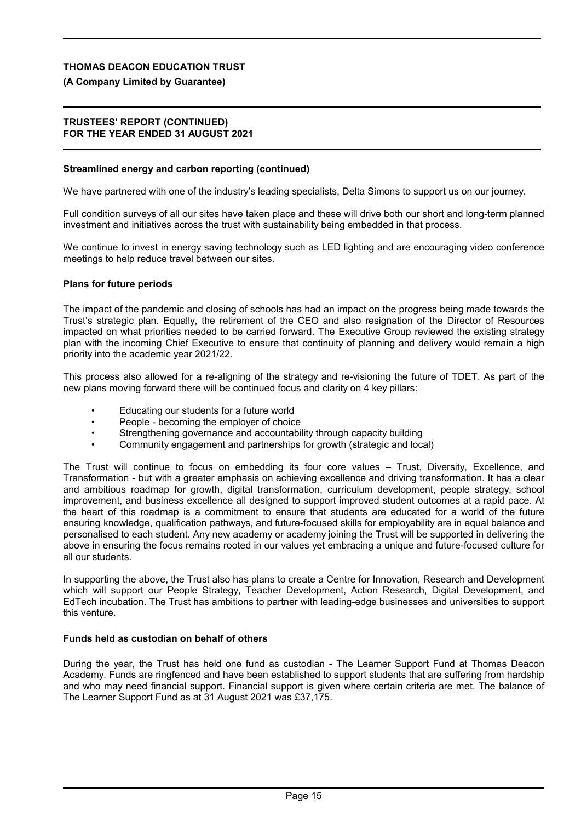#### **(A Company Limited by Guarantee)**

#### **TRUSTEES' REPORT (CONTINUED) FOR THE YEAR ENDED 31 AUGUST 2021**

#### **Streamlined energy and carbon reporting (continued)**

We have partnered with one of the industry's leading specialists, Delta Simons to support us on our journey.

Full condition surveys of all our sites have taken place and these will drive both our short and long-term planned investment and initiatives across the trust with sustainability being embedded in that process.

We continue to invest in energy saving technology such as LED lighting and are encouraging video conference meetings to help reduce travel between our sites.

#### **Plans for future periods**

The impact of the pandemic and closing of schools has had an impact on the progress being made towards the Trust's strategic plan. Equally, the retirement of the CEO and also resignation of the Director of Resources impacted on what priorities needed to be carried forward. The Executive Group reviewed the existing strategy plan with the incoming Chief Executive to ensure that continuity of planning and delivery would remain a high priority into the academic year 2021/22.

This process also allowed for a re-aligning of the strategy and re-visioning the future of TDET. As part of the new plans moving forward there will be continued focus and clarity on 4 key pillars:

- Educating our students for a future world
- People becoming the employer of choice
- Strengthening governance and accountability through capacity building
- Community engagement and partnerships for growth (strategic and local)

The Trust will continue to focus on embedding its four core values – Trust, Diversity, Excellence, and Transformation - but with a greater emphasis on achieving excellence and driving transformation. It has a clear and ambitious roadmap for growth, digital transformation, curriculum development, people strategy, school improvement, and business excellence all designed to support improved student outcomes at a rapid pace. At the heart of this roadmap is a commitment to ensure that students are educated for a world of the future ensuring knowledge, qualification pathways, and future-focused skills for employability are in equal balance and personalised to each student. Any new academy or academy joining the Trust will be supported in delivering the above in ensuring the focus remains rooted in our values yet embracing a unique and future-focused culture for all our students.

In supporting the above, the Trust also has plans to create a Centre for Innovation, Research and Development which will support our People Strategy, Teacher Development, Action Research, Digital Development, and EdTech incubation. The Trust has ambitions to partner with leading-edge businesses and universities to support this venture.

#### **Funds held as custodian on behalf of others**

During the year, the Trust has held one fund as custodian - The Learner Support Fund at Thomas Deacon Academy. Funds are ringfenced and have been established to support students that are suffering from hardship and who may need financial support. Financial support is given where certain criteria are met. The balance of The Learner Support Fund as at 31 August 2021 was £37,175.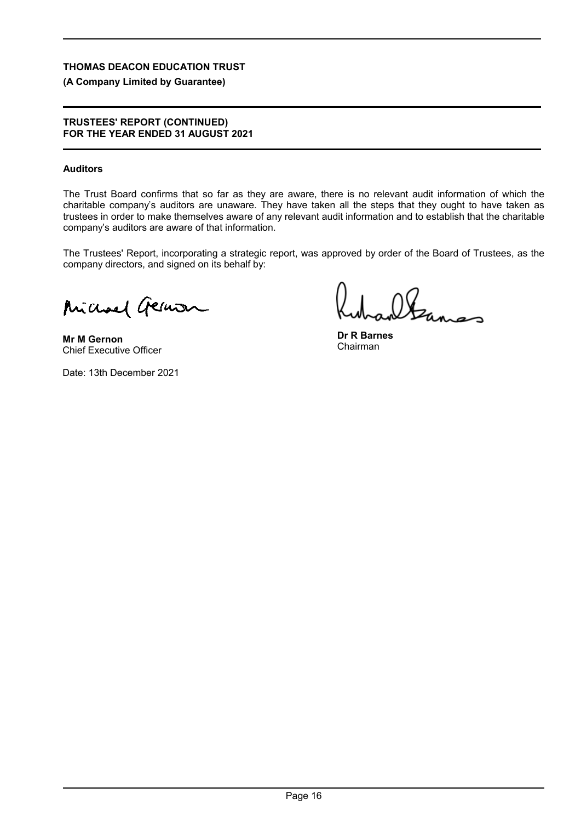# **(A Company Limited by Guarantee)**

## **TRUSTEES' REPORT (CONTINUED) FOR THE YEAR ENDED 31 AUGUST 2021**

# **Auditors**

The Trust Board confirms that so far as they are aware, there is no relevant audit information of which the charitable company's auditors are unaware. They have taken all the steps that they ought to have taken as trustees in order to make themselves aware of any relevant audit information and to establish that the charitable company's auditors are aware of that information.

The Trustees' Report, incorporating a strategic report, was approved by order of the Board of Trustees, as the company directors, and signed on its behalf by:

Michael German

**Mr M Gernon** Chief Executive Officer

Date: 13th December 2021

Itanas

**Dr R Barnes** Chairman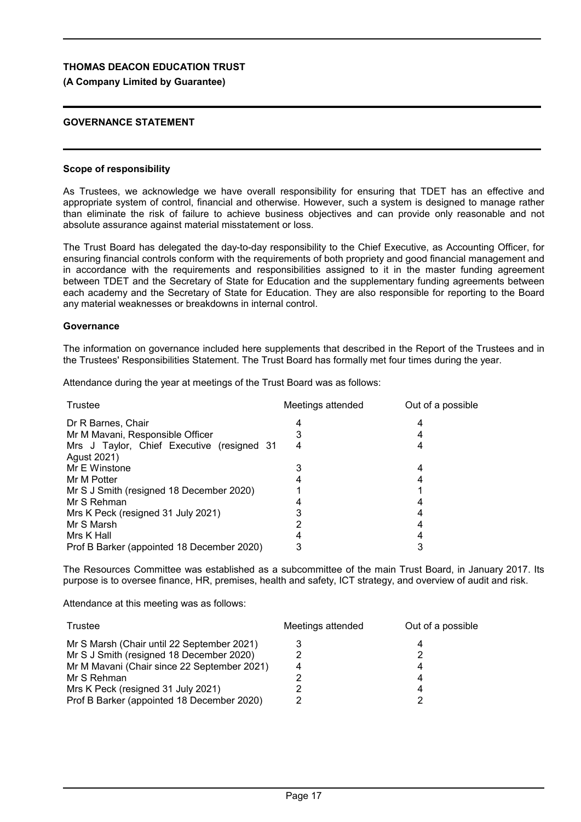## **(A Company Limited by Guarantee)**

## **GOVERNANCE STATEMENT**

#### **Scope of responsibility**

As Trustees, we acknowledge we have overall responsibility for ensuring that TDET has an effective and appropriate system of control, financial and otherwise. However, such a system is designed to manage rather than eliminate the risk of failure to achieve business objectives and can provide only reasonable and not absolute assurance against material misstatement or loss.

The Trust Board has delegated the day-to-day responsibility to the Chief Executive, as Accounting Officer, for ensuring financial controls conform with the requirements of both propriety and good financial management and in accordance with the requirements and responsibilities assigned to it in the master funding agreement between TDET and the Secretary of State for Education and the supplementary funding agreements between each academy and the Secretary of State for Education. They are also responsible for reporting to the Board any material weaknesses or breakdowns in internal control.

#### **Governance**

The information on governance included here supplements that described in the Report of the Trustees and in the Trustees' Responsibilities Statement. The Trust Board has formally met four times during the year.

Attendance during the year at meetings of the Trust Board was as follows:

| Trustee                                    | Meetings attended | Out of a possible |
|--------------------------------------------|-------------------|-------------------|
| Dr R Barnes, Chair                         |                   |                   |
| Mr M Mavani, Responsible Officer           |                   |                   |
| Mrs J Taylor, Chief Executive (resigned 31 |                   |                   |
| Agust 2021)                                |                   |                   |
| Mr E Winstone                              |                   | 4                 |
| Mr M Potter                                |                   |                   |
| Mr S J Smith (resigned 18 December 2020)   |                   |                   |
| Mr S Rehman                                |                   |                   |
| Mrs K Peck (resigned 31 July 2021)         |                   |                   |
| Mr S Marsh                                 |                   |                   |
| Mrs K Hall                                 |                   |                   |
| Prof B Barker (appointed 18 December 2020) |                   |                   |

The Resources Committee was established as a subcommittee of the main Trust Board, in January 2017. Its purpose is to oversee finance, HR, premises, health and safety, ICT strategy, and overview of audit and risk.

Attendance at this meeting was as follows:

| Trustee                                     | Meetings attended | Out of a possible |
|---------------------------------------------|-------------------|-------------------|
| Mr S Marsh (Chair until 22 September 2021)  |                   |                   |
| Mr S J Smith (resigned 18 December 2020)    |                   |                   |
| Mr M Mavani (Chair since 22 September 2021) |                   |                   |
| Mr S Rehman                                 |                   |                   |
| Mrs K Peck (resigned 31 July 2021)          |                   |                   |
| Prof B Barker (appointed 18 December 2020)  |                   |                   |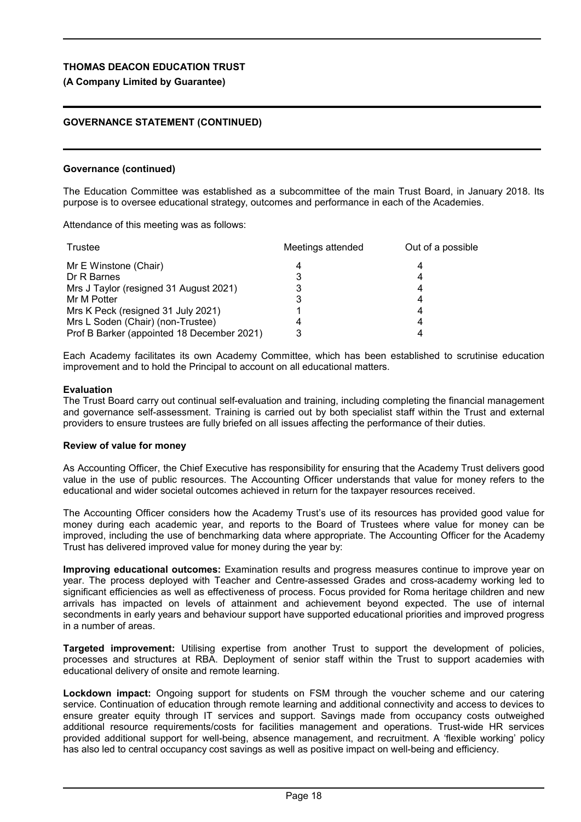## **(A Company Limited by Guarantee)**

## **GOVERNANCE STATEMENT (CONTINUED)**

#### **Governance (continued)**

The Education Committee was established as a subcommittee of the main Trust Board, in January 2018. Its purpose is to oversee educational strategy, outcomes and performance in each of the Academies.

Attendance of this meeting was as follows:

| Trustee                                    | Meetings attended | Out of a possible |
|--------------------------------------------|-------------------|-------------------|
| Mr E Winstone (Chair)                      |                   |                   |
| Dr R Barnes                                |                   |                   |
| Mrs J Taylor (resigned 31 August 2021)     |                   |                   |
| Mr M Potter                                |                   |                   |
| Mrs K Peck (resigned 31 July 2021)         |                   |                   |
| Mrs L Soden (Chair) (non-Trustee)          |                   |                   |
| Prof B Barker (appointed 18 December 2021) |                   |                   |

Each Academy facilitates its own Academy Committee, which has been established to scrutinise education improvement and to hold the Principal to account on all educational matters.

#### **Evaluation**

The Trust Board carry out continual self-evaluation and training, including completing the financial management and governance self-assessment. Training is carried out by both specialist staff within the Trust and external providers to ensure trustees are fully briefed on all issues affecting the performance of their duties.

#### **Review of value for money**

As Accounting Officer, the Chief Executive has responsibility for ensuring that the Academy Trust delivers good value in the use of public resources. The Accounting Officer understands that value for money refers to the educational and wider societal outcomes achieved in return for the taxpayer resources received.

The Accounting Officer considers how the Academy Trust's use of its resources has provided good value for money during each academic year, and reports to the Board of Trustees where value for money can be improved, including the use of benchmarking data where appropriate. The Accounting Officer for the Academy Trust has delivered improved value for money during the year by:

**Improving educational outcomes:** Examination results and progress measures continue to improve year on year. The process deployed with Teacher and Centre-assessed Grades and cross-academy working led to significant efficiencies as well as effectiveness of process. Focus provided for Roma heritage children and new arrivals has impacted on levels of attainment and achievement beyond expected. The use of internal secondments in early years and behaviour support have supported educational priorities and improved progress in a number of areas.

**Targeted improvement:** Utilising expertise from another Trust to support the development of policies, processes and structures at RBA. Deployment of senior staff within the Trust to support academies with educational delivery of onsite and remote learning.

**Lockdown impact:** Ongoing support for students on FSM through the voucher scheme and our catering service. Continuation of education through remote learning and additional connectivity and access to devices to ensure greater equity through IT services and support. Savings made from occupancy costs outweighed additional resource requirements/costs for facilities management and operations. Trust-wide HR services provided additional support for well-being, absence management, and recruitment. A 'flexible working' policy has also led to central occupancy cost savings as well as positive impact on well-being and efficiency.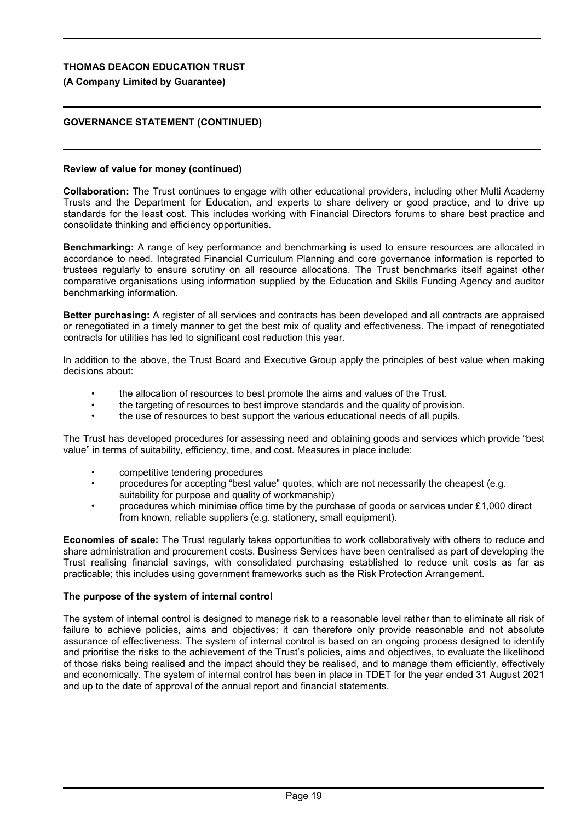## **(A Company Limited by Guarantee)**

## **GOVERNANCE STATEMENT (CONTINUED)**

#### **Review of value for money (continued)**

**Collaboration:** The Trust continues to engage with other educational providers, including other Multi Academy Trusts and the Department for Education, and experts to share delivery or good practice, and to drive up standards for the least cost. This includes working with Financial Directors forums to share best practice and consolidate thinking and efficiency opportunities.

**Benchmarking:** A range of key performance and benchmarking is used to ensure resources are allocated in accordance to need. Integrated Financial Curriculum Planning and core governance information is reported to trustees regularly to ensure scrutiny on all resource allocations. The Trust benchmarks itself against other comparative organisations using information supplied by the Education and Skills Funding Agency and auditor benchmarking information.

**Better purchasing:** A register of all services and contracts has been developed and all contracts are appraised or renegotiated in a timely manner to get the best mix of quality and effectiveness. The impact of renegotiated contracts for utilities has led to significant cost reduction this year.

In addition to the above, the Trust Board and Executive Group apply the principles of best value when making decisions about:

- the allocation of resources to best promote the aims and values of the Trust.
- the targeting of resources to best improve standards and the quality of provision.
- the use of resources to best support the various educational needs of all pupils.

The Trust has developed procedures for assessing need and obtaining goods and services which provide "best value" in terms of suitability, efficiency, time, and cost. Measures in place include:

- competitive tendering procedures
- procedures for accepting "best value" quotes, which are not necessarily the cheapest (e.g. suitability for purpose and quality of workmanship)
- procedures which minimise office time by the purchase of goods or services under £1,000 direct from known, reliable suppliers (e.g. stationery, small equipment).

**Economies of scale:** The Trust regularly takes opportunities to work collaboratively with others to reduce and share administration and procurement costs. Business Services have been centralised as part of developing the Trust realising financial savings, with consolidated purchasing established to reduce unit costs as far as practicable; this includes using government frameworks such as the Risk Protection Arrangement.

### **The purpose of the system of internal control**

The system of internal control is designed to manage risk to a reasonable level rather than to eliminate all risk of failure to achieve policies, aims and objectives; it can therefore only provide reasonable and not absolute assurance of effectiveness. The system of internal control is based on an ongoing process designed to identify and prioritise the risks to the achievement of the Trust's policies, aims and objectives, to evaluate the likelihood of those risks being realised and the impact should they be realised, and to manage them efficiently, effectively and economically. The system of internal control has been in place in TDET for the year ended 31 August 2021 and up to the date of approval of the annual report and financial statements.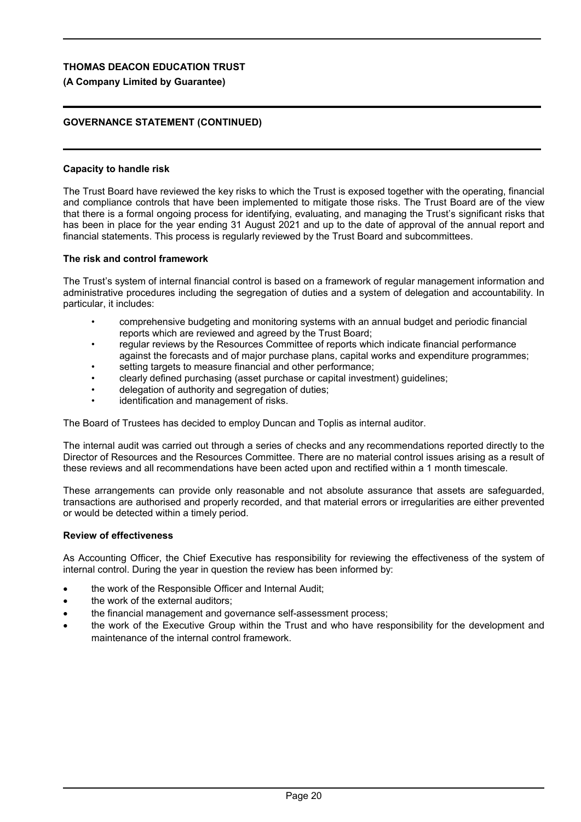## **(A Company Limited by Guarantee)**

## **GOVERNANCE STATEMENT (CONTINUED)**

#### **Capacity to handle risk**

The Trust Board have reviewed the key risks to which the Trust is exposed together with the operating, financial and compliance controls that have been implemented to mitigate those risks. The Trust Board are of the view that there is a formal ongoing process for identifying, evaluating, and managing the Trust's significant risks that has been in place for the year ending 31 August 2021 and up to the date of approval of the annual report and financial statements. This process is regularly reviewed by the Trust Board and subcommittees.

#### **The risk and control framework**

The Trust's system of internal financial control is based on a framework of regular management information and administrative procedures including the segregation of duties and a system of delegation and accountability. In particular, it includes:

- comprehensive budgeting and monitoring systems with an annual budget and periodic financial reports which are reviewed and agreed by the Trust Board;
- regular reviews by the Resources Committee of reports which indicate financial performance against the forecasts and of major purchase plans, capital works and expenditure programmes;
- setting targets to measure financial and other performance;
- clearly defined purchasing (asset purchase or capital investment) guidelines;
- delegation of authority and segregation of duties;
- identification and management of risks.

The Board of Trustees has decided to employ Duncan and Toplis as internal auditor.

The internal audit was carried out through a series of checks and any recommendations reported directly to the Director of Resources and the Resources Committee. There are no material control issues arising as a result of these reviews and all recommendations have been acted upon and rectified within a 1 month timescale.

These arrangements can provide only reasonable and not absolute assurance that assets are safeguarded, transactions are authorised and properly recorded, and that material errors or irregularities are either prevented or would be detected within a timely period.

### **Review of effectiveness**

As Accounting Officer, the Chief Executive has responsibility for reviewing the effectiveness of the system of internal control. During the year in question the review has been informed by:

- the work of the Responsible Officer and Internal Audit;
- the work of the external auditors;
- the financial management and governance self-assessment process;
- the work of the Executive Group within the Trust and who have responsibility for the development and maintenance of the internal control framework.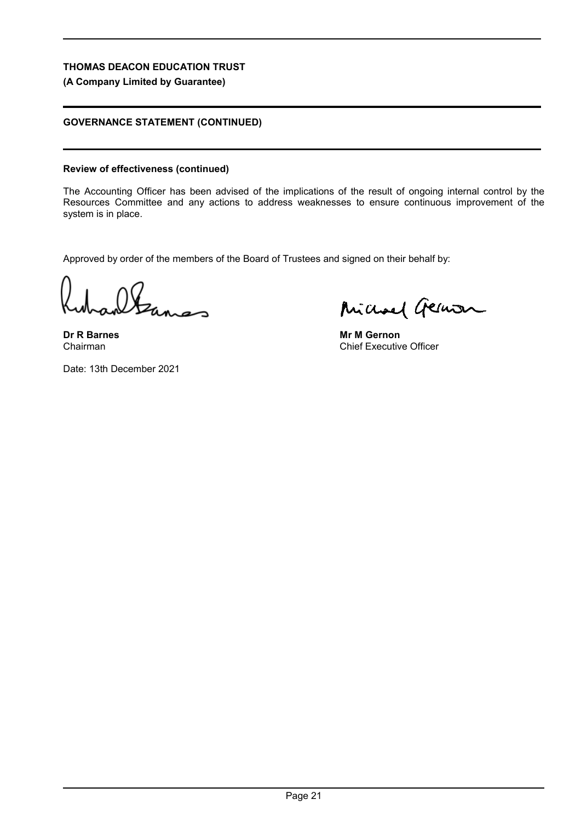## **(A Company Limited by Guarantee)**

# **GOVERNANCE STATEMENT (CONTINUED)**

## **Review of effectiveness (continued)**

The Accounting Officer has been advised of the implications of the result of ongoing internal control by the Resources Committee and any actions to address weaknesses to ensure continuous improvement of the system is in place.

Approved by order of the members of the Board of Trustees and signed on their behalf by:

**Dr R Barnes** Chairman

Michael German

**Mr M Gernon** Chief Executive Officer

Date: 13th December 2021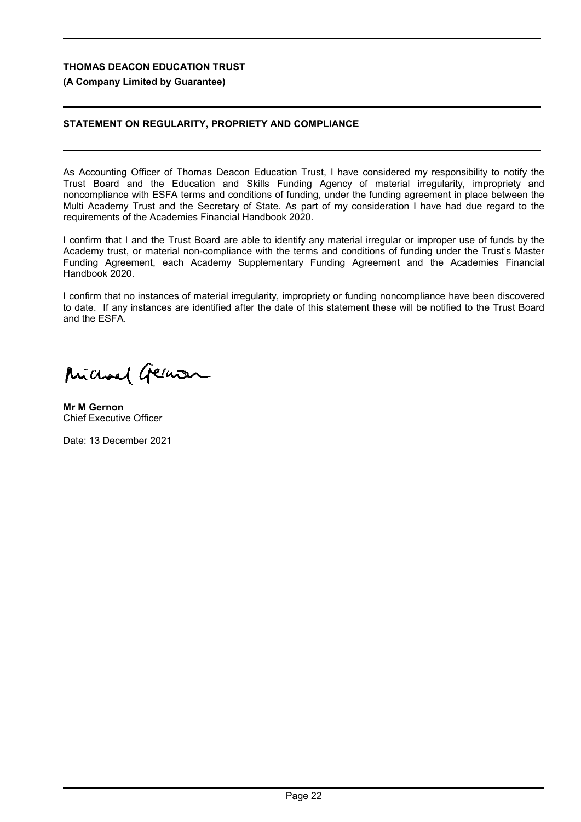## **(A Company Limited by Guarantee)**

## **STATEMENT ON REGULARITY, PROPRIETY AND COMPLIANCE**

As Accounting Officer of Thomas Deacon Education Trust, I have considered my responsibility to notify the Trust Board and the Education and Skills Funding Agency of material irregularity, impropriety and noncompliance with ESFA terms and conditions of funding, under the funding agreement in place between the Multi Academy Trust and the Secretary of State. As part of my consideration I have had due regard to the requirements of the Academies Financial Handbook 2020.

I confirm that I and the Trust Board are able to identify any material irregular or improper use of funds by the Academy trust, or material non-compliance with the terms and conditions of funding under the Trust's Master Funding Agreement, each Academy Supplementary Funding Agreement and the Academies Financial Handbook 2020.

I confirm that no instances of material irregularity, impropriety or funding noncompliance have been discovered to date. If any instances are identified after the date of this statement these will be notified to the Trust Board and the ESFA.

Michael German

**Mr M Gernon** Chief Executive Officer

Date: 13 December 2021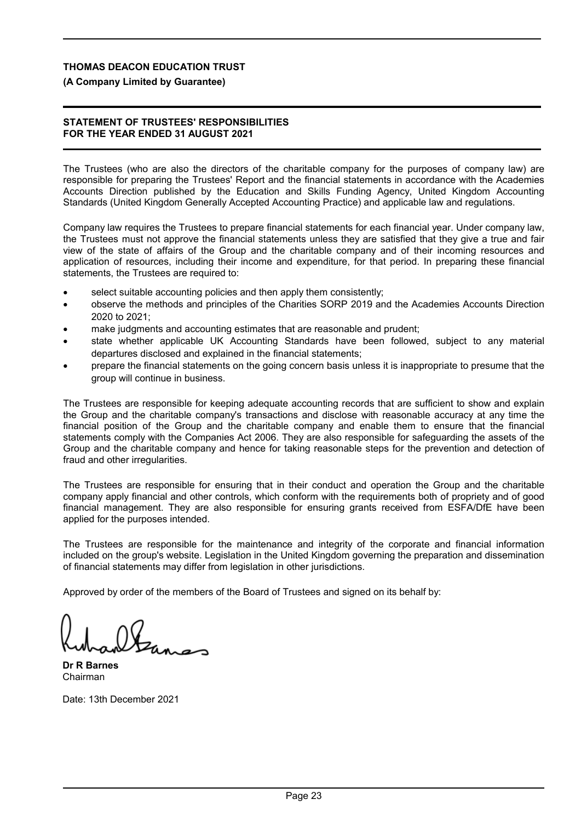# **(A Company Limited by Guarantee)**

## **STATEMENT OF TRUSTEES' RESPONSIBILITIES FOR THE YEAR ENDED 31 AUGUST 2021**

The Trustees (who are also the directors of the charitable company for the purposes of company law) are responsible for preparing the Trustees' Report and the financial statements in accordance with the Academies Accounts Direction published by the Education and Skills Funding Agency, United Kingdom Accounting Standards (United Kingdom Generally Accepted Accounting Practice) and applicable law and regulations.

Company law requires the Trustees to prepare financial statements for each financial year. Under company law, the Trustees must not approve the financial statements unless they are satisfied that they give a true and fair view of the state of affairs of the Group and the charitable company and of their incoming resources and application of resources, including their income and expenditure, for that period. In preparing these financial statements, the Trustees are required to:

- select suitable accounting policies and then apply them consistently;
- observe the methods and principles of the Charities SORP 2019 and the Academies Accounts Direction 2020 to 2021;
- make judgments and accounting estimates that are reasonable and prudent;
- state whether applicable UK Accounting Standards have been followed, subject to any material departures disclosed and explained in the financial statements;
- prepare the financial statements on the going concern basis unless it is inappropriate to presume that the group will continue in business.

The Trustees are responsible for keeping adequate accounting records that are sufficient to show and explain the Group and the charitable company's transactions and disclose with reasonable accuracy at any time the financial position of the Group and the charitable company and enable them to ensure that the financial statements comply with the Companies Act 2006. They are also responsible for safeguarding the assets of the Group and the charitable company and hence for taking reasonable steps for the prevention and detection of fraud and other irregularities.

The Trustees are responsible for ensuring that in their conduct and operation the Group and the charitable company apply financial and other controls, which conform with the requirements both of propriety and of good financial management. They are also responsible for ensuring grants received from ESFA/DfE have been applied for the purposes intended.

The Trustees are responsible for the maintenance and integrity of the corporate and financial information included on the group's website. Legislation in the United Kingdom governing the preparation and dissemination of financial statements may differ from legislation in other jurisdictions.

Approved by order of the members of the Board of Trustees and signed on its behalf by:

**Dr R Barnes** Chairman

Date: 13th December 2021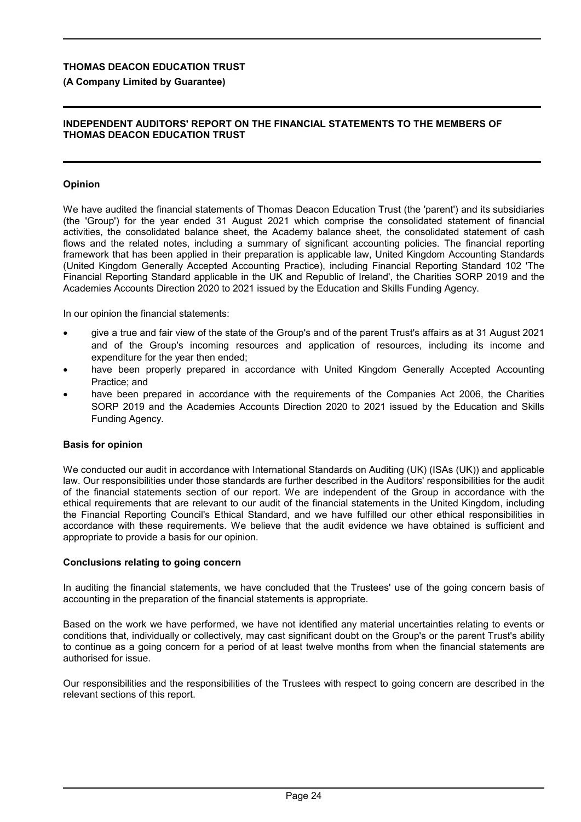# **(A Company Limited by Guarantee)**

## **INDEPENDENT AUDITORS' REPORT ON THE FINANCIAL STATEMENTS TO THE MEMBERS OF THOMAS DEACON EDUCATION TRUST**

# **Opinion**

We have audited the financial statements of Thomas Deacon Education Trust (the 'parent') and its subsidiaries (the 'Group') for the year ended 31 August 2021 which comprise the consolidated statement of financial activities, the consolidated balance sheet, the Academy balance sheet, the consolidated statement of cash flows and the related notes, including a summary of significant accounting policies. The financial reporting framework that has been applied in their preparation is applicable law, United Kingdom Accounting Standards (United Kingdom Generally Accepted Accounting Practice), including Financial Reporting Standard 102 'The Financial Reporting Standard applicable in the UK and Republic of Ireland', the Charities SORP 2019 and the Academies Accounts Direction 2020 to 2021 issued by the Education and Skills Funding Agency.

In our opinion the financial statements:

- give a true and fair view of the state of the Group's and of the parent Trust's affairs as at 31 August 2021 and of the Group's incoming resources and application of resources, including its income and expenditure for the year then ended;
- have been properly prepared in accordance with United Kingdom Generally Accepted Accounting Practice; and
- have been prepared in accordance with the requirements of the Companies Act 2006, the Charities SORP 2019 and the Academies Accounts Direction 2020 to 2021 issued by the Education and Skills Funding Agency.

# **Basis for opinion**

We conducted our audit in accordance with International Standards on Auditing (UK) (ISAs (UK)) and applicable law. Our responsibilities under those standards are further described in the Auditors' responsibilities for the audit of the financial statements section of our report. We are independent of the Group in accordance with the ethical requirements that are relevant to our audit of the financial statements in the United Kingdom, including the Financial Reporting Council's Ethical Standard, and we have fulfilled our other ethical responsibilities in accordance with these requirements. We believe that the audit evidence we have obtained is sufficient and appropriate to provide a basis for our opinion.

# **Conclusions relating to going concern**

In auditing the financial statements, we have concluded that the Trustees' use of the going concern basis of accounting in the preparation of the financial statements is appropriate.

Based on the work we have performed, we have not identified any material uncertainties relating to events or conditions that, individually or collectively, may cast significant doubt on the Group's or the parent Trust's ability to continue as a going concern for a period of at least twelve months from when the financial statements are authorised for issue.

Our responsibilities and the responsibilities of the Trustees with respect to going concern are described in the relevant sections of this report.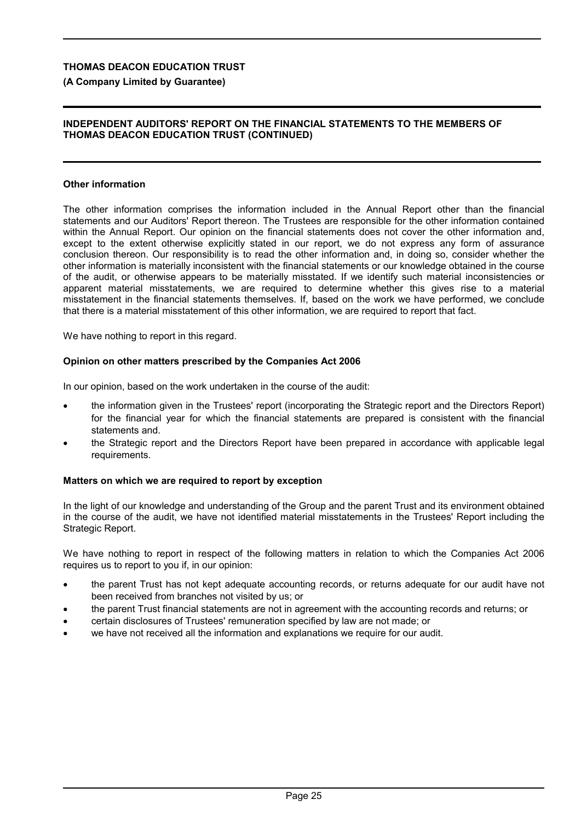# **(A Company Limited by Guarantee)**

## **INDEPENDENT AUDITORS' REPORT ON THE FINANCIAL STATEMENTS TO THE MEMBERS OF THOMAS DEACON EDUCATION TRUST (CONTINUED)**

# **Other information**

The other information comprises the information included in the Annual Report other than the financial statements and our Auditors' Report thereon. The Trustees are responsible for the other information contained within the Annual Report. Our opinion on the financial statements does not cover the other information and, except to the extent otherwise explicitly stated in our report, we do not express any form of assurance conclusion thereon. Our responsibility is to read the other information and, in doing so, consider whether the other information is materially inconsistent with the financial statements or our knowledge obtained in the course of the audit, or otherwise appears to be materially misstated. If we identify such material inconsistencies or apparent material misstatements, we are required to determine whether this gives rise to a material misstatement in the financial statements themselves. If, based on the work we have performed, we conclude that there is a material misstatement of this other information, we are required to report that fact.

We have nothing to report in this regard.

### **Opinion on other matters prescribed by the Companies Act 2006**

In our opinion, based on the work undertaken in the course of the audit:

- the information given in the Trustees' report (incorporating the Strategic report and the Directors Report) for the financial year for which the financial statements are prepared is consistent with the financial statements and.
- the Strategic report and the Directors Report have been prepared in accordance with applicable legal requirements.

### **Matters on which we are required to report by exception**

In the light of our knowledge and understanding of the Group and the parent Trust and its environment obtained in the course of the audit, we have not identified material misstatements in the Trustees' Report including the Strategic Report.

We have nothing to report in respect of the following matters in relation to which the Companies Act 2006 requires us to report to you if, in our opinion:

- the parent Trust has not kept adequate accounting records, or returns adequate for our audit have not been received from branches not visited by us; or
- the parent Trust financial statements are not in agreement with the accounting records and returns; or
- certain disclosures of Trustees' remuneration specified by law are not made; or
- we have not received all the information and explanations we require for our audit.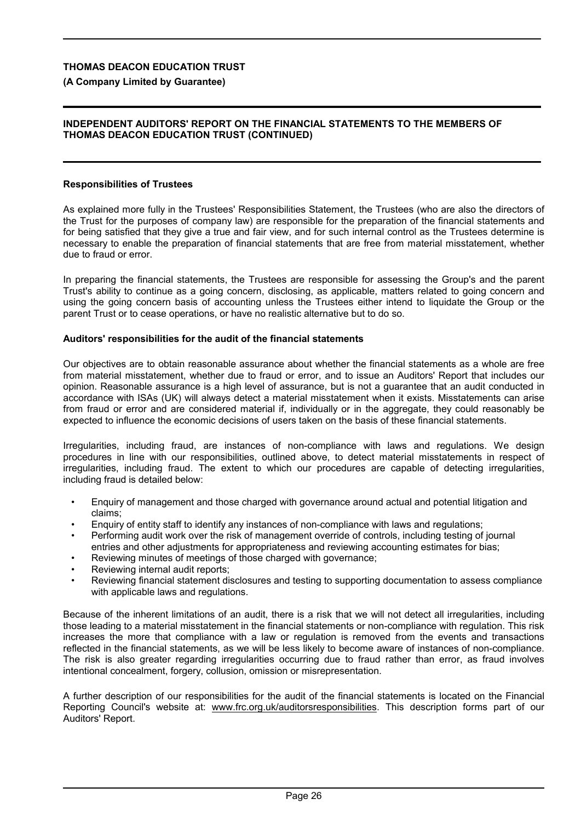**(A Company Limited by Guarantee)**

#### **INDEPENDENT AUDITORS' REPORT ON THE FINANCIAL STATEMENTS TO THE MEMBERS OF THOMAS DEACON EDUCATION TRUST (CONTINUED)**

## **Responsibilities of Trustees**

As explained more fully in the Trustees' Responsibilities Statement, the Trustees (who are also the directors of the Trust for the purposes of company law) are responsible for the preparation of the financial statements and for being satisfied that they give a true and fair view, and for such internal control as the Trustees determine is necessary to enable the preparation of financial statements that are free from material misstatement, whether due to fraud or error.

In preparing the financial statements, the Trustees are responsible for assessing the Group's and the parent Trust's ability to continue as a going concern, disclosing, as applicable, matters related to going concern and using the going concern basis of accounting unless the Trustees either intend to liquidate the Group or the parent Trust or to cease operations, or have no realistic alternative but to do so.

#### **Auditors' responsibilities for the audit of the financial statements**

Our objectives are to obtain reasonable assurance about whether the financial statements as a whole are free from material misstatement, whether due to fraud or error, and to issue an Auditors' Report that includes our opinion. Reasonable assurance is a high level of assurance, but is not a guarantee that an audit conducted in accordance with ISAs (UK) will always detect a material misstatement when it exists. Misstatements can arise from fraud or error and are considered material if, individually or in the aggregate, they could reasonably be expected to influence the economic decisions of users taken on the basis of these financial statements.

Irregularities, including fraud, are instances of non-compliance with laws and regulations. We design procedures in line with our responsibilities, outlined above, to detect material misstatements in respect of irregularities, including fraud. The extent to which our procedures are capable of detecting irregularities, including fraud is detailed below:

- Enquiry of management and those charged with governance around actual and potential litigation and claims;
- Enquiry of entity staff to identify any instances of non-compliance with laws and regulations;
- Performing audit work over the risk of management override of controls, including testing of journal entries and other adjustments for appropriateness and reviewing accounting estimates for bias;
- Reviewing minutes of meetings of those charged with governance;
- Reviewing internal audit reports;
- Reviewing financial statement disclosures and testing to supporting documentation to assess compliance with applicable laws and regulations.

Because of the inherent limitations of an audit, there is a risk that we will not detect all irregularities, including those leading to a material misstatement in the financial statements or non-compliance with regulation. This risk increases the more that compliance with a law or regulation is removed from the events and transactions reflected in the financial statements, as we will be less likely to become aware of instances of non-compliance. The risk is also greater regarding irregularities occurring due to fraud rather than error, as fraud involves intentional concealment, forgery, collusion, omission or misrepresentation.

A further description of our responsibilities for the audit of the financial statements is located on the Financial Reporting Council's website at: www.frc.org.uk/auditorsresponsibilities. This description forms part of our Auditors' Report.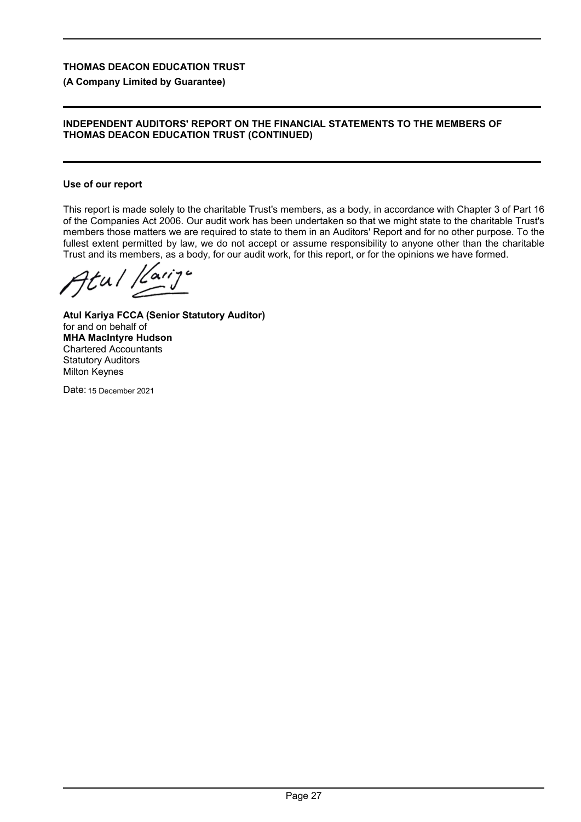## **(A Company Limited by Guarantee)**

#### **INDEPENDENT AUDITORS' REPORT ON THE FINANCIAL STATEMENTS TO THE MEMBERS OF THOMAS DEACON EDUCATION TRUST (CONTINUED)**

#### **Use of our report**

This report is made solely to the charitable Trust's members, as a body, in accordance with Chapter 3 of Part 16 of the Companies Act 2006. Our audit work has been undertaken so that we might state to the charitable Trust's members those matters we are required to state to them in an Auditors' Report and for no other purpose. To the fullest extent permitted by law, we do not accept or assume responsibility to anyone other than the charitable Trust and its members, as a body, for our audit work, for this report, or for the opinions we have formed.

Atul Karije

**Atul Kariya FCCA (Senior Statutory Auditor)** for and on behalf of **MHA MacIntyre Hudson** Chartered Accountants Statutory Auditors Milton Keynes

Date: 15 December 2021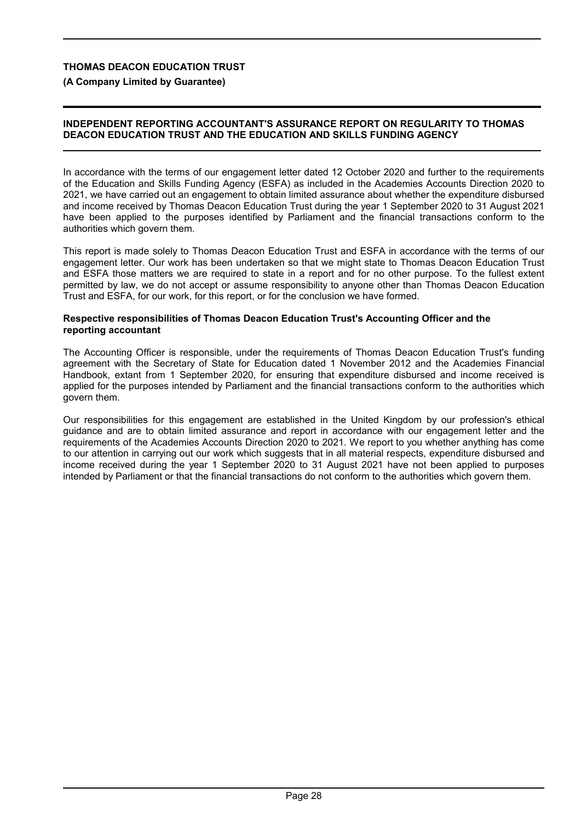**(A Company Limited by Guarantee)**

## **INDEPENDENT REPORTING ACCOUNTANT'S ASSURANCE REPORT ON REGULARITY TO THOMAS DEACON EDUCATION TRUST AND THE EDUCATION AND SKILLS FUNDING AGENCY**

In accordance with the terms of our engagement letter dated 12 October 2020 and further to the requirements of the Education and Skills Funding Agency (ESFA) as included in the Academies Accounts Direction 2020 to 2021, we have carried out an engagement to obtain limited assurance about whether the expenditure disbursed and income received by Thomas Deacon Education Trust during the year 1 September 2020 to 31 August 2021 have been applied to the purposes identified by Parliament and the financial transactions conform to the authorities which govern them.

This report is made solely to Thomas Deacon Education Trust and ESFA in accordance with the terms of our engagement letter. Our work has been undertaken so that we might state to Thomas Deacon Education Trust and ESFA those matters we are required to state in a report and for no other purpose. To the fullest extent permitted by law, we do not accept or assume responsibility to anyone other than Thomas Deacon Education Trust and ESFA, for our work, for this report, or for the conclusion we have formed.

#### **Respective responsibilities of Thomas Deacon Education Trust's Accounting Officer and the reporting accountant**

The Accounting Officer is responsible, under the requirements of Thomas Deacon Education Trust's funding agreement with the Secretary of State for Education dated 1 November 2012 and the Academies Financial Handbook, extant from 1 September 2020, for ensuring that expenditure disbursed and income received is applied for the purposes intended by Parliament and the financial transactions conform to the authorities which govern them.

Our responsibilities for this engagement are established in the United Kingdom by our profession's ethical guidance and are to obtain limited assurance and report in accordance with our engagement letter and the requirements of the Academies Accounts Direction 2020 to 2021. We report to you whether anything has come to our attention in carrying out our work which suggests that in all material respects, expenditure disbursed and income received during the year 1 September 2020 to 31 August 2021 have not been applied to purposes intended by Parliament or that the financial transactions do not conform to the authorities which govern them.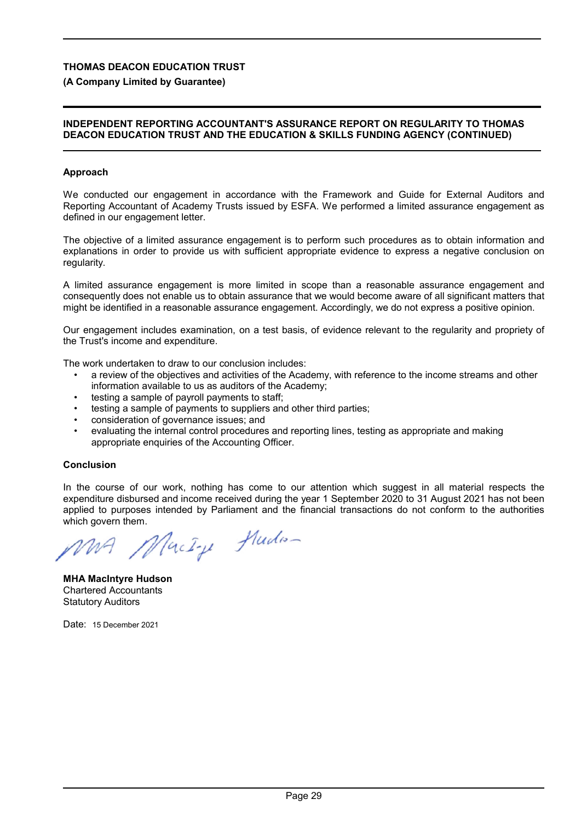# **(A Company Limited by Guarantee)**

## **INDEPENDENT REPORTING ACCOUNTANT'S ASSURANCE REPORT ON REGULARITY TO THOMAS DEACON EDUCATION TRUST AND THE EDUCATION & SKILLS FUNDING AGENCY (CONTINUED)**

### **Approach**

We conducted our engagement in accordance with the Framework and Guide for External Auditors and Reporting Accountant of Academy Trusts issued by ESFA. We performed a limited assurance engagement as defined in our engagement letter.

The objective of a limited assurance engagement is to perform such procedures as to obtain information and explanations in order to provide us with sufficient appropriate evidence to express a negative conclusion on regularity.

A limited assurance engagement is more limited in scope than a reasonable assurance engagement and consequently does not enable us to obtain assurance that we would become aware of all significant matters that might be identified in a reasonable assurance engagement. Accordingly, we do not express a positive opinion.

Our engagement includes examination, on a test basis, of evidence relevant to the regularity and propriety of the Trust's income and expenditure.

The work undertaken to draw to our conclusion includes:

- a review of the objectives and activities of the Academy, with reference to the income streams and other information available to us as auditors of the Academy;
- testing a sample of payroll payments to staff;
- testing a sample of payments to suppliers and other third parties;
- consideration of governance issues; and
- evaluating the internal control procedures and reporting lines, testing as appropriate and making appropriate enquiries of the Accounting Officer.

### **Conclusion**

In the course of our work, nothing has come to our attention which suggest in all material respects the expenditure disbursed and income received during the year 1 September 2020 to 31 August 2021 has not been applied to purposes intended by Parliament and the financial transactions do not conform to the authorities which govern them.

MacIque Huden

**MHA MacIntyre Hudson** Chartered Accountants Statutory Auditors

Date: 15 December 2021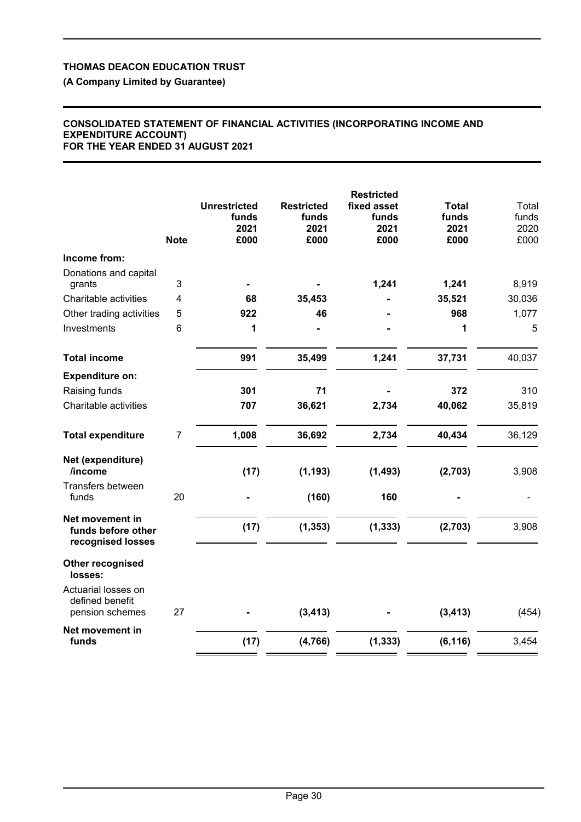**(A Company Limited by Guarantee)**

#### **CONSOLIDATED STATEMENT OF FINANCIAL ACTIVITIES (INCORPORATING INCOME AND EXPENDITURE ACCOUNT) FOR THE YEAR ENDED 31 AUGUST 2021**

|                                                            | <b>Note</b>    | <b>Unrestricted</b><br>funds<br>2021<br>£000 | <b>Restricted</b><br>funds<br>2021<br>£000 | <b>Restricted</b><br>fixed asset<br>funds<br>2021<br>£000 | Total<br>funds<br>2021<br>£000 | Total<br>funds<br>2020<br>£000 |
|------------------------------------------------------------|----------------|----------------------------------------------|--------------------------------------------|-----------------------------------------------------------|--------------------------------|--------------------------------|
| Income from:                                               |                |                                              |                                            |                                                           |                                |                                |
| Donations and capital<br>grants                            | 3              |                                              |                                            | 1,241                                                     | 1,241                          | 8,919                          |
| Charitable activities                                      | 4              | 68                                           | 35,453                                     |                                                           | 35,521                         | 30,036                         |
| Other trading activities                                   | 5              | 922                                          | 46                                         |                                                           | 968                            | 1,077                          |
| Investments                                                | 6              | 1                                            |                                            |                                                           | 1                              | 5                              |
| <b>Total income</b>                                        |                | 991                                          | 35,499                                     | 1,241                                                     | 37,731                         | 40,037                         |
| <b>Expenditure on:</b>                                     |                |                                              |                                            |                                                           |                                |                                |
| Raising funds                                              |                | 301                                          | 71                                         |                                                           | 372                            | 310                            |
| Charitable activities                                      |                | 707                                          | 36,621                                     | 2,734                                                     | 40,062                         | 35,819                         |
| <b>Total expenditure</b>                                   | $\overline{7}$ | 1,008                                        | 36,692                                     | 2,734                                                     | 40,434                         | 36,129                         |
| Net (expenditure)<br>/income                               |                | (17)                                         | (1, 193)                                   | (1, 493)                                                  | (2,703)                        | 3,908                          |
| Transfers between<br>funds                                 | 20             |                                              | (160)                                      | 160                                                       |                                |                                |
| Net movement in<br>funds before other<br>recognised losses |                | (17)                                         | (1, 353)                                   | (1, 333)                                                  | (2,703)                        | 3,908                          |
| Other recognised<br>losses:                                |                |                                              |                                            |                                                           |                                |                                |
| Actuarial losses on<br>defined benefit<br>pension schemes  | 27             |                                              | (3, 413)                                   |                                                           | (3, 413)                       | (454)                          |
|                                                            |                |                                              |                                            |                                                           |                                |                                |
| Net movement in<br>funds                                   |                | (17)                                         | (4, 766)                                   | (1, 333)                                                  | (6, 116)                       | 3,454                          |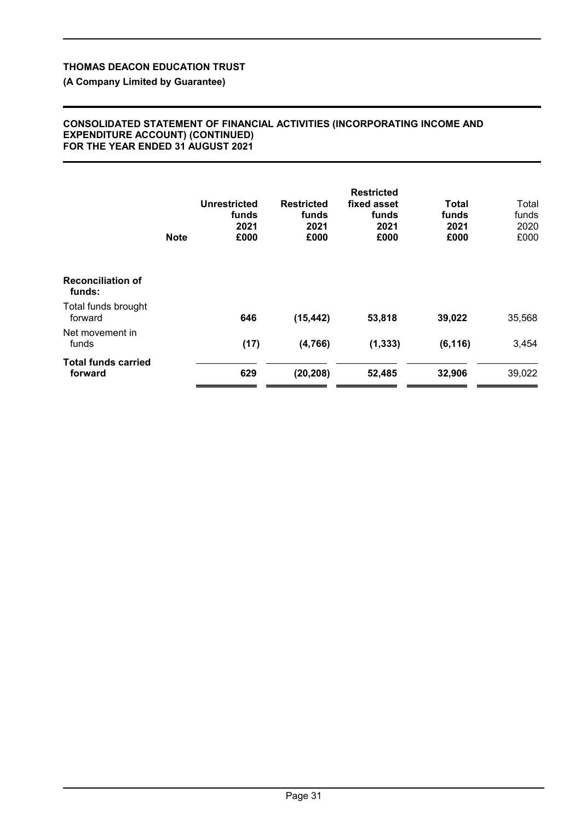**(A Company Limited by Guarantee)**

#### **CONSOLIDATED STATEMENT OF FINANCIAL ACTIVITIES (INCORPORATING INCOME AND EXPENDITURE ACCOUNT) (CONTINUED) FOR THE YEAR ENDED 31 AUGUST 2021**

|                                       | <b>Note</b> | Unrestricted<br>funds<br>2021<br>£000 | <b>Restricted</b><br>funds<br>2021<br>£000 | <b>Restricted</b><br>fixed asset<br>funds<br>2021<br>£000 | Total<br>funds<br>2021<br>£000 | Total<br>funds<br>2020<br>£000 |
|---------------------------------------|-------------|---------------------------------------|--------------------------------------------|-----------------------------------------------------------|--------------------------------|--------------------------------|
| <b>Reconciliation of</b><br>funds:    |             |                                       |                                            |                                                           |                                |                                |
| Total funds brought<br>forward        |             | 646                                   | (15, 442)                                  | 53,818                                                    | 39,022                         | 35,568                         |
| Net movement in<br>funds              |             | (17)                                  | (4,766)                                    | (1, 333)                                                  | (6, 116)                       | 3,454                          |
| <b>Total funds carried</b><br>forward |             | 629                                   | (20, 208)                                  | 52,485                                                    | 32,906                         | 39,022                         |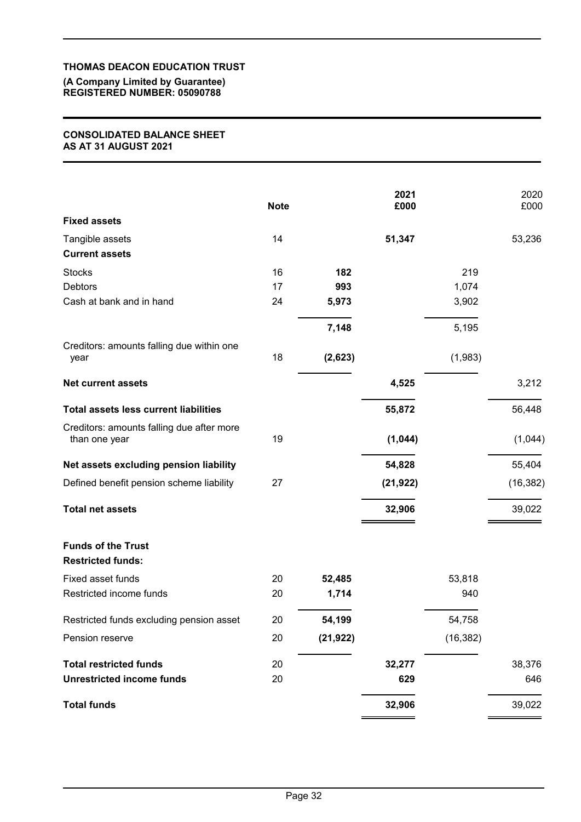#### **(A Company Limited by Guarantee) REGISTERED NUMBER: 05090788**

## **CONSOLIDATED BALANCE SHEET AS AT 31 AUGUST 2021**

|                                                            | <b>Note</b> |           | 2021<br>£000 |           | 2020<br>£000 |
|------------------------------------------------------------|-------------|-----------|--------------|-----------|--------------|
| <b>Fixed assets</b>                                        |             |           |              |           |              |
| Tangible assets<br><b>Current assets</b>                   | 14          |           | 51,347       |           | 53,236       |
| <b>Stocks</b>                                              | 16          | 182       |              | 219       |              |
| <b>Debtors</b>                                             | 17          | 993       |              | 1,074     |              |
| Cash at bank and in hand                                   | 24          | 5,973     |              | 3,902     |              |
|                                                            |             | 7,148     |              | 5,195     |              |
| Creditors: amounts falling due within one<br>year          | 18          | (2,623)   |              | (1,983)   |              |
| <b>Net current assets</b>                                  |             |           | 4,525        |           | 3,212        |
| <b>Total assets less current liabilities</b>               |             |           | 55,872       |           | 56,448       |
| Creditors: amounts falling due after more<br>than one year | 19          |           | (1,044)      |           | (1,044)      |
| Net assets excluding pension liability                     |             |           | 54,828       |           | 55,404       |
| Defined benefit pension scheme liability                   | 27          |           | (21, 922)    |           | (16, 382)    |
| <b>Total net assets</b>                                    |             |           | 32,906       |           | 39,022       |
| <b>Funds of the Trust</b><br><b>Restricted funds:</b>      |             |           |              |           |              |
| Fixed asset funds                                          | 20          | 52,485    |              | 53,818    |              |
| Restricted income funds                                    | 20          | 1,714     |              | 940       |              |
| Restricted funds excluding pension asset                   | 20          | 54,199    |              | 54,758    |              |
| Pension reserve                                            | 20          | (21, 922) |              | (16, 382) |              |
| <b>Total restricted funds</b>                              | 20          |           | 32,277       |           | 38,376       |
| <b>Unrestricted income funds</b>                           | 20          |           | 629          |           | 646          |
| <b>Total funds</b>                                         |             |           | 32,906       |           | 39,022       |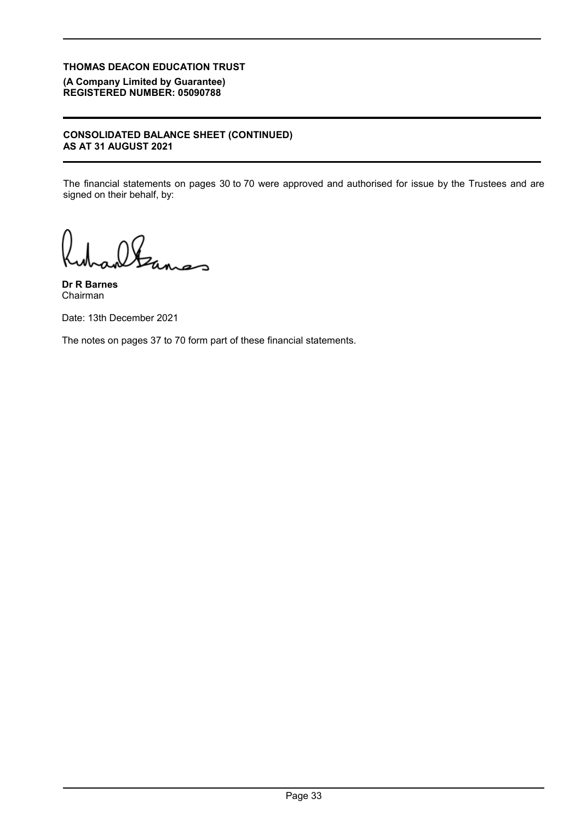**(A Company Limited by Guarantee) REGISTERED NUMBER: 05090788**

## **CONSOLIDATED BALANCE SHEET (CONTINUED) AS AT 31 AUGUST 2021**

The financial statements on pages 30 to 70 were approved and authorised for issue by the Trustees and are signed on their behalf, by:

altanas

**Dr R Barnes** Chairman

Date: 13th December 2021

The notes on pages 37 to 70 form part of these financial statements.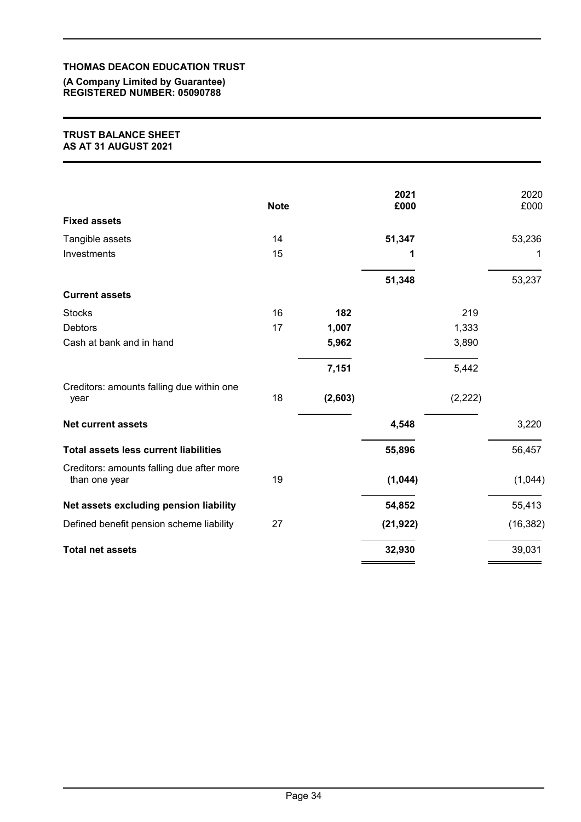**(A Company Limited by Guarantee) REGISTERED NUMBER: 05090788**

#### **TRUST BALANCE SHEET AS AT 31 AUGUST 2021**

|                                                            | <b>Note</b> |         | 2021<br>£000 |          | 2020<br>£000 |
|------------------------------------------------------------|-------------|---------|--------------|----------|--------------|
| <b>Fixed assets</b>                                        |             |         |              |          |              |
| Tangible assets                                            | 14          |         | 51,347       |          | 53,236       |
| Investments                                                | 15          |         | 1            |          | 1            |
|                                                            |             |         | 51,348       |          | 53,237       |
| <b>Current assets</b>                                      |             |         |              |          |              |
| <b>Stocks</b>                                              | 16          | 182     |              | 219      |              |
| <b>Debtors</b>                                             | 17          | 1,007   |              | 1,333    |              |
| Cash at bank and in hand                                   |             | 5,962   |              | 3,890    |              |
|                                                            |             | 7,151   |              | 5,442    |              |
| Creditors: amounts falling due within one<br>year          | 18          | (2,603) |              | (2, 222) |              |
| <b>Net current assets</b>                                  |             |         | 4,548        |          | 3,220        |
| <b>Total assets less current liabilities</b>               |             |         | 55,896       |          | 56,457       |
| Creditors: amounts falling due after more<br>than one year | 19          |         | (1,044)      |          | (1,044)      |
| Net assets excluding pension liability                     |             |         | 54,852       |          | 55,413       |
| Defined benefit pension scheme liability                   | 27          |         | (21, 922)    |          | (16, 382)    |
| <b>Total net assets</b>                                    |             |         | 32,930       |          | 39,031       |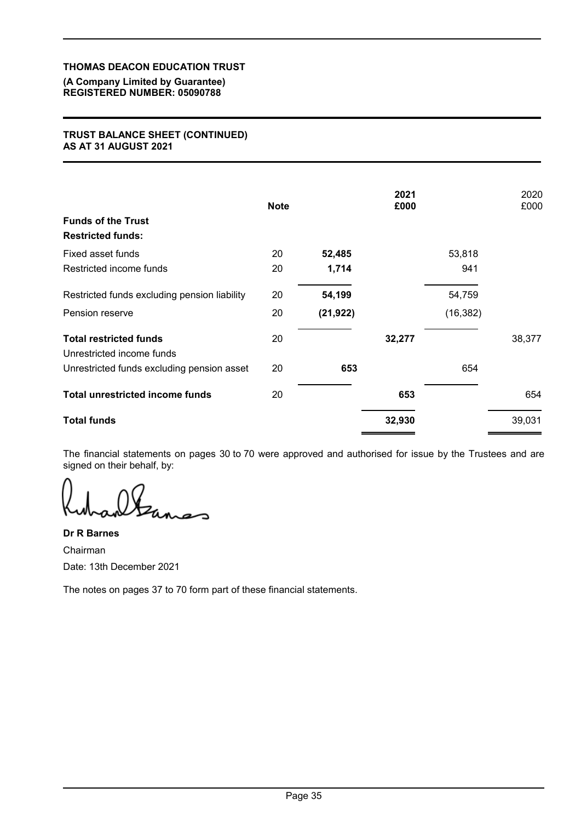#### **(A Company Limited by Guarantee) REGISTERED NUMBER: 05090788**

## **TRUST BALANCE SHEET (CONTINUED) AS AT 31 AUGUST 2021**

|                                                            | <b>Note</b> |           | 2021<br>£000 |           | 2020<br>£000 |
|------------------------------------------------------------|-------------|-----------|--------------|-----------|--------------|
| <b>Funds of the Trust</b>                                  |             |           |              |           |              |
| <b>Restricted funds:</b>                                   |             |           |              |           |              |
| Fixed asset funds                                          | 20          | 52,485    |              | 53,818    |              |
| Restricted income funds                                    | 20          | 1,714     |              | 941       |              |
| Restricted funds excluding pension liability               | 20          | 54,199    |              | 54,759    |              |
| Pension reserve                                            | 20          | (21, 922) |              | (16, 382) |              |
| <b>Total restricted funds</b><br>Unrestricted income funds | 20          |           | 32,277       |           | 38,377       |
| Unrestricted funds excluding pension asset                 | 20          | 653       |              | 654       |              |
| <b>Total unrestricted income funds</b>                     | 20          |           | 653          |           | 654          |
| <b>Total funds</b>                                         |             |           | 32,930       |           | 39,031       |

The financial statements on pages 30 to 70 were approved and authorised for issue by the Trustees and are signed on their behalf, by:

**Dr R Barnes** Chairman Date: 13th December 2021

The notes on pages 37 to 70 form part of these financial statements.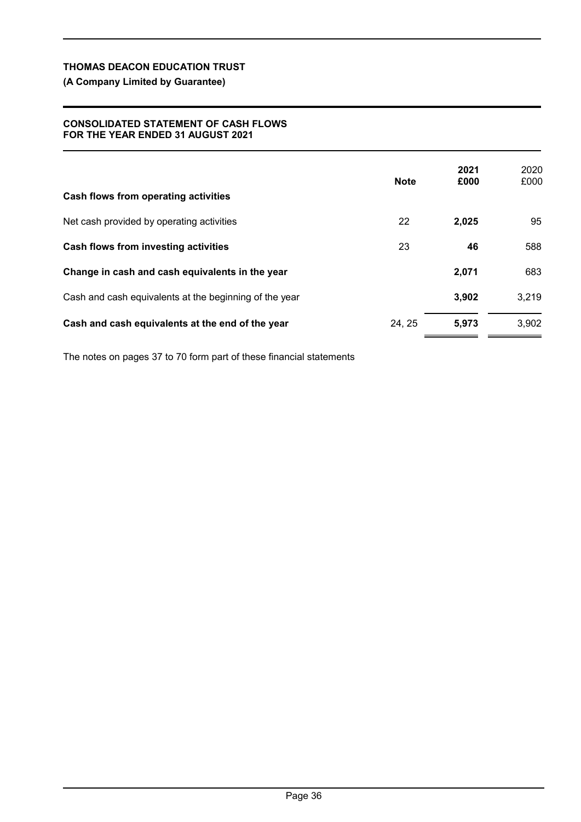# **(A Company Limited by Guarantee)**

## **CONSOLIDATED STATEMENT OF CASH FLOWS FOR THE YEAR ENDED 31 AUGUST 2021**

| Cash flows from operating activities                   | <b>Note</b> | 2021<br>£000 | 2020<br>£000 |
|--------------------------------------------------------|-------------|--------------|--------------|
| Net cash provided by operating activities              | 22          | 2,025        | 95           |
| Cash flows from investing activities                   | 23          | 46           | 588          |
| Change in cash and cash equivalents in the year        |             | 2,071        | 683          |
| Cash and cash equivalents at the beginning of the year |             | 3,902        | 3,219        |
| Cash and cash equivalents at the end of the year       | 24, 25      | 5,973        | 3,902        |

The notes on pages 37 to 70 form part of these financial statements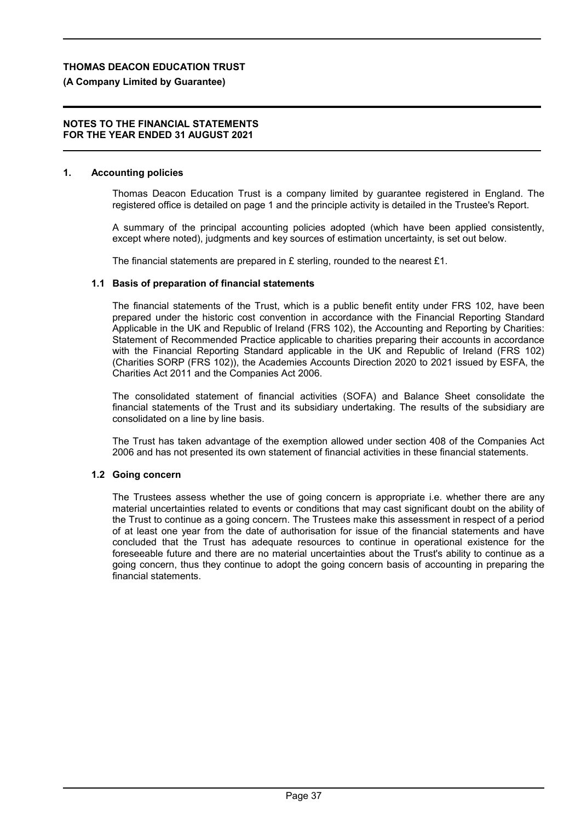# **(A Company Limited by Guarantee)**

#### **NOTES TO THE FINANCIAL STATEMENTS FOR THE YEAR ENDED 31 AUGUST 2021**

# **1. Accounting policies**

Thomas Deacon Education Trust is a company limited by guarantee registered in England. The registered office is detailed on page 1 and the principle activity is detailed in the Trustee's Report.

A summary of the principal accounting policies adopted (which have been applied consistently, except where noted), judgments and key sources of estimation uncertainty, is set out below.

The financial statements are prepared in £ sterling, rounded to the nearest £1.

# **1.1 Basis of preparation of financial statements**

The financial statements of the Trust, which is a public benefit entity under FRS 102, have been prepared under the historic cost convention in accordance with the Financial Reporting Standard Applicable in the UK and Republic of Ireland (FRS 102), the Accounting and Reporting by Charities: Statement of Recommended Practice applicable to charities preparing their accounts in accordance with the Financial Reporting Standard applicable in the UK and Republic of Ireland (FRS 102) (Charities SORP (FRS 102)), the Academies Accounts Direction 2020 to 2021 issued by ESFA, the Charities Act 2011 and the Companies Act 2006.

The consolidated statement of financial activities (SOFA) and Balance Sheet consolidate the financial statements of the Trust and its subsidiary undertaking. The results of the subsidiary are consolidated on a line by line basis.

The Trust has taken advantage of the exemption allowed under section 408 of the Companies Act 2006 and has not presented its own statement of financial activities in these financial statements.

# **1.2 Going concern**

The Trustees assess whether the use of going concern is appropriate i.e. whether there are any material uncertainties related to events or conditions that may cast significant doubt on the ability of the Trust to continue as a going concern. The Trustees make this assessment in respect of a period of at least one year from the date of authorisation for issue of the financial statements and have concluded that the Trust has adequate resources to continue in operational existence for the foreseeable future and there are no material uncertainties about the Trust's ability to continue as a going concern, thus they continue to adopt the going concern basis of accounting in preparing the financial statements.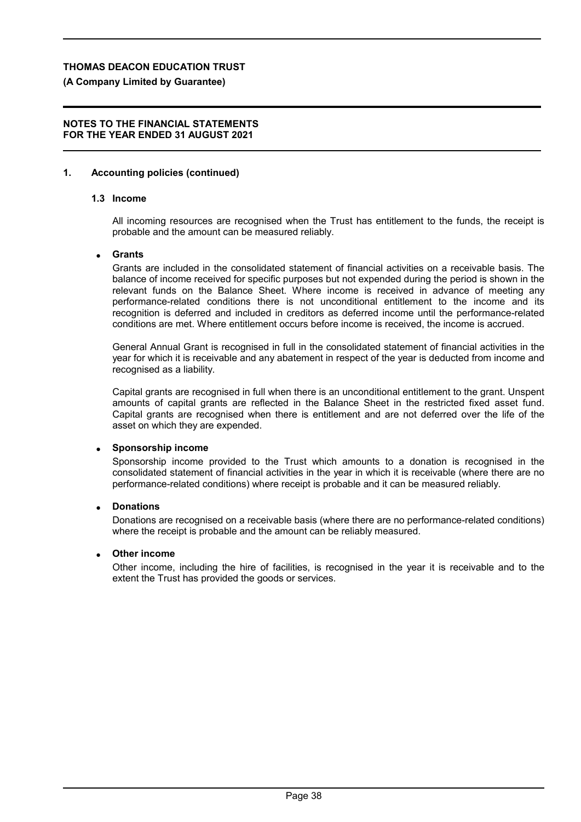# **(A Company Limited by Guarantee)**

## **NOTES TO THE FINANCIAL STATEMENTS FOR THE YEAR ENDED 31 AUGUST 2021**

# **1. Accounting policies (continued)**

# **1.3 Income**

All incoming resources are recognised when the Trust has entitlement to the funds, the receipt is probable and the amount can be measured reliably.

## **Grants**

Grants are included in the consolidated statement of financial activities on a receivable basis. The balance of income received for specific purposes but not expended during the period is shown in the relevant funds on the Balance Sheet. Where income is received in advance of meeting any performance-related conditions there is not unconditional entitlement to the income and its recognition is deferred and included in creditors as deferred income until the performance-related conditions are met. Where entitlement occurs before income is received, the income is accrued.

General Annual Grant is recognised in full in the consolidated statement of financial activities in the year for which it is receivable and any abatement in respect of the year is deducted from income and recognised as a liability.

Capital grants are recognised in full when there is an unconditional entitlement to the grant. Unspent amounts of capital grants are reflected in the Balance Sheet in the restricted fixed asset fund. Capital grants are recognised when there is entitlement and are not deferred over the life of the asset on which they are expended.

## **Sponsorship income**

Sponsorship income provided to the Trust which amounts to a donation is recognised in the consolidated statement of financial activities in the year in which it is receivable (where there are no performance-related conditions) where receipt is probable and it can be measured reliably.

## **Donations**

Donations are recognised on a receivable basis (where there are no performance-related conditions) where the receipt is probable and the amount can be reliably measured.

## **Other income**

Other income, including the hire of facilities, is recognised in the year it is receivable and to the extent the Trust has provided the goods or services.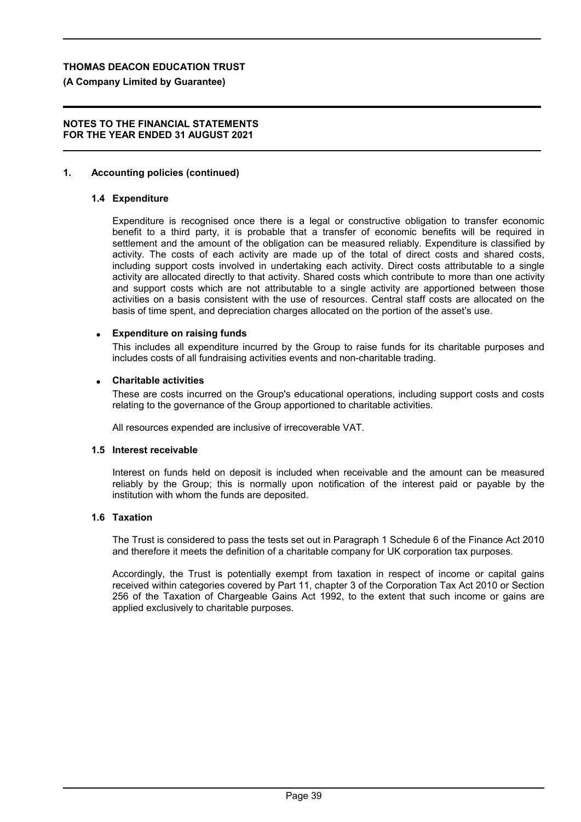# **(A Company Limited by Guarantee)**

## **NOTES TO THE FINANCIAL STATEMENTS FOR THE YEAR ENDED 31 AUGUST 2021**

# **1. Accounting policies (continued)**

# **1.4 Expenditure**

Expenditure is recognised once there is a legal or constructive obligation to transfer economic benefit to a third party, it is probable that a transfer of economic benefits will be required in settlement and the amount of the obligation can be measured reliably. Expenditure is classified by activity. The costs of each activity are made up of the total of direct costs and shared costs, including support costs involved in undertaking each activity. Direct costs attributable to a single activity are allocated directly to that activity. Shared costs which contribute to more than one activity and support costs which are not attributable to a single activity are apportioned between those activities on a basis consistent with the use of resources. Central staff costs are allocated on the basis of time spent, and depreciation charges allocated on the portion of the asset's use.

## **Expenditure on raising funds**

This includes all expenditure incurred by the Group to raise funds for its charitable purposes and includes costs of all fundraising activities events and non-charitable trading.

#### **Charitable activities**

These are costs incurred on the Group's educational operations, including support costs and costs relating to the governance of the Group apportioned to charitable activities.

All resources expended are inclusive of irrecoverable VAT.

#### **1.5 Interest receivable**

Interest on funds held on deposit is included when receivable and the amount can be measured reliably by the Group; this is normally upon notification of the interest paid or payable by the institution with whom the funds are deposited.

## **1.6 Taxation**

The Trust is considered to pass the tests set out in Paragraph 1 Schedule 6 of the Finance Act 2010 and therefore it meets the definition of a charitable company for UK corporation tax purposes.

Accordingly, the Trust is potentially exempt from taxation in respect of income or capital gains received within categories covered by Part 11, chapter 3 of the Corporation Tax Act 2010 or Section 256 of the Taxation of Chargeable Gains Act 1992, to the extent that such income or gains are applied exclusively to charitable purposes.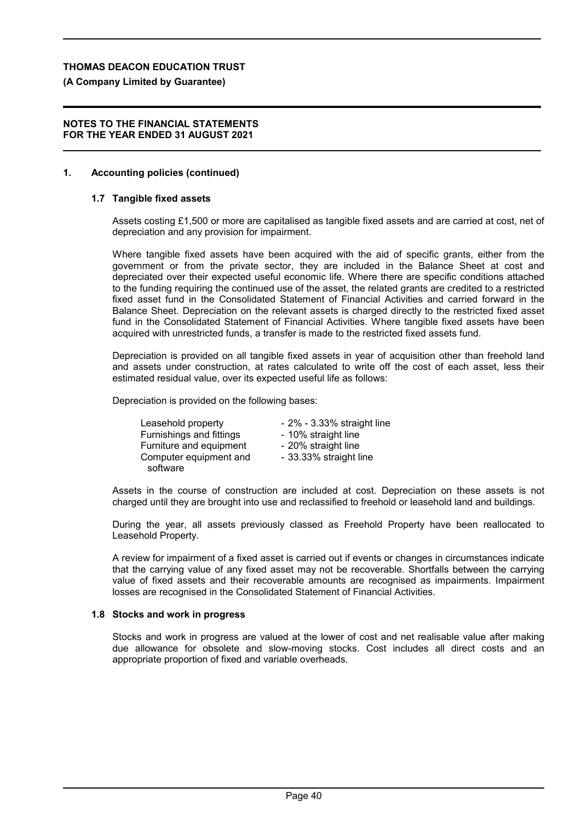#### **(A Company Limited by Guarantee)**

#### **NOTES TO THE FINANCIAL STATEMENTS FOR THE YEAR ENDED 31 AUGUST 2021**

#### **1. Accounting policies (continued)**

#### **1.7 Tangible fixed assets**

Assets costing £1,500 or more are capitalised as tangible fixed assets and are carried at cost, net of depreciation and any provision for impairment.

Where tangible fixed assets have been acquired with the aid of specific grants, either from the government or from the private sector, they are included in the Balance Sheet at cost and depreciated over their expected useful economic life. Where there are specific conditions attached to the funding requiring the continued use of the asset, the related grants are credited to a restricted fixed asset fund in the Consolidated Statement of Financial Activities and carried forward in the Balance Sheet. Depreciation on the relevant assets is charged directly to the restricted fixed asset fund in the Consolidated Statement of Financial Activities. Where tangible fixed assets have been acquired with unrestricted funds, a transfer is made to the restricted fixed assets fund.

Depreciation is provided on all tangible fixed assets in year of acquisition other than freehold land and assets under construction, at rates calculated to write off the cost of each asset, less their estimated residual value, over its expected useful life as follows:

Depreciation is provided on the following bases:

Leasehold property **- 2%** - 3.33% straight line<br>Furnishings and fittings - 10% straight line Furnishings and fittings Furniture and equipment - 20% straight line Computer equipment and software - 33.33% straight line

Assets in the course of construction are included at cost. Depreciation on these assets is not charged until they are brought into use and reclassified to freehold or leasehold land and buildings.

During the year, all assets previously classed as Freehold Property have been reallocated to Leasehold Property.

A review for impairment of a fixed asset is carried out if events or changes in circumstances indicate that the carrying value of any fixed asset may not be recoverable. Shortfalls between the carrying value of fixed assets and their recoverable amounts are recognised as impairments. Impairment losses are recognised in the Consolidated Statement of Financial Activities.

#### **1.8 Stocks and work in progress**

Stocks and work in progress are valued at the lower of cost and net realisable value after making due allowance for obsolete and slow-moving stocks. Cost includes all direct costs and an appropriate proportion of fixed and variable overheads.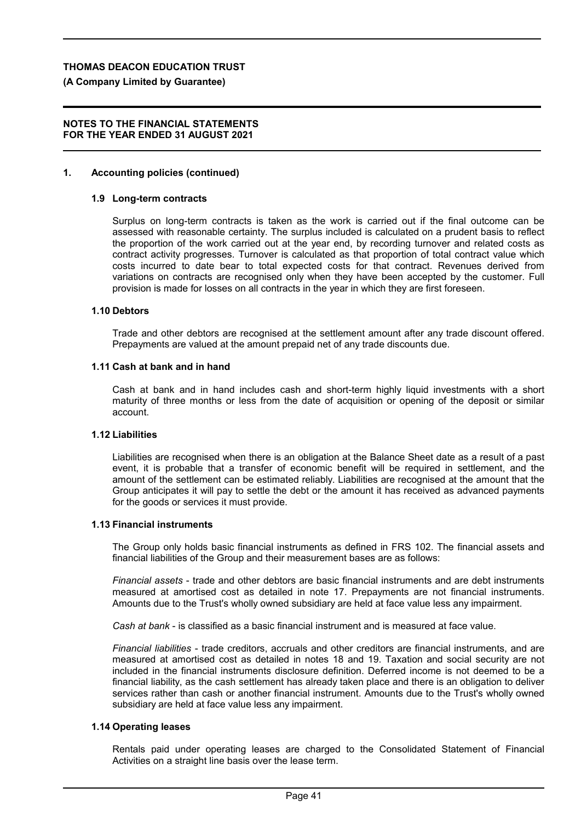#### **(A Company Limited by Guarantee)**

#### **NOTES TO THE FINANCIAL STATEMENTS FOR THE YEAR ENDED 31 AUGUST 2021**

#### **1. Accounting policies (continued)**

#### **1.9 Long-term contracts**

Surplus on long-term contracts is taken as the work is carried out if the final outcome can be assessed with reasonable certainty. The surplus included is calculated on a prudent basis to reflect the proportion of the work carried out at the year end, by recording turnover and related costs as contract activity progresses. Turnover is calculated as that proportion of total contract value which costs incurred to date bear to total expected costs for that contract. Revenues derived from variations on contracts are recognised only when they have been accepted by the customer. Full provision is made for losses on all contracts in the year in which they are first foreseen.

#### **1.10 Debtors**

Trade and other debtors are recognised at the settlement amount after any trade discount offered. Prepayments are valued at the amount prepaid net of any trade discounts due.

#### **1.11 Cash at bank and in hand**

Cash at bank and in hand includes cash and short-term highly liquid investments with a short maturity of three months or less from the date of acquisition or opening of the deposit or similar account.

#### **1.12 Liabilities**

Liabilities are recognised when there is an obligation at the Balance Sheet date as a result of a past event, it is probable that a transfer of economic benefit will be required in settlement, and the amount of the settlement can be estimated reliably. Liabilities are recognised at the amount that the Group anticipates it will pay to settle the debt or the amount it has received as advanced payments for the goods or services it must provide.

#### **1.13 Financial instruments**

The Group only holds basic financial instruments as defined in FRS 102. The financial assets and financial liabilities of the Group and their measurement bases are as follows:

*Financial assets* - trade and other debtors are basic financial instruments and are debt instruments measured at amortised cost as detailed in note 17. Prepayments are not financial instruments. Amounts due to the Trust's wholly owned subsidiary are held at face value less any impairment.

*Cash at bank* - is classified as a basic financial instrument and is measured at face value.

*Financial liabilities* - trade creditors, accruals and other creditors are financial instruments, and are measured at amortised cost as detailed in notes 18 and 19. Taxation and social security are not included in the financial instruments disclosure definition. Deferred income is not deemed to be a financial liability, as the cash settlement has already taken place and there is an obligation to deliver services rather than cash or another financial instrument. Amounts due to the Trust's wholly owned subsidiary are held at face value less any impairment.

#### **1.14 Operating leases**

Rentals paid under operating leases are charged to the Consolidated Statement of Financial Activities on a straight line basis over the lease term.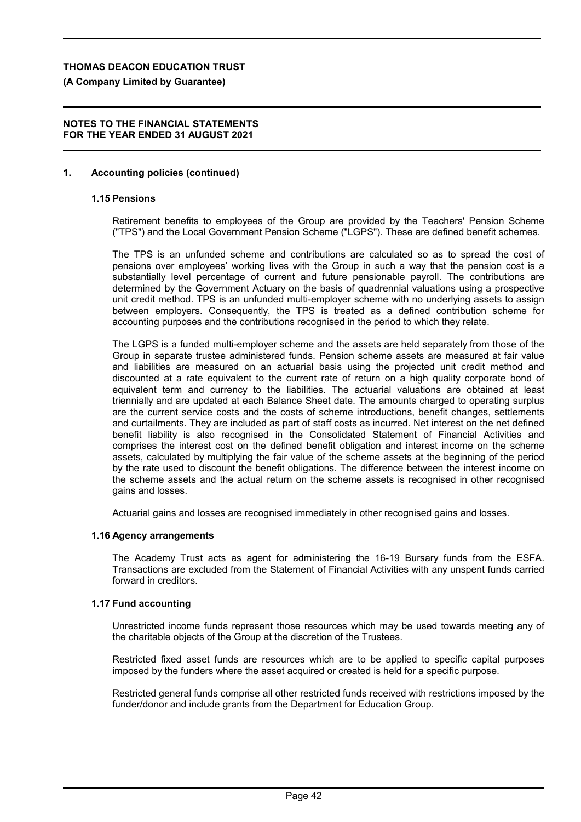#### **(A Company Limited by Guarantee)**

#### **NOTES TO THE FINANCIAL STATEMENTS FOR THE YEAR ENDED 31 AUGUST 2021**

#### **1. Accounting policies (continued)**

# **1.15 Pensions**

Retirement benefits to employees of the Group are provided by the Teachers' Pension Scheme ("TPS") and the Local Government Pension Scheme ("LGPS"). These are defined benefit schemes.

The TPS is an unfunded scheme and contributions are calculated so as to spread the cost of pensions over employees' working lives with the Group in such a way that the pension cost is a substantially level percentage of current and future pensionable payroll. The contributions are determined by the Government Actuary on the basis of quadrennial valuations using a prospective unit credit method. TPS is an unfunded multi-employer scheme with no underlying assets to assign between employers. Consequently, the TPS is treated as a defined contribution scheme for accounting purposes and the contributions recognised in the period to which they relate.

The LGPS is a funded multi-employer scheme and the assets are held separately from those of the Group in separate trustee administered funds. Pension scheme assets are measured at fair value and liabilities are measured on an actuarial basis using the projected unit credit method and discounted at a rate equivalent to the current rate of return on a high quality corporate bond of equivalent term and currency to the liabilities. The actuarial valuations are obtained at least triennially and are updated at each Balance Sheet date. The amounts charged to operating surplus are the current service costs and the costs of scheme introductions, benefit changes, settlements and curtailments. They are included as part of staff costs as incurred. Net interest on the net defined benefit liability is also recognised in the Consolidated Statement of Financial Activities and comprises the interest cost on the defined benefit obligation and interest income on the scheme assets, calculated by multiplying the fair value of the scheme assets at the beginning of the period by the rate used to discount the benefit obligations. The difference between the interest income on the scheme assets and the actual return on the scheme assets is recognised in other recognised gains and losses.

Actuarial gains and losses are recognised immediately in other recognised gains and losses.

#### **1.16 Agency arrangements**

The Academy Trust acts as agent for administering the 16-19 Bursary funds from the ESFA. Transactions are excluded from the Statement of Financial Activities with any unspent funds carried forward in creditors.

## **1.17 Fund accounting**

Unrestricted income funds represent those resources which may be used towards meeting any of the charitable objects of the Group at the discretion of the Trustees.

Restricted fixed asset funds are resources which are to be applied to specific capital purposes imposed by the funders where the asset acquired or created is held for a specific purpose.

Restricted general funds comprise all other restricted funds received with restrictions imposed by the funder/donor and include grants from the Department for Education Group.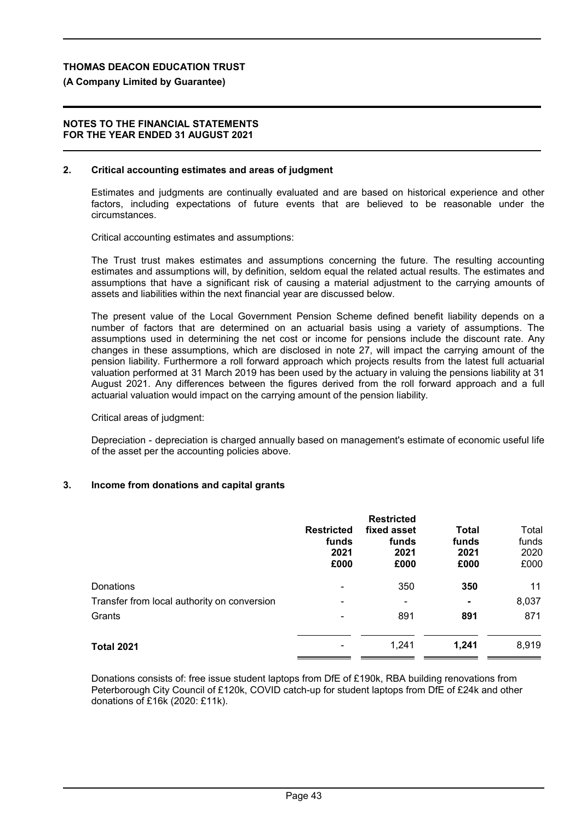#### **(A Company Limited by Guarantee)**

#### **NOTES TO THE FINANCIAL STATEMENTS FOR THE YEAR ENDED 31 AUGUST 2021**

#### **2. Critical accounting estimates and areas of judgment**

Estimates and judgments are continually evaluated and are based on historical experience and other factors, including expectations of future events that are believed to be reasonable under the circumstances.

Critical accounting estimates and assumptions:

The Trust trust makes estimates and assumptions concerning the future. The resulting accounting estimates and assumptions will, by definition, seldom equal the related actual results. The estimates and assumptions that have a significant risk of causing a material adjustment to the carrying amounts of assets and liabilities within the next financial year are discussed below.

The present value of the Local Government Pension Scheme defined benefit liability depends on a number of factors that are determined on an actuarial basis using a variety of assumptions. The assumptions used in determining the net cost or income for pensions include the discount rate. Any changes in these assumptions, which are disclosed in note 27, will impact the carrying amount of the pension liability. Furthermore a roll forward approach which projects results from the latest full actuarial valuation performed at 31 March 2019 has been used by the actuary in valuing the pensions liability at 31 August 2021. Any differences between the figures derived from the roll forward approach and a full actuarial valuation would impact on the carrying amount of the pension liability.

Critical areas of judgment:

Depreciation - depreciation is charged annually based on management's estimate of economic useful life of the asset per the accounting policies above.

## **3. Income from donations and capital grants**

|                                             | <b>Restricted</b><br>funds<br>2021<br>£000 | <b>Restricted</b><br>fixed asset<br>funds<br>2021<br>£000 | Total<br>funds<br>2021<br>£000 | Total<br>funds<br>2020<br>£000 |
|---------------------------------------------|--------------------------------------------|-----------------------------------------------------------|--------------------------------|--------------------------------|
| <b>Donations</b>                            | ۰                                          | 350                                                       | 350                            | 11                             |
| Transfer from local authority on conversion | ۰                                          | ۰                                                         | $\overline{\phantom{a}}$       | 8,037                          |
| Grants                                      | ۰                                          | 891                                                       | 891                            | 871                            |
| <b>Total 2021</b>                           |                                            | 1,241                                                     | 1,241                          | 8,919                          |

Donations consists of: free issue student laptops from DfE of £190k, RBA building renovations from Peterborough City Council of £120k, COVID catch-up for student laptops from DfE of £24k and other donations of £16k (2020: £11k).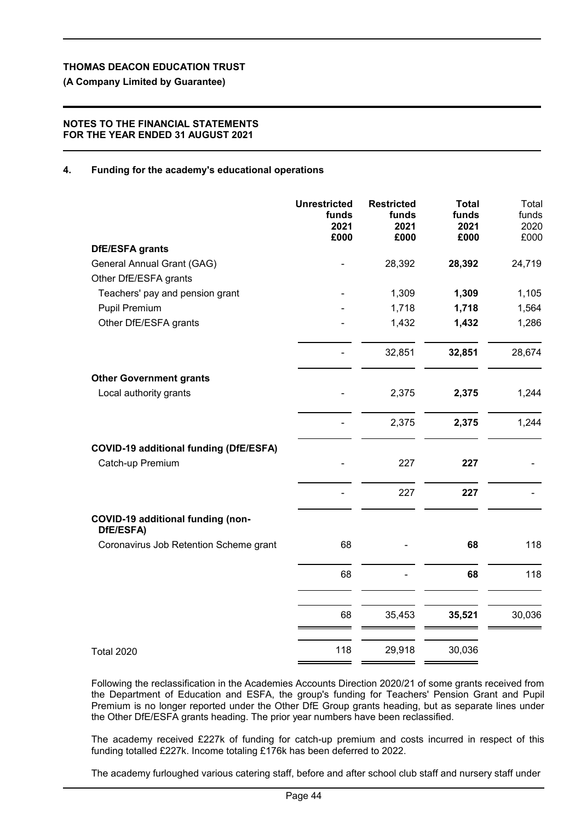**(A Company Limited by Guarantee)**

## **NOTES TO THE FINANCIAL STATEMENTS FOR THE YEAR ENDED 31 AUGUST 2021**

# **4. Funding for the academy's educational operations**

|                                                       | <b>Unrestricted</b><br>funds<br>2021 | <b>Restricted</b><br>funds<br>2021 | <b>Total</b><br>funds<br>2021 | Total<br>funds<br>2020 |
|-------------------------------------------------------|--------------------------------------|------------------------------------|-------------------------------|------------------------|
| DfE/ESFA grants                                       | £000                                 | £000                               | £000                          | £000                   |
| General Annual Grant (GAG)                            |                                      | 28,392                             | 28,392                        | 24,719                 |
| Other DfE/ESFA grants                                 |                                      |                                    |                               |                        |
| Teachers' pay and pension grant                       |                                      | 1,309                              | 1,309                         | 1,105                  |
| Pupil Premium                                         |                                      | 1,718                              | 1,718                         | 1,564                  |
| Other DfE/ESFA grants                                 |                                      | 1,432                              | 1,432                         | 1,286                  |
|                                                       |                                      | 32,851                             | 32,851                        | 28,674                 |
| <b>Other Government grants</b>                        |                                      |                                    |                               |                        |
| Local authority grants                                |                                      | 2,375                              | 2,375                         | 1,244                  |
|                                                       |                                      | 2,375                              | 2,375                         | 1,244                  |
| <b>COVID-19 additional funding (DfE/ESFA)</b>         |                                      |                                    |                               |                        |
| Catch-up Premium                                      |                                      | 227                                | 227                           |                        |
|                                                       |                                      | 227                                | 227                           |                        |
| <b>COVID-19 additional funding (non-</b><br>DfE/ESFA) |                                      |                                    |                               |                        |
| Coronavirus Job Retention Scheme grant                | 68                                   |                                    | 68                            | 118                    |
|                                                       | 68                                   |                                    | 68                            | 118                    |
|                                                       | 68                                   | 35,453                             | 35,521                        | 30,036                 |
| <b>Total 2020</b>                                     | 118                                  | 29,918                             | 30,036                        |                        |

Following the reclassification in the Academies Accounts Direction 2020/21 of some grants received from the Department of Education and ESFA, the group's funding for Teachers' Pension Grant and Pupil Premium is no longer reported under the Other DfE Group grants heading, but as separate lines under the Other DfE/ESFA grants heading. The prior year numbers have been reclassified.

The academy received £227k of funding for catch-up premium and costs incurred in respect of this funding totalled £227k. Income totaling £176k has been deferred to 2022.

The academy furloughed various catering staff, before and after school club staff and nursery staff under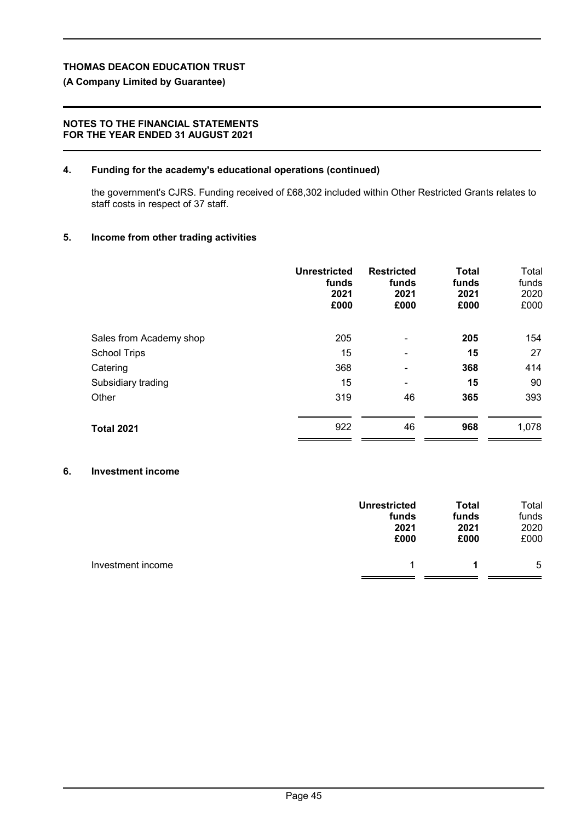# **(A Company Limited by Guarantee)**

# **NOTES TO THE FINANCIAL STATEMENTS FOR THE YEAR ENDED 31 AUGUST 2021**

# **4. Funding for the academy's educational operations (continued)**

the government's CJRS. Funding received of £68,302 included within Other Restricted Grants relates to staff costs in respect of 37 staff.

# **5. Income from other trading activities**

|                         | <b>Unrestricted</b><br>funds<br>2021<br>£000 | <b>Restricted</b><br>funds<br>2021<br>£000 | <b>Total</b><br>funds<br>2021<br>£000 | Total<br>funds<br>2020<br>£000 |
|-------------------------|----------------------------------------------|--------------------------------------------|---------------------------------------|--------------------------------|
| Sales from Academy shop | 205                                          | -                                          | 205                                   | 154                            |
| <b>School Trips</b>     | 15                                           | -                                          | 15                                    | 27                             |
| Catering                | 368                                          | -                                          | 368                                   | 414                            |
| Subsidiary trading      | 15                                           | ۰                                          | 15                                    | 90                             |
| Other                   | 319                                          | 46                                         | 365                                   | 393                            |
| <b>Total 2021</b>       | 922                                          | 46                                         | 968                                   | 1,078                          |

# **6. Investment income**

|                   | <b>Unrestricted</b> | <b>Total</b> | Total |
|-------------------|---------------------|--------------|-------|
|                   | funds               | funds        | funds |
|                   | 2021                | 2021         | 2020  |
|                   | £000                | £000         | £000  |
| Investment income |                     |              | 5     |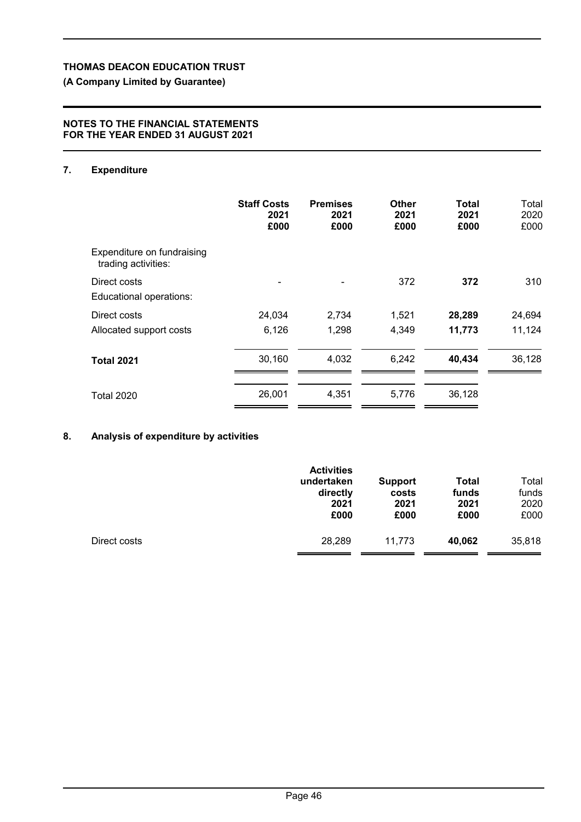# **(A Company Limited by Guarantee)**

## **NOTES TO THE FINANCIAL STATEMENTS FOR THE YEAR ENDED 31 AUGUST 2021**

# **7. Expenditure**

|                                                   | <b>Staff Costs</b><br>2021<br>£000 | <b>Premises</b><br>2021<br>£000 | Other<br>2021<br>£000 | Total<br>2021<br>£000 | Total<br>2020<br>£000 |
|---------------------------------------------------|------------------------------------|---------------------------------|-----------------------|-----------------------|-----------------------|
| Expenditure on fundraising<br>trading activities: |                                    |                                 |                       |                       |                       |
| Direct costs<br>Educational operations:           |                                    |                                 | 372                   | 372                   | 310                   |
| Direct costs                                      | 24,034                             | 2,734                           | 1,521                 | 28,289                | 24,694                |
| Allocated support costs                           | 6,126                              | 1,298                           | 4,349                 | 11,773                | 11,124                |
| <b>Total 2021</b>                                 | 30,160                             | 4,032                           | 6,242                 | 40,434                | 36,128                |
| <b>Total 2020</b>                                 | 26,001                             | 4,351                           | 5,776                 | 36,128                |                       |

# **8. Analysis of expenditure by activities**

|              | <b>Activities</b><br>undertaken<br>directly<br>2021<br>£000 | <b>Support</b><br>costs<br>2021<br>£000 | <b>Total</b><br>funds<br>2021<br>£000 | Total<br>funds<br>2020<br>£000 |
|--------------|-------------------------------------------------------------|-----------------------------------------|---------------------------------------|--------------------------------|
| Direct costs | 28,289                                                      | 11.773                                  | 40,062                                | 35,818                         |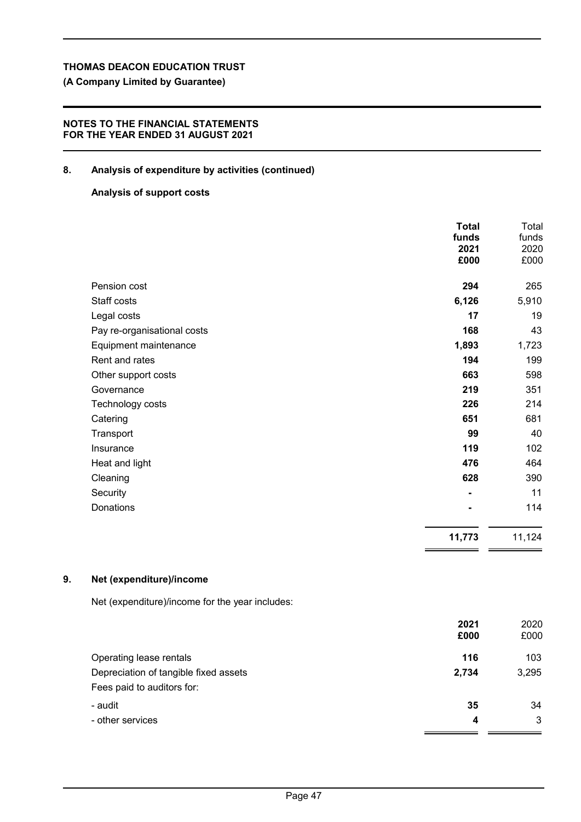**(A Company Limited by Guarantee)**

# **NOTES TO THE FINANCIAL STATEMENTS FOR THE YEAR ENDED 31 AUGUST 2021**

# **8. Analysis of expenditure by activities (continued)**

## **Analysis of support costs**

|                             | <b>Total</b><br>funds<br>2021<br>£000 | Total<br>funds<br>2020<br>£000 |
|-----------------------------|---------------------------------------|--------------------------------|
|                             |                                       |                                |
| Pension cost                | 294                                   | 265                            |
| Staff costs                 | 6,126                                 | 5,910                          |
| Legal costs                 | 17                                    | 19                             |
| Pay re-organisational costs | 168                                   | 43                             |
| Equipment maintenance       | 1,893                                 | 1,723                          |
| Rent and rates              | 194                                   | 199                            |
| Other support costs         | 663                                   | 598                            |
| Governance                  | 219                                   | 351                            |
| Technology costs            | 226                                   | 214                            |
| Catering                    | 651                                   | 681                            |
| Transport                   | 99                                    | 40                             |
| Insurance                   | 119                                   | 102                            |
| Heat and light              | 476                                   | 464                            |
| Cleaning                    | 628                                   | 390                            |
| Security                    |                                       | 11                             |
| Donations                   |                                       | 114                            |
|                             | 11,773                                | 11,124                         |

## **9. Net (expenditure)/income**

Net (expenditure)/income for the year includes:

| 2021  | 2020  |
|-------|-------|
| £000  | £000  |
| 116   | 103   |
| 2,734 | 3,295 |
|       |       |
| 35    | 34    |
| 4     | 3     |
|       |       |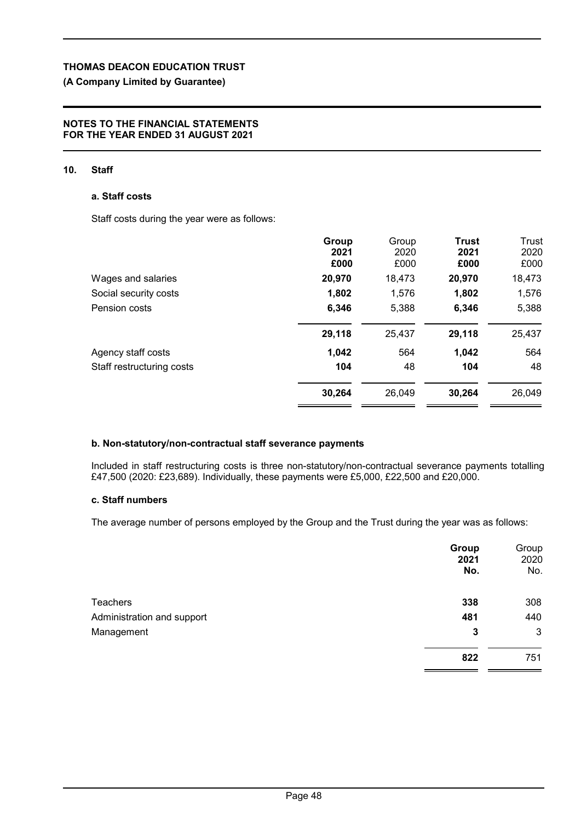# **(A Company Limited by Guarantee)**

#### **NOTES TO THE FINANCIAL STATEMENTS FOR THE YEAR ENDED 31 AUGUST 2021**

## **10. Staff**

#### **a. Staff costs**

Staff costs during the year were as follows:

|                           | Group<br>2021<br>£000 | Group<br>2020<br>£000 | <b>Trust</b><br>2021<br>£000 | Trust<br>2020<br>£000 |
|---------------------------|-----------------------|-----------------------|------------------------------|-----------------------|
| Wages and salaries        | 20,970                | 18,473                | 20,970                       | 18,473                |
| Social security costs     | 1,802                 | 1,576                 | 1,802                        | 1,576                 |
| Pension costs             | 6,346                 | 5,388                 | 6,346                        | 5,388                 |
|                           | 29,118                | 25,437                | 29,118                       | 25,437                |
| Agency staff costs        | 1,042                 | 564                   | 1,042                        | 564                   |
| Staff restructuring costs | 104                   | 48                    | 104                          | 48                    |
|                           | 30,264                | 26,049                | 30,264                       | 26,049                |

## **b. Non-statutory/non-contractual staff severance payments**

Included in staff restructuring costs is three non-statutory/non-contractual severance payments totalling £47,500 (2020: £23,689). Individually, these payments were £5,000, £22,500 and £20,000.

## **c. Staff numbers**

The average number of persons employed by the Group and the Trust during the year was as follows:

|                            | Group<br>2021<br>No. | Group<br>2020<br>No. |
|----------------------------|----------------------|----------------------|
| <b>Teachers</b>            | 338                  | 308                  |
| Administration and support | 481                  | 440                  |
| Management                 | 3                    | 3                    |
|                            | 822                  | 751                  |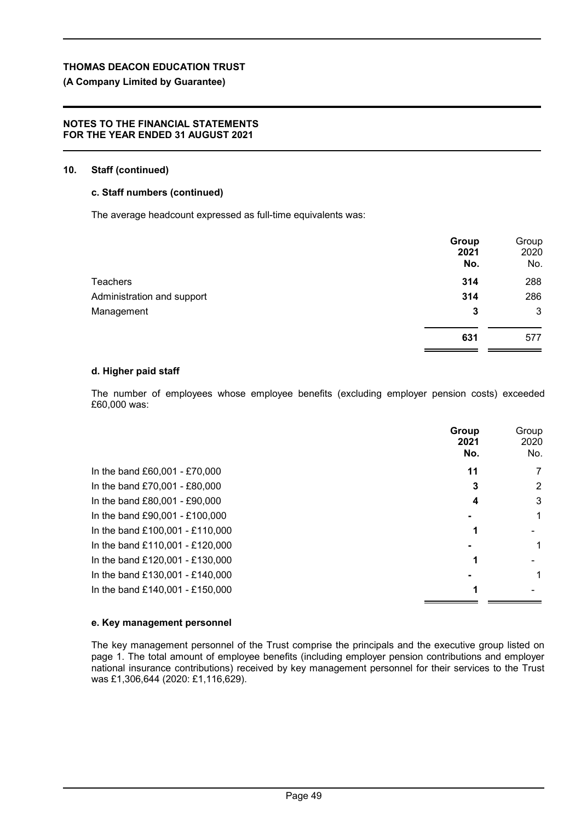# **(A Company Limited by Guarantee)**

#### **NOTES TO THE FINANCIAL STATEMENTS FOR THE YEAR ENDED 31 AUGUST 2021**

#### **10. Staff (continued)**

## **c. Staff numbers (continued)**

The average headcount expressed as full-time equivalents was:

|                            | Group<br>2021<br>No. | Group<br>2020<br>No. |
|----------------------------|----------------------|----------------------|
| <b>Teachers</b>            | 314                  | 288                  |
| Administration and support | 314                  | 286                  |
| Management                 | 3                    | 3                    |
|                            | 631                  | 577                  |

## **d. Higher paid staff**

The number of employees whose employee benefits (excluding employer pension costs) exceeded £60,000 was:

|                                 | Group<br>2021<br>No. | Group<br>2020<br>No. |
|---------------------------------|----------------------|----------------------|
| In the band £60,001 - £70,000   | 11                   | 7                    |
| In the band £70,001 - £80,000   | 3                    | 2                    |
| In the band £80,001 - £90,000   | 4                    | 3                    |
| In the band £90,001 - £100,000  |                      |                      |
| In the band £100,001 - £110,000 |                      |                      |
| In the band £110,001 - £120,000 |                      |                      |
| In the band £120,001 - £130,000 |                      |                      |
| In the band £130,001 - £140,000 |                      |                      |
| In the band £140,001 - £150,000 |                      |                      |

#### **e. Key management personnel**

The key management personnel of the Trust comprise the principals and the executive group listed on page 1. The total amount of employee benefits (including employer pension contributions and employer national insurance contributions) received by key management personnel for their services to the Trust was £1,306,644 (2020: £1,116,629).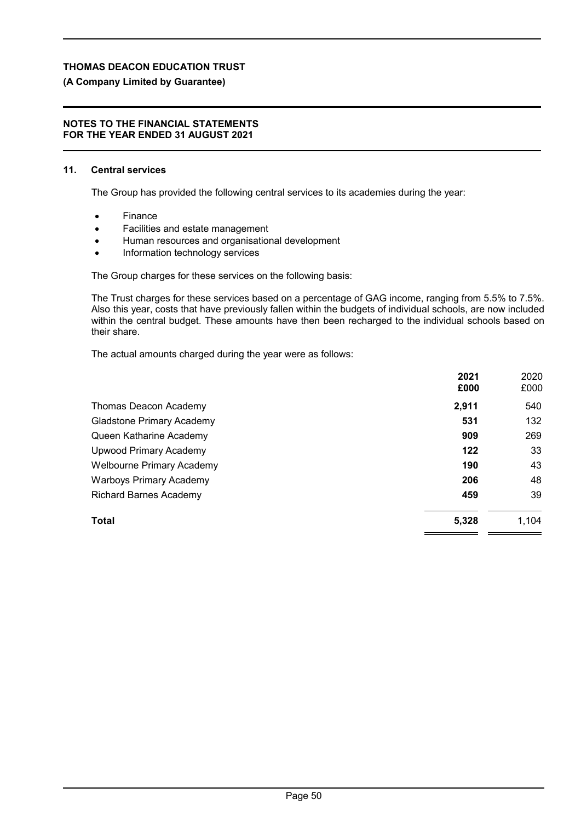# **(A Company Limited by Guarantee)**

#### **NOTES TO THE FINANCIAL STATEMENTS FOR THE YEAR ENDED 31 AUGUST 2021**

#### **11. Central services**

The Group has provided the following central services to its academies during the year:

- Finance
- Facilities and estate management
- Human resources and organisational development
- Information technology services

The Group charges for these services on the following basis:

The Trust charges for these services based on a percentage of GAG income, ranging from 5.5% to 7.5%. Also this year, costs that have previously fallen within the budgets of individual schools, are now included within the central budget. These amounts have then been recharged to the individual schools based on their share.

The actual amounts charged during the year were as follows:

|                                  | 2021<br>£000 | 2020<br>£000 |
|----------------------------------|--------------|--------------|
| Thomas Deacon Academy            | 2,911        | 540          |
| <b>Gladstone Primary Academy</b> | 531          | 132          |
| Queen Katharine Academy          | 909          | 269          |
| <b>Upwood Primary Academy</b>    | 122          | 33           |
| <b>Welbourne Primary Academy</b> | 190          | 43           |
| <b>Warboys Primary Academy</b>   | 206          | 48           |
| <b>Richard Barnes Academy</b>    | 459          | 39           |
| Total                            | 5,328        | 1,104        |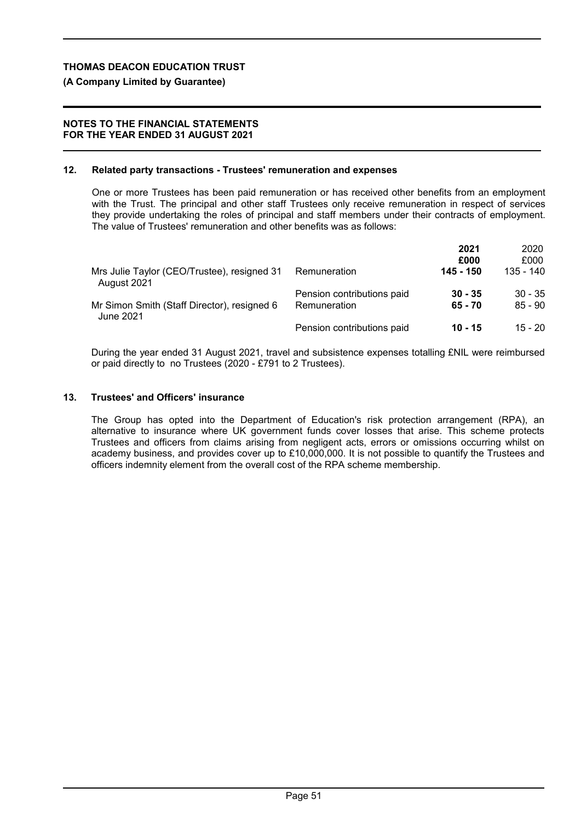#### **(A Company Limited by Guarantee)**

#### **NOTES TO THE FINANCIAL STATEMENTS FOR THE YEAR ENDED 31 AUGUST 2021**

#### **12. Related party transactions - Trustees' remuneration and expenses**

One or more Trustees has been paid remuneration or has received other benefits from an employment with the Trust. The principal and other staff Trustees only receive remuneration in respect of services they provide undertaking the roles of principal and staff members under their contracts of employment. The value of Trustees' remuneration and other benefits was as follows:

|                                                            |                            | 2021      | 2020        |
|------------------------------------------------------------|----------------------------|-----------|-------------|
|                                                            |                            | £000      | £000        |
| Mrs Julie Taylor (CEO/Trustee), resigned 31<br>August 2021 | Remuneration               | 145 - 150 | $135 - 140$ |
|                                                            | Pension contributions paid | $30 - 35$ | $30 - 35$   |
| Mr Simon Smith (Staff Director), resigned 6<br>June 2021   | Remuneration               | $65 - 70$ | $85 - 90$   |
|                                                            | Pension contributions paid | 10 - 15   | $15 - 20$   |

During the year ended 31 August 2021, travel and subsistence expenses totalling £NIL were reimbursed or paid directly to no Trustees (2020 - £791 to 2 Trustees).

#### **13. Trustees' and Officers' insurance**

The Group has opted into the Department of Education's risk protection arrangement (RPA), an alternative to insurance where UK government funds cover losses that arise. This scheme protects Trustees and officers from claims arising from negligent acts, errors or omissions occurring whilst on academy business, and provides cover up to £10,000,000. It is not possible to quantify the Trustees and officers indemnity element from the overall cost of the RPA scheme membership.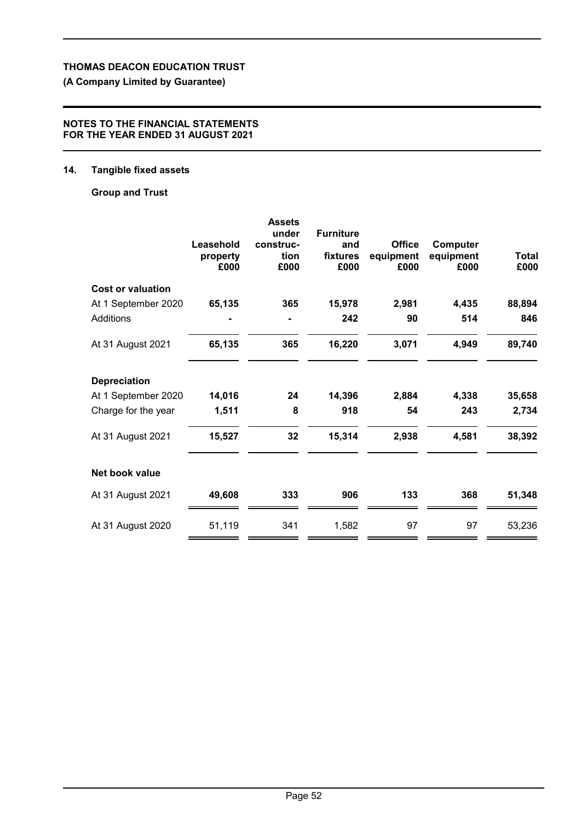# **(A Company Limited by Guarantee)**

## **NOTES TO THE FINANCIAL STATEMENTS FOR THE YEAR ENDED 31 AUGUST 2021**

# **14. Tangible fixed assets**

# **Group and Trust**

|                          | Leasehold<br>property<br>£000 | <b>Assets</b><br>under<br>construc-<br>tion<br>£000 | <b>Furniture</b><br>and<br>fixtures<br>£000 | <b>Office</b><br>equipment<br>£000 | Computer<br>equipment<br>£000 | <b>Total</b><br>£000 |
|--------------------------|-------------------------------|-----------------------------------------------------|---------------------------------------------|------------------------------------|-------------------------------|----------------------|
| <b>Cost or valuation</b> |                               |                                                     |                                             |                                    |                               |                      |
| At 1 September 2020      | 65,135                        | 365                                                 | 15,978                                      | 2,981                              | 4,435                         | 88,894               |
| <b>Additions</b>         |                               |                                                     | 242                                         | 90                                 | 514                           | 846                  |
| At 31 August 2021        | 65,135                        | 365                                                 | 16,220                                      | 3,071                              | 4,949                         | 89,740               |
| <b>Depreciation</b>      |                               |                                                     |                                             |                                    |                               |                      |
| At 1 September 2020      | 14,016                        | 24                                                  | 14,396                                      | 2,884                              | 4,338                         | 35,658               |
| Charge for the year      | 1,511                         | 8                                                   | 918                                         | 54                                 | 243                           | 2,734                |
| At 31 August 2021        | 15,527                        | 32                                                  | 15,314                                      | 2,938                              | 4,581                         | 38,392               |
| Net book value           |                               |                                                     |                                             |                                    |                               |                      |
| At 31 August 2021        | 49,608                        | 333                                                 | 906                                         | 133                                | 368                           | 51,348               |
| At 31 August 2020        | 51,119                        | 341                                                 | 1,582                                       | 97                                 | 97                            | 53,236               |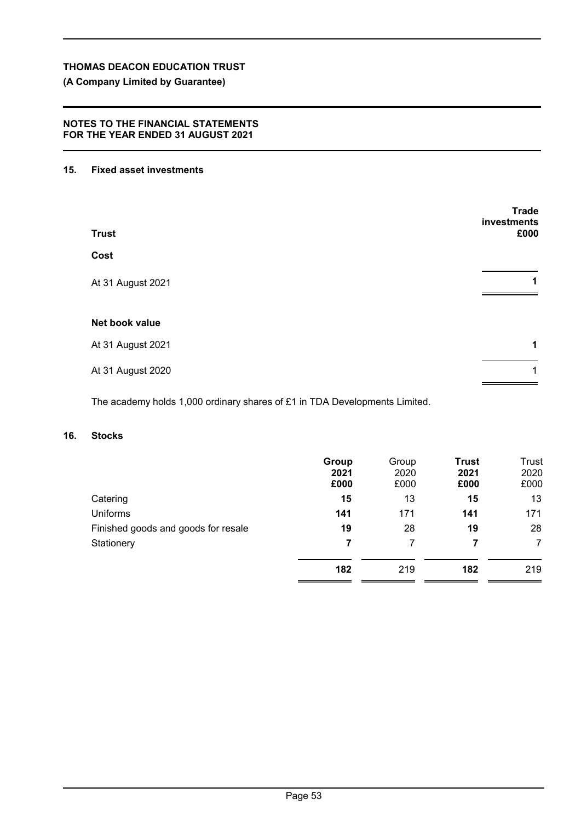# **(A Company Limited by Guarantee)**

## **NOTES TO THE FINANCIAL STATEMENTS FOR THE YEAR ENDED 31 AUGUST 2021**

## **15. Fixed asset investments**

| <b>Trust</b>      | <b>Trade</b><br>investments<br>£000 |
|-------------------|-------------------------------------|
| Cost              |                                     |
| At 31 August 2021 | 1                                   |
| Net book value    |                                     |
| At 31 August 2021 | 1                                   |
| At 31 August 2020 | 1                                   |

The academy holds 1,000 ordinary shares of £1 in TDA Developments Limited.

# **16. Stocks**

|                                     | Group<br>2021<br>£000 | Group<br>2020<br>£000 | <b>Trust</b><br>2021<br>£000 | Trust<br>2020<br>£000 |
|-------------------------------------|-----------------------|-----------------------|------------------------------|-----------------------|
| Catering                            | 15                    | 13                    | 15                           | 13                    |
| <b>Uniforms</b>                     | 141                   | 171                   | 141                          | 171                   |
| Finished goods and goods for resale | 19                    | 28                    | 19                           | 28                    |
| Stationery                          | 7                     |                       | 7                            | 7                     |
|                                     | 182                   | 219                   | 182                          | 219                   |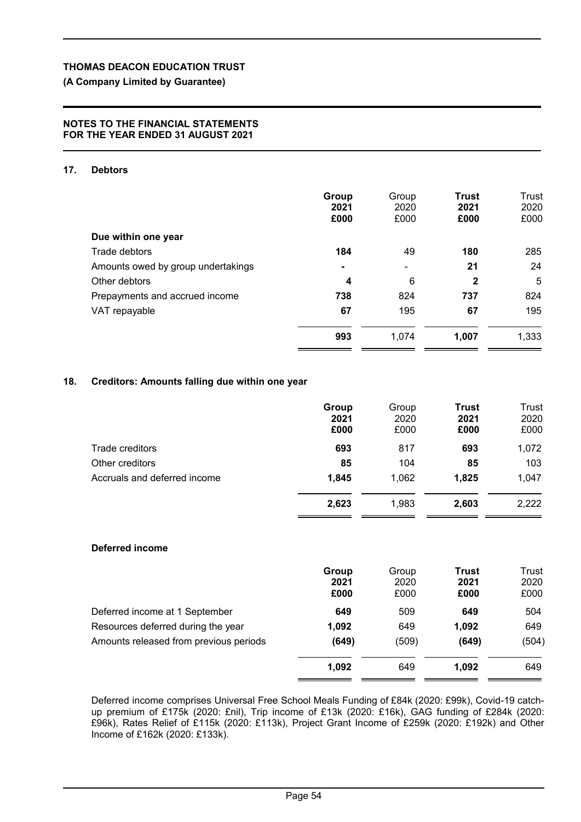# **(A Company Limited by Guarantee)**

#### **NOTES TO THE FINANCIAL STATEMENTS FOR THE YEAR ENDED 31 AUGUST 2021**

## **17. Debtors**

|                                    | Group<br>2021<br>£000 | Group<br>2020<br>£000 | <b>Trust</b><br>2021<br>£000 | Trust<br>2020<br>£000 |
|------------------------------------|-----------------------|-----------------------|------------------------------|-----------------------|
| Due within one year                |                       |                       |                              |                       |
| Trade debtors                      | 184                   | 49                    | 180                          | 285                   |
| Amounts owed by group undertakings | ۰                     | -                     | 21                           | 24                    |
| Other debtors                      | $\boldsymbol{4}$      | 6                     | $\mathbf{2}$                 | 5                     |
| Prepayments and accrued income     | 738                   | 824                   | 737                          | 824                   |
| VAT repayable                      | 67                    | 195                   | 67                           | 195                   |
|                                    | 993                   | 1,074                 | 1,007                        | 1,333                 |

# **18. Creditors: Amounts falling due within one year**

|                              | Group<br>2021<br>£000 | Group<br>2020<br>£000 | <b>Trust</b><br>2021<br>£000 | Trust<br>2020<br>£000 |
|------------------------------|-----------------------|-----------------------|------------------------------|-----------------------|
| Trade creditors              | 693                   | 817                   | 693                          | 1,072                 |
| Other creditors              | 85                    | 104                   | 85                           | 103                   |
| Accruals and deferred income | 1,845                 | 1,062                 | 1,825                        | 1,047                 |
|                              | 2,623                 | 1,983                 | 2,603                        | 2,222                 |

## **Deferred income**

|                                        | Group | Group | <b>Trust</b> | Trust |
|----------------------------------------|-------|-------|--------------|-------|
|                                        | 2021  | 2020  | 2021         | 2020  |
|                                        | £000  | £000  | £000         | £000  |
| Deferred income at 1 September         | 649   | 509   | 649          | 504   |
| Resources deferred during the year     | 1,092 | 649   | 1.092        | 649   |
| Amounts released from previous periods | (649) | (509) | (649)        | (504) |
|                                        | 1,092 | 649   | 1.092        | 649   |
|                                        |       |       |              |       |

Deferred income comprises Universal Free School Meals Funding of £84k (2020: £99k), Covid-19 catchup premium of £175k (2020: £nil), Trip income of £13k (2020: £16k), GAG funding of £284k (2020: £96k), Rates Relief of £115k (2020: £113k), Project Grant Income of £259k (2020: £192k) and Other Income of £162k (2020: £133k).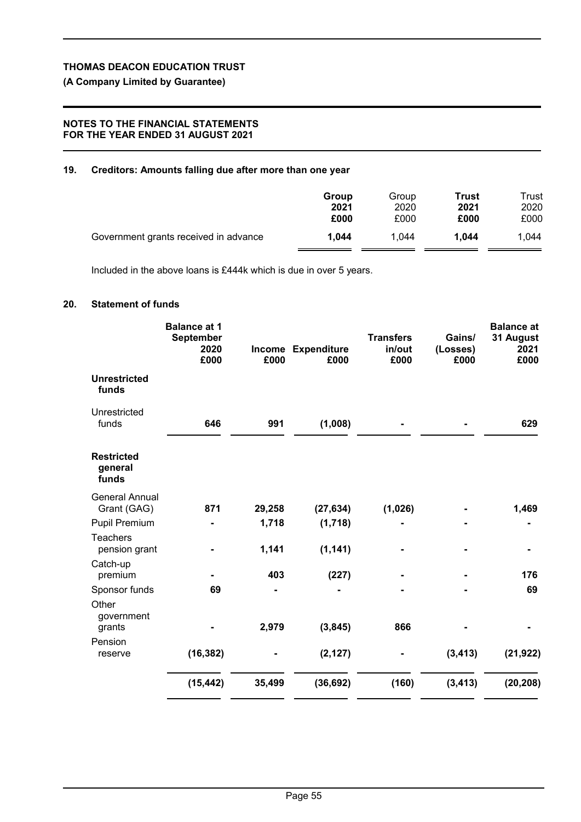# **(A Company Limited by Guarantee)**

## **NOTES TO THE FINANCIAL STATEMENTS FOR THE YEAR ENDED 31 AUGUST 2021**

## **19. Creditors: Amounts falling due after more than one year**

|                                       | Group | Group | Trust | Trust |
|---------------------------------------|-------|-------|-------|-------|
|                                       | 2021  | 2020  | 2021  | 2020  |
|                                       | £000  | £000  | £000  | £000  |
| Government grants received in advance | 1.044 | 1.044 | 1.044 | 1.044 |

Included in the above loans is £444k which is due in over 5 years.

## **20. Statement of funds**

|                                       | <b>Balance at 1</b><br><b>September</b><br>2020<br>£000 | £000   | Income Expenditure<br>£000 | <b>Transfers</b><br>in/out<br>£000 | Gains/<br>(Losses)<br>£000 | <b>Balance at</b><br>31 August<br>2021<br>£000 |
|---------------------------------------|---------------------------------------------------------|--------|----------------------------|------------------------------------|----------------------------|------------------------------------------------|
| <b>Unrestricted</b><br>funds          |                                                         |        |                            |                                    |                            |                                                |
| Unrestricted<br>funds                 | 646                                                     | 991    | (1,008)                    |                                    |                            | 629                                            |
| <b>Restricted</b><br>general<br>funds |                                                         |        |                            |                                    |                            |                                                |
| <b>General Annual</b><br>Grant (GAG)  | 871                                                     | 29,258 | (27, 634)                  | (1,026)                            |                            | 1,469                                          |
| <b>Pupil Premium</b>                  |                                                         | 1,718  | (1,718)                    |                                    |                            |                                                |
| <b>Teachers</b><br>pension grant      |                                                         | 1,141  | (1, 141)                   |                                    |                            |                                                |
| Catch-up<br>premium                   |                                                         | 403    | (227)                      |                                    |                            | 176                                            |
| Sponsor funds                         | 69                                                      |        |                            |                                    |                            | 69                                             |
| Other<br>government<br>grants         |                                                         | 2,979  | (3, 845)                   | 866                                |                            |                                                |
| Pension<br>reserve                    | (16, 382)                                               |        | (2, 127)                   |                                    | (3, 413)                   | (21, 922)                                      |
|                                       | (15, 442)                                               | 35,499 | (36, 692)                  | (160)                              | (3, 413)                   | (20, 208)                                      |
|                                       |                                                         |        |                            |                                    |                            |                                                |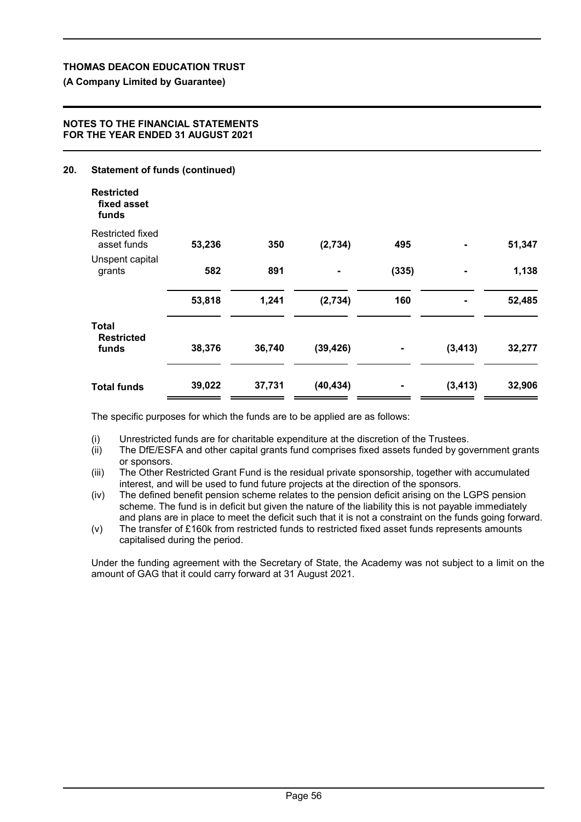## **(A Company Limited by Guarantee)**

## **NOTES TO THE FINANCIAL STATEMENTS FOR THE YEAR ENDED 31 AUGUST 2021**

# **20. Statement of funds (continued) Restricted fixed asset funds** Restricted fixed asset funds **53,236 350 (2,734) 495 - 51,347** Unspent capital grants **582 891 - (335) - 1,138 53,818 1,241 (2,734) 160 - 52,485 Total Restricted funds 38,376 36,740 (39,426) - (3,413) 32,277 Total funds 39,022 37,731 (40,434) - (3,413) 32,906**

The specific purposes for which the funds are to be applied are as follows:

(i) Unrestricted funds are for charitable expenditure at the discretion of the Trustees.

- (ii) The DfE/ESFA and other capital grants fund comprises fixed assets funded by government grants or sponsors.
- (iii) The Other Restricted Grant Fund is the residual private sponsorship, together with accumulated interest, and will be used to fund future projects at the direction of the sponsors.
- (iv) The defined benefit pension scheme relates to the pension deficit arising on the LGPS pension scheme. The fund is in deficit but given the nature of the liability this is not payable immediately and plans are in place to meet the deficit such that it is not a constraint on the funds going forward.
- (v) The transfer of £160k from restricted funds to restricted fixed asset funds represents amounts capitalised during the period.

Under the funding agreement with the Secretary of State, the Academy was not subject to a limit on the amount of GAG that it could carry forward at 31 August 2021.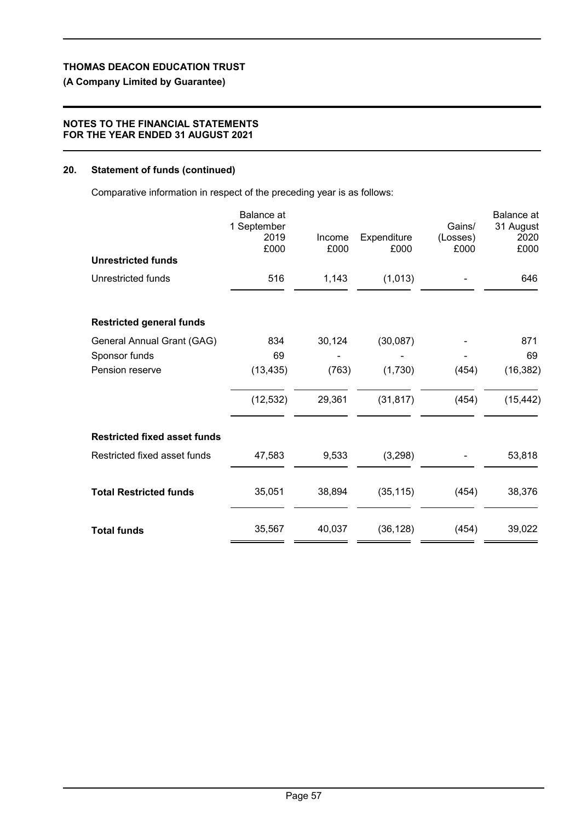# **(A Company Limited by Guarantee)**

## **NOTES TO THE FINANCIAL STATEMENTS FOR THE YEAR ENDED 31 AUGUST 2021**

# **20. Statement of funds (continued)**

Comparative information in respect of the preceding year is as follows:

|                                     | <b>Balance</b> at<br>1 September<br>2019<br>£000 | Income<br>£000 | Expenditure<br>£000 | Gains/<br>(Losses)<br>£000 | <b>Balance</b> at<br>31 August<br>2020<br>£000 |
|-------------------------------------|--------------------------------------------------|----------------|---------------------|----------------------------|------------------------------------------------|
| <b>Unrestricted funds</b>           |                                                  |                |                     |                            |                                                |
| Unrestricted funds                  | 516                                              | 1,143          | (1,013)             |                            | 646                                            |
| <b>Restricted general funds</b>     |                                                  |                |                     |                            |                                                |
| General Annual Grant (GAG)          | 834                                              | 30,124         | (30,087)            |                            | 871                                            |
| Sponsor funds                       | 69                                               |                |                     |                            | 69                                             |
| Pension reserve                     | (13, 435)                                        | (763)          | (1,730)             | (454)                      | (16, 382)                                      |
|                                     | (12, 532)                                        | 29,361         | (31, 817)           | (454)                      | (15, 442)                                      |
| <b>Restricted fixed asset funds</b> |                                                  |                |                     |                            |                                                |
| Restricted fixed asset funds        | 47,583                                           | 9,533          | (3,298)             |                            | 53,818                                         |
| <b>Total Restricted funds</b>       | 35,051                                           | 38,894         | (35, 115)           | (454)                      | 38,376                                         |
| <b>Total funds</b>                  | 35,567                                           | 40,037         | (36, 128)           | (454)                      | 39,022                                         |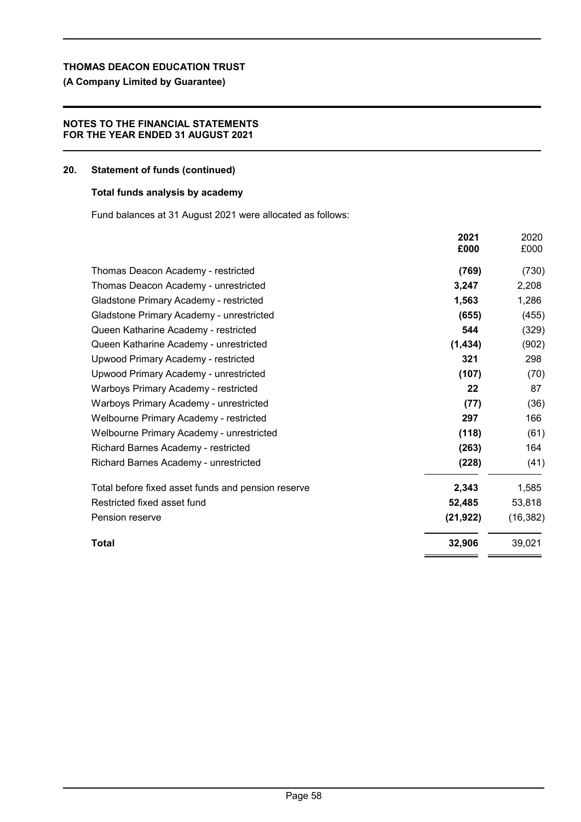# **(A Company Limited by Guarantee)**

## **NOTES TO THE FINANCIAL STATEMENTS FOR THE YEAR ENDED 31 AUGUST 2021**

#### **20. Statement of funds (continued)**

## **Total funds analysis by academy**

Fund balances at 31 August 2021 were allocated as follows:

|                                                    | 2021<br>£000 | 2020<br>£000 |
|----------------------------------------------------|--------------|--------------|
| Thomas Deacon Academy - restricted                 | (769)        | (730)        |
| Thomas Deacon Academy - unrestricted               | 3,247        | 2,208        |
| Gladstone Primary Academy - restricted             | 1,563        | 1,286        |
| Gladstone Primary Academy - unrestricted           | (655)        | (455)        |
| Queen Katharine Academy - restricted               | 544          | (329)        |
| Queen Katharine Academy - unrestricted             | (1, 434)     | (902)        |
| Upwood Primary Academy - restricted                | 321          | 298          |
| Upwood Primary Academy - unrestricted              | (107)        | (70)         |
| Warboys Primary Academy - restricted               | 22           | 87           |
| Warboys Primary Academy - unrestricted             | (77)         | (36)         |
| Welbourne Primary Academy - restricted             | 297          | 166          |
| Welbourne Primary Academy - unrestricted           | (118)        | (61)         |
| Richard Barnes Academy - restricted                | (263)        | 164          |
| Richard Barnes Academy - unrestricted              | (228)        | (41)         |
| Total before fixed asset funds and pension reserve | 2,343        | 1,585        |
| Restricted fixed asset fund                        | 52,485       | 53,818       |
| Pension reserve                                    | (21, 922)    | (16, 382)    |
| <b>Total</b>                                       | 32,906       | 39,021       |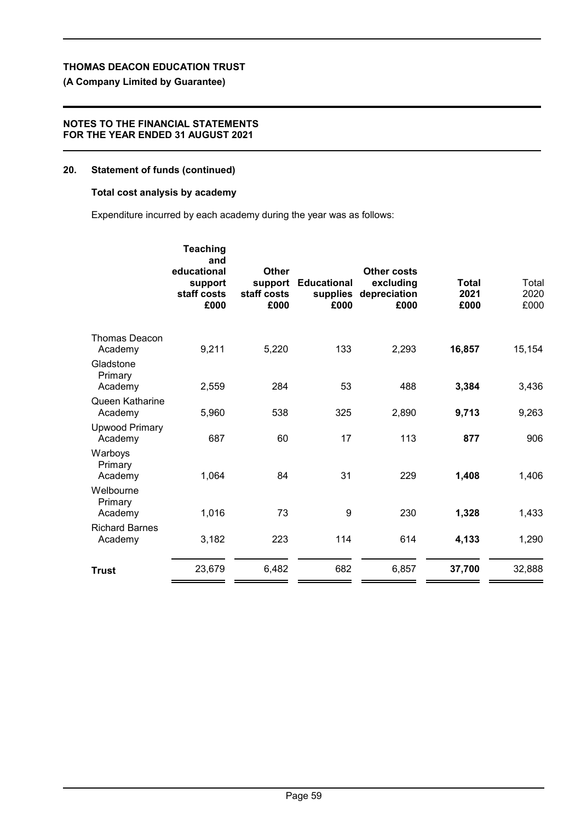# **(A Company Limited by Guarantee)**

## **NOTES TO THE FINANCIAL STATEMENTS FOR THE YEAR ENDED 31 AUGUST 2021**

## **20. Statement of funds (continued)**

## **Total cost analysis by academy**

Expenditure incurred by each academy during the year was as follows:

|                                  | staff costs<br>£000 | support<br>staff costs<br>£000 | <b>Educational</b><br>supplies<br>£000 | Other costs<br>excluding<br>depreciation<br>£000 | Total<br>2021<br>£000 | Total<br>2020<br>£000 |
|----------------------------------|---------------------|--------------------------------|----------------------------------------|--------------------------------------------------|-----------------------|-----------------------|
| <b>Thomas Deacon</b><br>Academy  | 9,211               | 5,220                          | 133                                    | 2,293                                            | 16,857                | 15,154                |
| Gladstone<br>Primary<br>Academy  | 2,559               | 284                            | 53                                     | 488                                              | 3,384                 | 3,436                 |
| Queen Katharine<br>Academy       | 5,960               | 538                            | 325                                    | 2,890                                            | 9,713                 | 9,263                 |
| <b>Upwood Primary</b><br>Academy | 687                 | 60                             | 17                                     | 113                                              | 877                   | 906                   |
| Warboys<br>Primary<br>Academy    | 1,064               | 84                             | 31                                     | 229                                              | 1,408                 | 1,406                 |
| Welbourne<br>Primary<br>Academy  | 1,016               | 73                             | 9                                      | 230                                              | 1,328                 | 1,433                 |
| <b>Richard Barnes</b><br>Academy | 3,182               | 223                            | 114                                    | 614                                              | 4,133                 | 1,290                 |
| <b>Trust</b>                     | 23,679              | 6,482                          | 682                                    | 6,857                                            | 37,700                | 32,888                |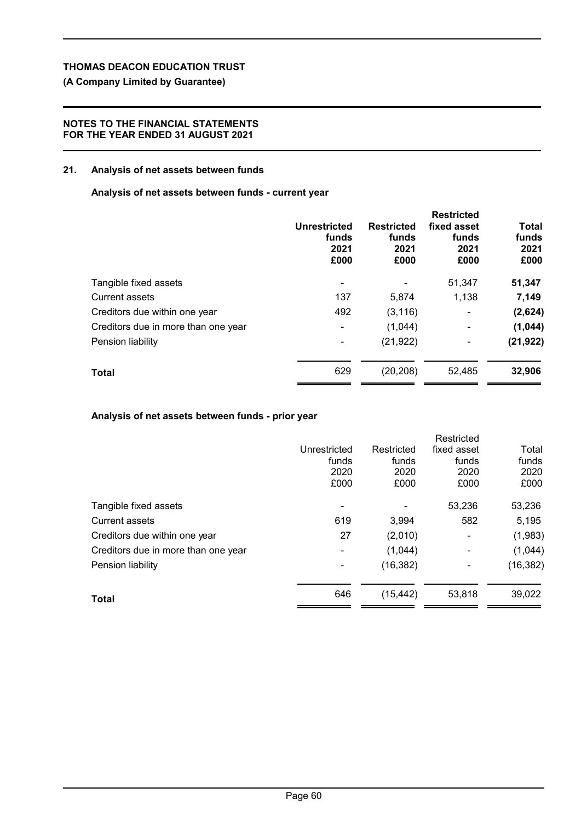# **(A Company Limited by Guarantee)**

## **NOTES TO THE FINANCIAL STATEMENTS FOR THE YEAR ENDED 31 AUGUST 2021**

## **21. Analysis of net assets between funds**

## **Analysis of net assets between funds - current year**

|                                     | Unrestricted<br>funds<br>2021<br>£000 | <b>Restricted</b><br>funds<br>2021<br>£000 | <b>Restricted</b><br>fixed asset<br>funds<br>2021<br>£000 | Total<br>funds<br>2021<br>£000 |
|-------------------------------------|---------------------------------------|--------------------------------------------|-----------------------------------------------------------|--------------------------------|
| Tangible fixed assets               |                                       |                                            | 51,347                                                    | 51,347                         |
| <b>Current assets</b>               | 137                                   | 5,874                                      | 1,138                                                     | 7,149                          |
| Creditors due within one year       | 492                                   | (3, 116)                                   | $\blacksquare$                                            | (2,624)                        |
| Creditors due in more than one year | ۰                                     | (1,044)                                    |                                                           | (1,044)                        |
| Pension liability                   |                                       | (21, 922)                                  | ۰                                                         | (21, 922)                      |
| <b>Total</b>                        | 629                                   | (20, 208)                                  | 52,485                                                    | 32,906                         |

# **Analysis of net assets between funds - prior year**

|                                     |              |            | Restricted     |           |
|-------------------------------------|--------------|------------|----------------|-----------|
|                                     | Unrestricted | Restricted | fixed asset    | Total     |
|                                     | funds        | funds      | funds          | funds     |
|                                     | 2020         | 2020       | 2020           | 2020      |
|                                     | £000         | £000       | £000           | £000      |
| Tangible fixed assets               |              |            | 53,236         | 53,236    |
| <b>Current assets</b>               | 619          | 3,994      | 582            | 5,195     |
| Creditors due within one year       | 27           | (2,010)    | $\blacksquare$ | (1,983)   |
| Creditors due in more than one year | ۰            | (1,044)    |                | (1,044)   |
| Pension liability                   | ۰            | (16, 382)  |                | (16, 382) |
| Total                               | 646          | (15, 442)  | 53,818         | 39,022    |
|                                     |              |            |                |           |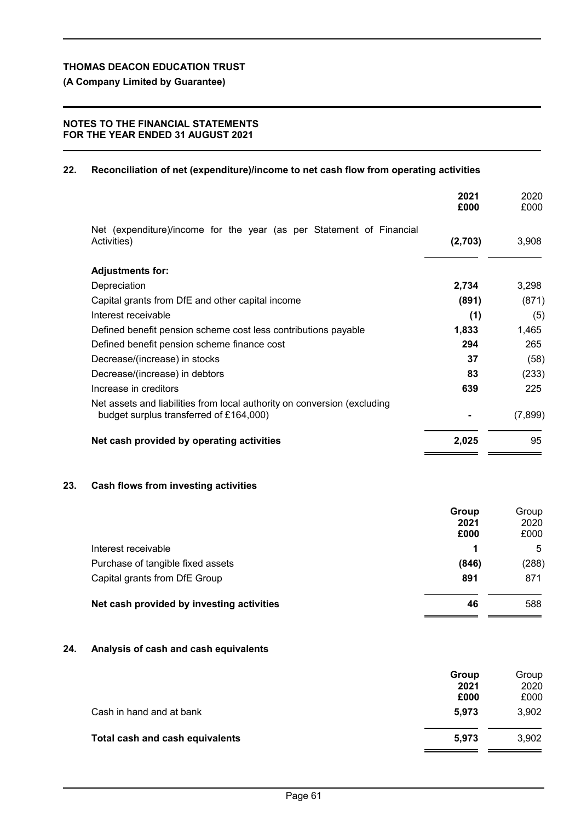**(A Company Limited by Guarantee)**

# **NOTES TO THE FINANCIAL STATEMENTS FOR THE YEAR ENDED 31 AUGUST 2021**

## **22. Reconciliation of net (expenditure)/income to net cash flow from operating activities**

|                                                                                                                     | 2021<br>£000 | 2020<br>£000 |
|---------------------------------------------------------------------------------------------------------------------|--------------|--------------|
| Net (expenditure)/income for the year (as per Statement of Financial<br>Activities)                                 | (2,703)      | 3,908        |
| <b>Adjustments for:</b>                                                                                             |              |              |
| Depreciation                                                                                                        | 2,734        | 3,298        |
| Capital grants from DfE and other capital income                                                                    | (891)        | (871)        |
| Interest receivable                                                                                                 | (1)          | (5)          |
| Defined benefit pension scheme cost less contributions payable                                                      | 1,833        | 1,465        |
| Defined benefit pension scheme finance cost                                                                         | 294          | 265          |
| Decrease/(increase) in stocks                                                                                       | 37           | (58)         |
| Decrease/(increase) in debtors                                                                                      | 83           | (233)        |
| Increase in creditors                                                                                               | 639          | 225          |
| Net assets and liabilities from local authority on conversion (excluding<br>budget surplus transferred of £164,000) |              | (7,899)      |
| Net cash provided by operating activities                                                                           | 2,025        | 95           |
|                                                                                                                     |              |              |

# **23. Cash flows from investing activities**

|                                           | Group<br>2021<br>£000 | Group<br>2020<br>£000 |
|-------------------------------------------|-----------------------|-----------------------|
| Interest receivable                       | 1                     | 5                     |
| Purchase of tangible fixed assets         | (846)                 | (288)                 |
| Capital grants from DfE Group             | 891                   | 871                   |
| Net cash provided by investing activities | 46                    | 588                   |

# **24. Analysis of cash and cash equivalents**

|                                 | Group        | Group        |
|---------------------------------|--------------|--------------|
|                                 | 2021<br>£000 | 2020<br>£000 |
| Cash in hand and at bank        | 5.973        | 3,902        |
| Total cash and cash equivalents | 5.973        | 3,902        |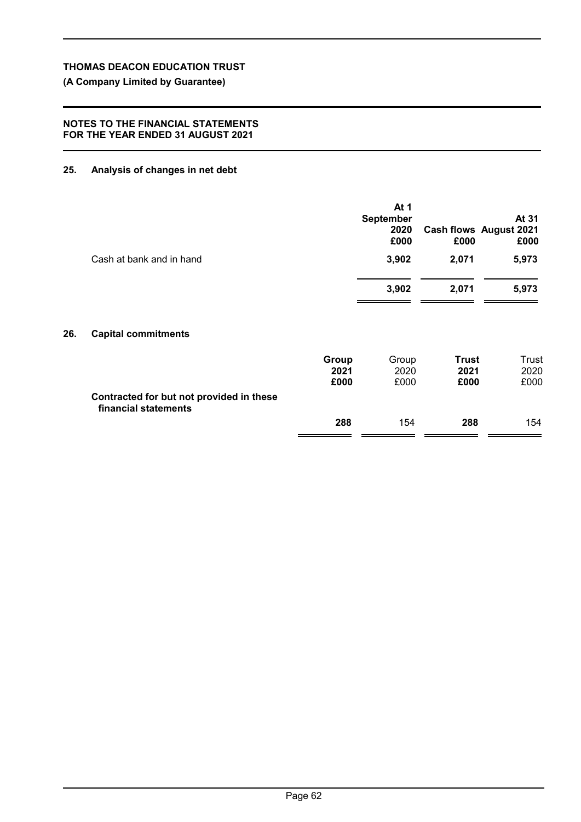**(A Company Limited by Guarantee)**

## **NOTES TO THE FINANCIAL STATEMENTS FOR THE YEAR ENDED 31 AUGUST 2021**

# **25. Analysis of changes in net debt**

**26.** 

| Cash at bank and in hand                                         |                       | At 1<br><b>September</b><br>2020<br>£000<br>3,902 | £000<br>2,071                | At 31<br><b>Cash flows August 2021</b><br>£000<br>5,973 |
|------------------------------------------------------------------|-----------------------|---------------------------------------------------|------------------------------|---------------------------------------------------------|
|                                                                  |                       | 3,902                                             | 2,071                        | 5,973                                                   |
| <b>Capital commitments</b>                                       |                       |                                                   |                              |                                                         |
|                                                                  | Group<br>2021<br>£000 | Group<br>2020<br>£000                             | <b>Trust</b><br>2021<br>£000 | Trust<br>2020<br>£000                                   |
| Contracted for but not provided in these<br>financial statements |                       |                                                   |                              |                                                         |
|                                                                  | 288                   | 154                                               | 288                          | 154                                                     |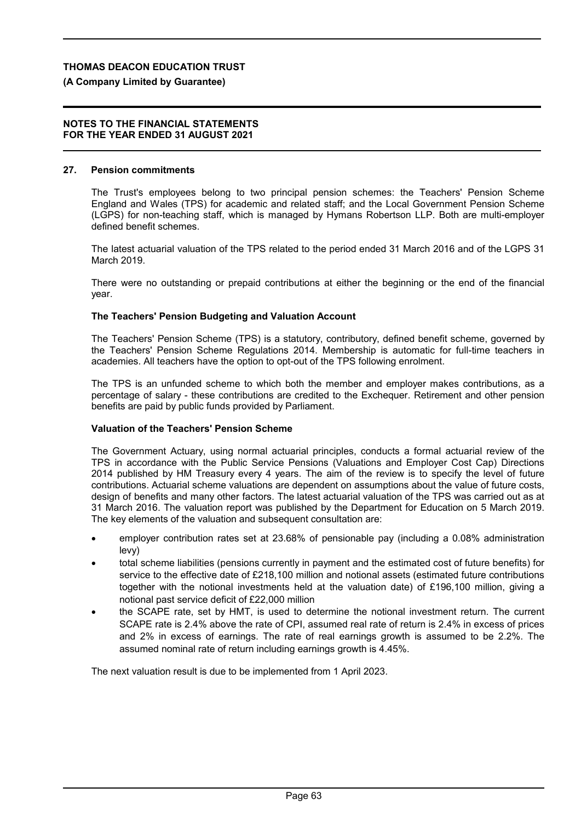## **(A Company Limited by Guarantee)**

#### **NOTES TO THE FINANCIAL STATEMENTS FOR THE YEAR ENDED 31 AUGUST 2021**

#### **27. Pension commitments**

The Trust's employees belong to two principal pension schemes: the Teachers' Pension Scheme England and Wales (TPS) for academic and related staff; and the Local Government Pension Scheme (LGPS) for non-teaching staff, which is managed by Hymans Robertson LLP. Both are multi-employer defined benefit schemes.

The latest actuarial valuation of the TPS related to the period ended 31 March 2016 and of the LGPS 31 March 2019.

There were no outstanding or prepaid contributions at either the beginning or the end of the financial year.

## **The Teachers' Pension Budgeting and Valuation Account**

The Teachers' Pension Scheme (TPS) is a statutory, contributory, defined benefit scheme, governed by the Teachers' Pension Scheme Regulations 2014. Membership is automatic for full-time teachers in academies. All teachers have the option to opt-out of the TPS following enrolment.

The TPS is an unfunded scheme to which both the member and employer makes contributions, as a percentage of salary - these contributions are credited to the Exchequer. Retirement and other pension benefits are paid by public funds provided by Parliament.

## **Valuation of the Teachers' Pension Scheme**

The Government Actuary, using normal actuarial principles, conducts a formal actuarial review of the TPS in accordance with the Public Service Pensions (Valuations and Employer Cost Cap) Directions 2014 published by HM Treasury every 4 years. The aim of the review is to specify the level of future contributions. Actuarial scheme valuations are dependent on assumptions about the value of future costs, design of benefits and many other factors. The latest actuarial valuation of the TPS was carried out as at 31 March 2016. The valuation report was published by the Department for Education on 5 March 2019. The key elements of the valuation and subsequent consultation are:

- employer contribution rates set at 23.68% of pensionable pay (including a 0.08% administration levy)
- total scheme liabilities (pensions currently in payment and the estimated cost of future benefits) for service to the effective date of £218,100 million and notional assets (estimated future contributions together with the notional investments held at the valuation date) of £196,100 million, giving a notional past service deficit of £22,000 million
- the SCAPE rate, set by HMT, is used to determine the notional investment return. The current SCAPE rate is 2.4% above the rate of CPI, assumed real rate of return is 2.4% in excess of prices and 2% in excess of earnings. The rate of real earnings growth is assumed to be 2.2%. The assumed nominal rate of return including earnings growth is 4.45%.

The next valuation result is due to be implemented from 1 April 2023.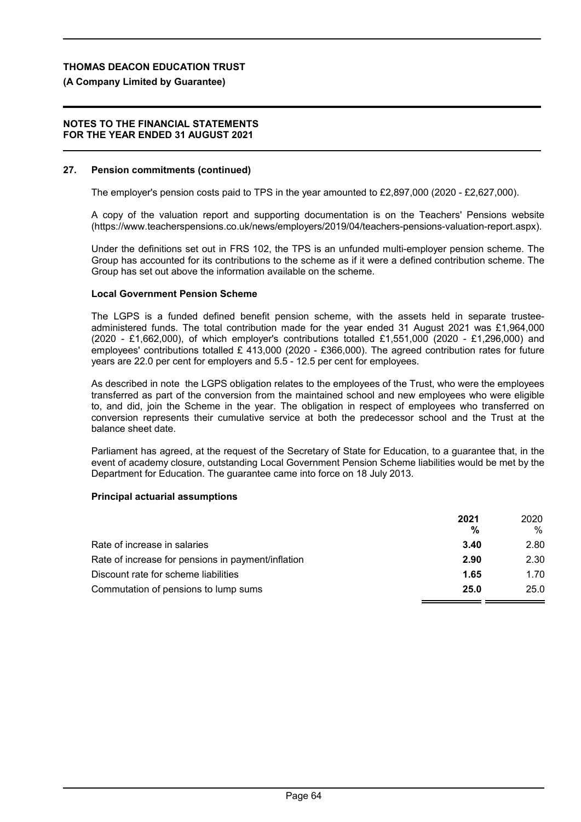## **(A Company Limited by Guarantee)**

#### **NOTES TO THE FINANCIAL STATEMENTS FOR THE YEAR ENDED 31 AUGUST 2021**

#### **27. Pension commitments (continued)**

The employer's pension costs paid to TPS in the year amounted to £2,897,000 (2020 - £2,627,000).

A copy of the valuation report and supporting documentation is on the Teachers' Pensions website (https://www.teacherspensions.co.uk/news/employers/2019/04/teachers-pensions-valuation-report.aspx).

Under the definitions set out in FRS 102, the TPS is an unfunded multi-employer pension scheme. The Group has accounted for its contributions to the scheme as if it were a defined contribution scheme. The Group has set out above the information available on the scheme.

## **Local Government Pension Scheme**

The LGPS is a funded defined benefit pension scheme, with the assets held in separate trusteeadministered funds. The total contribution made for the year ended 31 August 2021 was £1,964,000 (2020 - £1,662,000), of which employer's contributions totalled £1,551,000 (2020 - £1,296,000) and employees' contributions totalled £ 413,000 (2020 - £366,000). The agreed contribution rates for future years are 22.0 per cent for employers and 5.5 - 12.5 per cent for employees.

As described in note the LGPS obligation relates to the employees of the Trust, who were the employees transferred as part of the conversion from the maintained school and new employees who were eligible to, and did, join the Scheme in the year. The obligation in respect of employees who transferred on conversion represents their cumulative service at both the predecessor school and the Trust at the balance sheet date.

Parliament has agreed, at the request of the Secretary of State for Education, to a guarantee that, in the event of academy closure, outstanding Local Government Pension Scheme liabilities would be met by the Department for Education. The guarantee came into force on 18 July 2013.

## **Principal actuarial assumptions**

|                                                    | 2021 | 2020 |
|----------------------------------------------------|------|------|
|                                                    | %    | %    |
| Rate of increase in salaries                       | 3.40 | 2.80 |
| Rate of increase for pensions in payment/inflation | 2.90 | 2.30 |
| Discount rate for scheme liabilities               | 1.65 | 1.70 |
| Commutation of pensions to lump sums               | 25.0 | 25.0 |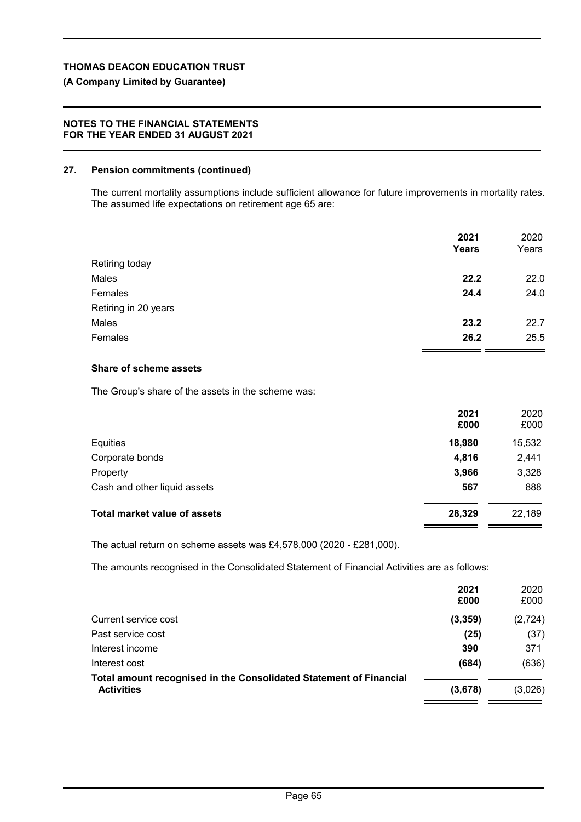# **(A Company Limited by Guarantee)**

## **NOTES TO THE FINANCIAL STATEMENTS FOR THE YEAR ENDED 31 AUGUST 2021**

# **27. Pension commitments (continued)**

The current mortality assumptions include sufficient allowance for future improvements in mortality rates. The assumed life expectations on retirement age 65 are:

|                      | 2021<br>Years | 2020<br>Years |
|----------------------|---------------|---------------|
| Retiring today       |               |               |
| Males                | 22.2          | 22.0          |
| Females              | 24.4          | 24.0          |
| Retiring in 20 years |               |               |
| Males                | 23.2          | 22.7          |
| Females              | 26.2          | 25.5          |

# **Share of scheme assets**

The Group's share of the assets in the scheme was:

|                                     | 2021<br>£000 | 2020<br>£000 |
|-------------------------------------|--------------|--------------|
| Equities                            | 18,980       | 15,532       |
| Corporate bonds                     | 4,816        | 2,441        |
| Property                            | 3,966        | 3,328        |
| Cash and other liquid assets        | 567          | 888          |
| <b>Total market value of assets</b> | 28,329       | 22,189       |

The actual return on scheme assets was £4,578,000 (2020 - £281,000).

The amounts recognised in the Consolidated Statement of Financial Activities are as follows:

|                                                                                         | 2021<br>£000 | 2020<br>£000 |
|-----------------------------------------------------------------------------------------|--------------|--------------|
| Current service cost                                                                    | (3, 359)     | (2, 724)     |
| Past service cost                                                                       | (25)         | (37)         |
| Interest income                                                                         | 390          | 371          |
| Interest cost                                                                           | (684)        | (636)        |
| Total amount recognised in the Consolidated Statement of Financial<br><b>Activities</b> | (3,678)      | (3,026)      |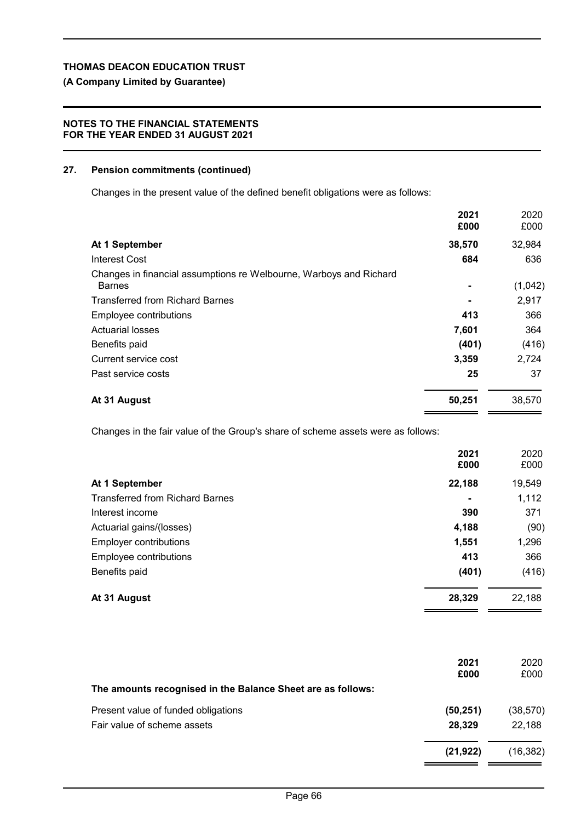# **(A Company Limited by Guarantee)**

# **NOTES TO THE FINANCIAL STATEMENTS FOR THE YEAR ENDED 31 AUGUST 2021**

# **27. Pension commitments (continued)**

Changes in the present value of the defined benefit obligations were as follows:

|                                                                                     | 2021<br>£000   | 2020<br>£000 |
|-------------------------------------------------------------------------------------|----------------|--------------|
| At 1 September                                                                      | 38,570         | 32,984       |
| Interest Cost                                                                       | 684            | 636          |
| Changes in financial assumptions re Welbourne, Warboys and Richard<br><b>Barnes</b> |                | (1,042)      |
| <b>Transferred from Richard Barnes</b>                                              | $\blacksquare$ | 2,917        |
| Employee contributions                                                              | 413            | 366          |
| <b>Actuarial losses</b>                                                             | 7,601          | 364          |
| Benefits paid                                                                       | (401)          | (416)        |
| Current service cost                                                                | 3,359          | 2,724        |
| Past service costs                                                                  | 25             | 37           |
| At 31 August                                                                        | 50,251         | 38,570       |

Changes in the fair value of the Group's share of scheme assets were as follows:

|                                        | 2021<br>£000   | 2020<br>£000 |
|----------------------------------------|----------------|--------------|
| At 1 September                         | 22,188         | 19,549       |
| <b>Transferred from Richard Barnes</b> | $\blacksquare$ | 1,112        |
| Interest income                        | 390            | 371          |
| Actuarial gains/(losses)               | 4,188          | (90)         |
| <b>Employer contributions</b>          | 1,551          | 1,296        |
| Employee contributions                 | 413            | 366          |
| Benefits paid                          | (401)          | (416)        |
| At 31 August                           | 28,329         | 22,188       |

|                                                             | 2021<br>£000 | 2020<br>£000 |
|-------------------------------------------------------------|--------------|--------------|
| The amounts recognised in the Balance Sheet are as follows: |              |              |
| Present value of funded obligations                         | (50, 251)    | (38, 570)    |
| Fair value of scheme assets                                 | 28,329       | 22,188       |
|                                                             | (21, 922)    | (16, 382)    |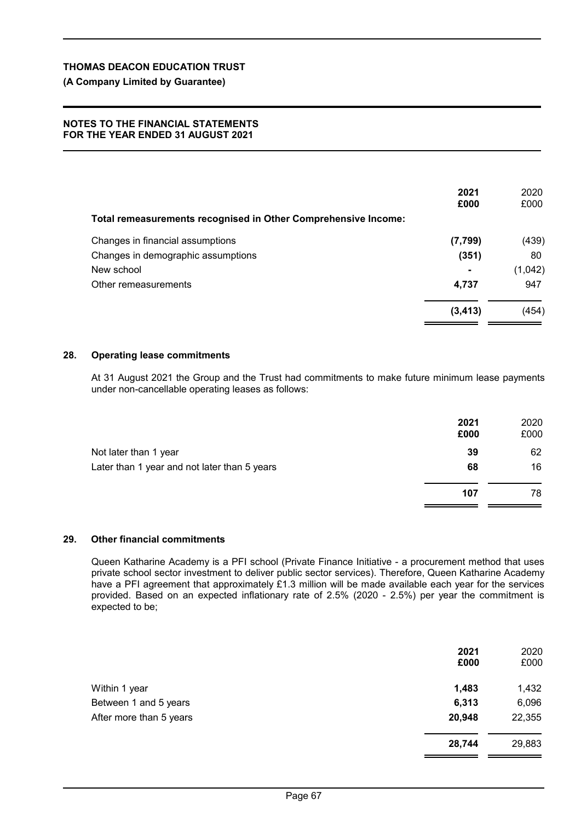# **(A Company Limited by Guarantee)**

#### **NOTES TO THE FINANCIAL STATEMENTS FOR THE YEAR ENDED 31 AUGUST 2021**

|                                                                | 2021<br>£000   | 2020<br>£000 |
|----------------------------------------------------------------|----------------|--------------|
| Total remeasurements recognised in Other Comprehensive Income: |                |              |
| Changes in financial assumptions                               | (7,799)        | (439)        |
| Changes in demographic assumptions                             | (351)          | 80           |
| New school                                                     | $\blacksquare$ | (1,042)      |
| Other remeasurements                                           | 4,737          | 947          |
|                                                                | (3, 413)       | (454)        |

#### **28. Operating lease commitments**

At 31 August 2021 the Group and the Trust had commitments to make future minimum lease payments under non-cancellable operating leases as follows:

|                                              | 2021<br>£000 | 2020<br>£000 |
|----------------------------------------------|--------------|--------------|
| Not later than 1 year                        | 39           | 62           |
| Later than 1 year and not later than 5 years | 68           | 16           |
|                                              | 107          | 78           |

#### **29. Other financial commitments**

Queen Katharine Academy is a PFI school (Private Finance Initiative - a procurement method that uses private school sector investment to deliver public sector services). Therefore, Queen Katharine Academy have a PFI agreement that approximately £1.3 million will be made available each year for the services provided. Based on an expected inflationary rate of 2.5% (2020 - 2.5%) per year the commitment is expected to be;

|                         | 2021<br>£000 | 2020<br>£000 |
|-------------------------|--------------|--------------|
| Within 1 year           | 1,483        | 1,432        |
| Between 1 and 5 years   | 6,313        | 6,096        |
| After more than 5 years | 20,948       | 22,355       |
|                         | 28,744       | 29,883       |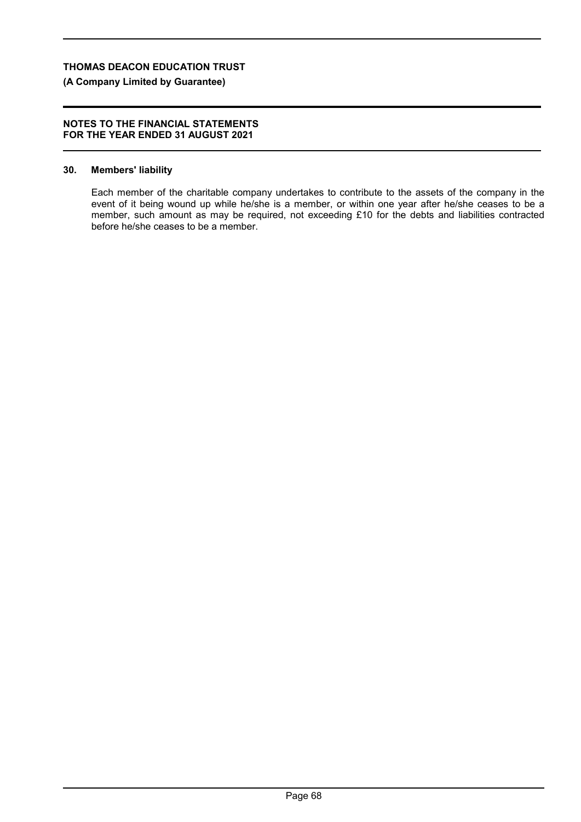# **(A Company Limited by Guarantee)**

#### **NOTES TO THE FINANCIAL STATEMENTS FOR THE YEAR ENDED 31 AUGUST 2021**

## **30. Members' liability**

Each member of the charitable company undertakes to contribute to the assets of the company in the event of it being wound up while he/she is a member, or within one year after he/she ceases to be a member, such amount as may be required, not exceeding £10 for the debts and liabilities contracted before he/she ceases to be a member.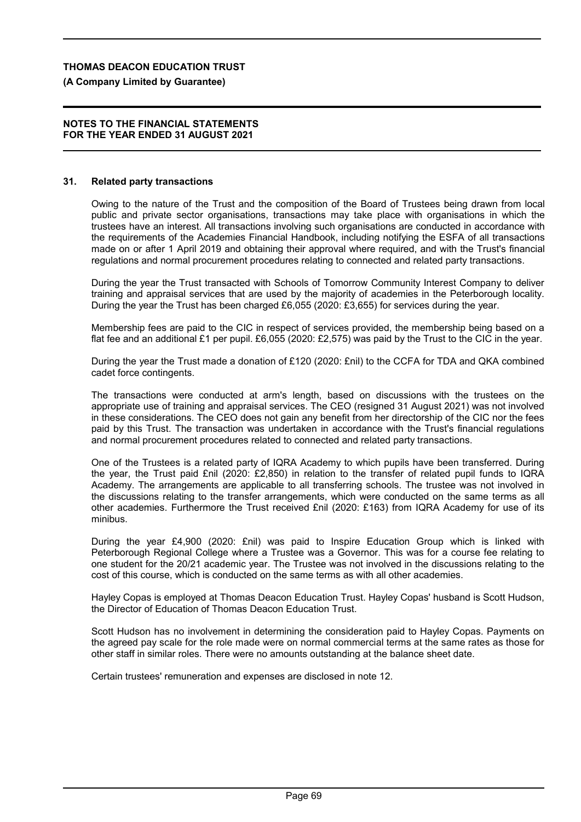## **(A Company Limited by Guarantee)**

#### **NOTES TO THE FINANCIAL STATEMENTS FOR THE YEAR ENDED 31 AUGUST 2021**

#### **31. Related party transactions**

Owing to the nature of the Trust and the composition of the Board of Trustees being drawn from local public and private sector organisations, transactions may take place with organisations in which the trustees have an interest. All transactions involving such organisations are conducted in accordance with the requirements of the Academies Financial Handbook, including notifying the ESFA of all transactions made on or after 1 April 2019 and obtaining their approval where required, and with the Trust's financial regulations and normal procurement procedures relating to connected and related party transactions.

During the year the Trust transacted with Schools of Tomorrow Community Interest Company to deliver training and appraisal services that are used by the majority of academies in the Peterborough locality. During the year the Trust has been charged £6,055 (2020: £3,655) for services during the year.

Membership fees are paid to the CIC in respect of services provided, the membership being based on a flat fee and an additional £1 per pupil. £6,055 (2020: £2,575) was paid by the Trust to the CIC in the year.

During the year the Trust made a donation of £120 (2020: £nil) to the CCFA for TDA and QKA combined cadet force contingents.

The transactions were conducted at arm's length, based on discussions with the trustees on the appropriate use of training and appraisal services. The CEO (resigned 31 August 2021) was not involved in these considerations. The CEO does not gain any benefit from her directorship of the CIC nor the fees paid by this Trust. The transaction was undertaken in accordance with the Trust's financial regulations and normal procurement procedures related to connected and related party transactions.

One of the Trustees is a related party of IQRA Academy to which pupils have been transferred. During the year, the Trust paid £nil (2020: £2,850) in relation to the transfer of related pupil funds to IQRA Academy. The arrangements are applicable to all transferring schools. The trustee was not involved in the discussions relating to the transfer arrangements, which were conducted on the same terms as all other academies. Furthermore the Trust received £nil (2020: £163) from IQRA Academy for use of its minibus.

During the year £4,900 (2020: £nil) was paid to Inspire Education Group which is linked with Peterborough Regional College where a Trustee was a Governor. This was for a course fee relating to one student for the 20/21 academic year. The Trustee was not involved in the discussions relating to the cost of this course, which is conducted on the same terms as with all other academies.

Hayley Copas is employed at Thomas Deacon Education Trust. Hayley Copas' husband is Scott Hudson, the Director of Education of Thomas Deacon Education Trust.

Scott Hudson has no involvement in determining the consideration paid to Hayley Copas. Payments on the agreed pay scale for the role made were on normal commercial terms at the same rates as those for other staff in similar roles. There were no amounts outstanding at the balance sheet date.

Certain trustees' remuneration and expenses are disclosed in note 12.